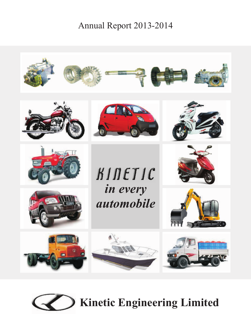# Annual Report 2013-2014



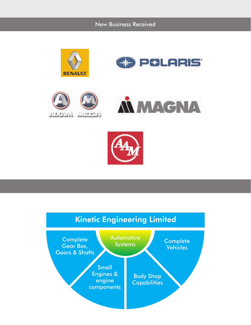New Business Received











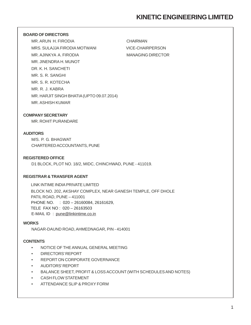# **KINETIC ENGINEERING LIMITED**

#### **BOARD OF DIRECTORS**

MR. ARUN H. FIRODIA CHAIRMAN MRS. SULAJJA FIRODIA MOTWANI VICE-CHAIRPERSON MR. AJINKYA A. FIRODIA MANAGING DIRECTOR MR. JINENDRA H. MUNOT DR. K. H. SANCHETI MR. S. R. SANGHI MR. S. R. KOTECHA MR. R. J. KABRA MR. HARJIT SINGH BHATIA (UPTO 09.07.2014) MR. ASHISH KUMAR

#### **COMPANY SECRETARY**

MR. ROHIT PURANDARE

#### **AUDITORS**

M/S. P. G. BHAGWAT CHARTERED ACCOUNTANTS, PUNE

#### **REGISTERED OFFICE**

D1 BLOCK, PLOT NO. 18/2, MIDC, CHINCHWAD, PUNE - 411019.

#### **REGISTRAR & TRANSFER AGENT**

LINK INTIME INDIA PRIVATE LIMITED BLOCK NO. 202, AKSHAY COMPLEX, NEAR GANESH TEMPLE, OFF DHOLE PATIL ROAD, PUNE – 411001 PHONE NO. : 020 – 26160084, 26161629, TELE FAX NO : 020 – 26163503 E-MAIL ID : pune@linkintime.co.in

#### **WORKS**

NAGAR-DAUND ROAD, AHMEDNAGAR, PIN - 414001

#### **CONTENTS**

- NOTICE OF THE ANNUAL GENERAL MEETING
- DIRECTORS' REPORT
- REPORT ON CORPORATE GOVERNANCE
- AUDITORS' REPORT
- BALANCE SHEET, PROFIT & LOSS ACCOUNT (WITH SCHEDULES AND NOTES)
- CASH FLOW STATEMENT
- ATTENDANCE SLIP & PROXY FORM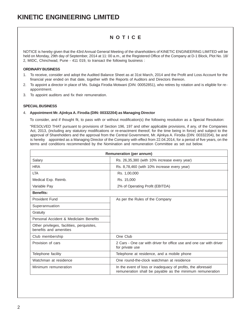### **N O T I C E**

NOTICE is hereby given that the 43rd Annual General Meeting of the shareholders of KINETIC ENGINEERING LIMITED will be held on Monday, 29th day of September, 2014 at 11: 00 a.m., at the Registered Office of the Company at D-1 Block, Plot No. 18/ 2, MIDC, Chinchwad, Pune - 411 019, to transact the following business :

#### **ORDINARY BUSINESS**

- 1. To receive, consider and adopt the Audited Balance Sheet as at 31st March, 2014 and the Profit and Loss Account for the financial year ended on that date, together with the Reports of Auditors and Directors thereon.
- 2. To appoint a director in place of Ms. Sulajja Firodia Motwani (DIN: 00052851), who retires by rotation and is eligible for reappointment.
- 3. To appoint auditors and fix their remuneration.

#### **SPECIAL BUSINESS**

#### 4. **Appointment Mr. Ajinkya A. Firodia (DIN: 00332204) as Managing Director**

To consider, and if thought fit, to pass with or without modification(s) the following resolution as a Special Resolution:

"RESOLVED THAT pursuant to provisions of Section 196, 197 and other applicable provisions, if any, of the Companies Act, 2013, (including any statutory modifications or re-enactment thereof, for the time being in force) and subject to the approval of Shareholders and the approval from the Central Government, Mr. Ajinkya A. Firodia (DIN: 00332204), be and is hereby appointed as a Managing Director of the Company with effect from 22.04.2014, for a period of five years, on the terms and conditions recommended by the Nomination and remuneration Committee as set out below.

| <b>Remuneration (per annum)</b>                                      |                                                                                                                           |  |  |  |
|----------------------------------------------------------------------|---------------------------------------------------------------------------------------------------------------------------|--|--|--|
| Salary                                                               | Rs. 26,35,380 (with 10% increase every year)                                                                              |  |  |  |
| <b>HRA</b>                                                           | Rs. 8,78,460 (with 10% increase every year)                                                                               |  |  |  |
| <b>LTA</b>                                                           | Rs. 1,00,000                                                                                                              |  |  |  |
| Medical Exp. Reimb.                                                  | Rs. 15,000                                                                                                                |  |  |  |
| Variable Pay                                                         | 2% of Operating Profit (EBITDA)                                                                                           |  |  |  |
| <b>Benefits:</b>                                                     |                                                                                                                           |  |  |  |
| Provident Fund                                                       | As per the Rules of the Company                                                                                           |  |  |  |
| Superannuation                                                       |                                                                                                                           |  |  |  |
| Gratuity                                                             |                                                                                                                           |  |  |  |
| Personal Accident & Mediclaim Benefits                               |                                                                                                                           |  |  |  |
| Other privileges, facilities, perquisites,<br>benefits and amenities |                                                                                                                           |  |  |  |
| Club membership                                                      | One Club                                                                                                                  |  |  |  |
| Provision of cars                                                    | 2 Cars - One car with driver for office use and one car with driver<br>for private use                                    |  |  |  |
| Telephone facility                                                   | Telephone at residence, and a mobile phone                                                                                |  |  |  |
| Watchman at residence                                                | One round-the-clock watchman at residence                                                                                 |  |  |  |
| Minimum remuneration                                                 | In the event of loss or inadequacy of profits, the aforesaid<br>remuneration shall be payable as the minimum remuneration |  |  |  |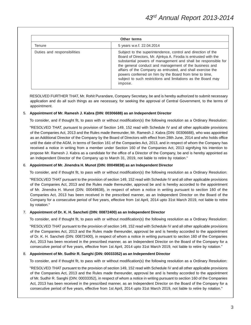| Other terms                 |                                                                                                                                                                                                                                                                                                                                                                                                                                                                   |  |  |
|-----------------------------|-------------------------------------------------------------------------------------------------------------------------------------------------------------------------------------------------------------------------------------------------------------------------------------------------------------------------------------------------------------------------------------------------------------------------------------------------------------------|--|--|
| Tenure                      | 5 years w.e.f. 22.04.2014                                                                                                                                                                                                                                                                                                                                                                                                                                         |  |  |
| Duties and responsibilities | Subject to the superintendence, control and direction of the<br>Board of Directors, Mr. Ajinkya A. Firodia is entrusted with the<br>substantial powers of management and shall be responsible for<br>the general conduct and management of the business and<br>affairs of the Company as entrusted, and shall exercise the<br>powers conferred on him by the Board from time to time,<br>subject to such restrictions and limitations as the Board may<br>impose. |  |  |

RESOLVED FURTHER THAT, Mr. Rohit Purandare, Company Secretary, be and is hereby authorized to submit necessary application and do all such things as are necessary, for seeking the approval of Central Government, to the terms of appointment.

#### 5. **Appointment of Mr. Ramesh J. Kabra (DIN: 00306688) as an Independent Director**

To consider, and if thought fit, to pass with or without modification(s) the following resolution as a Ordinary Resolution:

"RESOLVED THAT, pursuant to provision of Section 149, 152 read with Schedule IV and all other applicable provisions of the Companies Act, 2013 and the Rules made thereunder, Mr. Ramesh J. Kabra (DIN: 00306688), who was appointed as an Additional Director of the Company by the Board of Directors with effect from 28th June, 2014 and who holds office until the date of the AGM, in terms of Section 161 of the Companies Act, 2013, and in respect of whom the Company has received a notice in writing from a member under Section 160 of the Companies Act, 2013 signifying his intention to propose Mr. Ramesh J. Kabra as a candidate for the office of a Director of the Company, be and is hereby appointed as an Independent Director of the Company up to March 31, 2019, not liable to retire by rotation."

#### 6. **Appointment of Mr. Jinendra H. Munot (DIN: 00049838) as an Independent Director**

To consider, and if thought fit, to pass with or without modification(s) the following resolution as a Ordinary Resolution:

"RESOLVED THAT pursuant to the provision of section 149, 152 read with Schedule IV and all other applicable provisions of the Companies Act, 2013 and the Rules made thereunder, approval be and is hereby accorded to the appointment of Mr. Jinendra H. Munot (DIN: 00049838), in respect of whom a notice in writing pursuant to section 160 of the Companies Act, 2013 has been received in the prescribed manner, as an Independent Director on the Board of the Company for a consecutive period of five years, effective from 1st April, 2014 upto 31st March 2019, not liable to retire by rotation."

#### 7. **Appointment of Dr. K. H. Sancheti (DIN: 00872400) as an Independent Director**

To consider, and if thought fit, to pass with or without modification(s) the following resolution as a Ordinary Resolution:

"RESOLVED THAT pursuant to the provision of section 149, 152 read with Schedule IV and all other applicable provisions of the Companies Act, 2013 and the Rules made thereunder, approval be and is hereby accorded to the appointment of Dr. K. H. Sancheti (DIN: 00872400), in respect of whom a notice in writing pursuant to section 160 of the Companies Act, 2013 has been received in the prescribed manner, as an Independent Director on the Board of the Company for a consecutive period of five years, effective from 1st April, 2014 upto 31st March 2019, not liable to retire by rotation."

#### 8. **Appointment of Mr. Sudhir R. Sanghi (DIN: 00033352) as an Independent Director**

To consider, and if thought fit, to pass with or without modification(s) the following resolution as a Ordinary Resolution:

"RESOLVED THAT pursuant to the provision of section 149, 152 read with Schedule IV and all other applicable provisions of the Companies Act, 2013 and the Rules made thereunder, approval be and is hereby accorded to the appointment of Mr. Sudhir R. Sanghi (DIN: 00033352), in respect of whom a notice in writing pursuant to section 160 of the Companies Act, 2013 has been received in the prescribed manner, as an Independent Director on the Board of the Company for a consecutive period of five years, effective from 1st April, 2014 upto 31st March 2019, not liable to retire by rotation."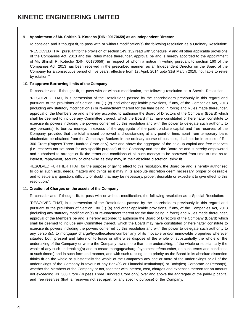#### 9. **Appointment of Mr. Shirish R. Kotecha (DIN: 00170659) as an Independent Director**

To consider, and if thought fit, to pass with or without modification(s) the following resolution as a Ordinary Resolution:

"RESOLVED THAT pursuant to the provision of section 149, 152 read with Schedule IV and all other applicable provisions of the Companies Act, 2013 and the Rules made thereunder, approval be and is hereby accorded to the appointment of Mr. Shirish R. Kotecha (DIN: 00170659), in respect of whom a notice in writing pursuant to section 160 of the Companies Act, 2013 has been received in the prescribed manner, as an Independent Director on the Board of the Company for a consecutive period of five years, effective from 1st April, 2014 upto 31st March 2019, not liable to retire by rotation."

#### 10. **To approve Borrowing limits of the Company**

To consider and, if thought fit, to pass with or without modification, the following resolution as a Special Resolution:

"RESOLVED THAT, in supersession of the Resolutions passed by the shareholders previously in this regard and pursuant to the provisions of Section 180 (1) (c) and other applicable provisions, if any, of the Companies Act, 2013 (including any statutory modification(s) or re-enactment thereof for the time being in force) and Rules made thereunder, approval of the Members be and is hereby accorded to authorise the Board of Directors of the Company (Board) which shall be deemed to include any Committee thereof, which the Board may have constituted or hereinafter constitute to exercise its powers including the powers conferred by this resolution and with the power to delegate such authority to any person(s), to borrow moneys in excess of the aggregate of the paid-up share capital and free reserves of the Company, provided that the total amount borrowed and outstanding at any point of time, apart from temporary loans obtained/to be obtained from the Company's Bankers in the ordinary course of business, shall not be in excess of Rs. 300 Crore (Rupees Three Hundred Crore only) over and above the aggregate of the paid-up capital and free reserves (i.e. reserves not set apart for any specific purpose) of the Company and that the Board be and is hereby empowered and authorised to arrange or fix the terms and conditions of all such moneys to be borrowed from time to time as to interest, repayment, security or otherwise as they may, in their absolute discretion, think fit.

RESOLVED FURTHER THAT, for the purpose of giving effect to this resolution, the Board be and is hereby authorised to do all such acts, deeds, matters and things as it may in its absolute discretion deem necessary, proper or desirable and to settle any question, difficulty or doubt that may be necessary, proper, desirable or expedient to give effect to this resolution."

#### 11. **Creation of Charges on the assets of the Company**

To consider and, if thought fit, to pass with or without modification, the following resolution as a Special Resolution:

"RESOLVED THAT, in supersession of the Resolutions passed by the shareholders previously in this regard and pursuant to the provisions of Section 180 (1) (a) and other applicable provisions, if any, of the Companies Act, 2013 (including any statutory modification(s) or re-enactment thereof for the time being in force) and Rules made thereunder, approval of the Members be and is hereby accorded to authorise the Board of Directors of the Company (Board) which shall be deemed to include any Committee thereof, which the Board may have constituted or hereinafter constitute to exercise its powers including the powers conferred by this resolution and with the power to delegate such authority to any person(s), to mortgage/ charge/hypothecate/encumber any of its movable and/or immovable properties wherever situated both present and future or to lease or otherwise dispose of the whole or substantially the whole of the undertaking of the Company or where the Company owns more than one undertaking, of the whole or substantially the whole of any such undertaking(s) and to create mortgage/charge/hypothecate/encumber, on such terms and conditions at such time(s) and in such form and manner, and with such ranking as to priority as the Board in its absolute discretion thinks fit on the whole or substantially the whole of the Company's any one or more of the undertakings or all of the undertakings of the Company in favour of any Bank(s) or Financial Institution(s) or Body(ies) Corporate or Person(s), whether the Members of the Company or not, together with interest, cost, charges and expenses thereon for an amount not exceeding Rs. 300 Crore (Rupees Three Hundred Crore only) over and above the aggregate of the paid-up capital and free reserves (that is, reserves not set apart for any specific purpose) of the Company.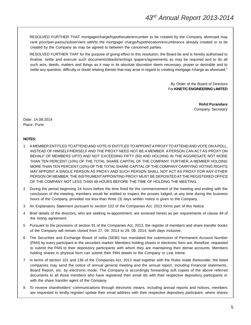RESOLVED FURTHER THAT mortgage/charge/hypothecate/encumber to be created by the Company aforesaid may rank prior/pari-passu/subservient with/to the mortgage/ charge/hypothecation/encumbrance already created or to be created by the Company as may be agreed to between the concerned parties.

RESOLVED FURTHER THAT for the purpose of giving effect to this resolution, the Board be and is hereby authorised to finalise, settle and execute such documents/deeds/writings /papers/agreements as may be required and to do all such acts, deeds, matters and things as it may in its absolute discretion deem necessary, proper or desirable and to settle any question, difficulty or doubt relating thereto that may arise in regard to creating mortgage /charge as aforesaid."

> By Order of the Board of Directors For **KINETIC ENGINEERING LIMITED**

> > **Rohit Purandare** Company Secretary

Date: 14.08.2014 Place: Pune

#### **NOTES:**

- 1 A MEMBER ENTITLED TO ATTEND AND VOTE IS ENTITLED TO APPOINT A PROXY TO ATTEND AND VOTE ON A POLL, INSTEAD OF HIMSELF/HERSELF AND THE PROXY NEED NOT BE A MEMBER. A PERSON CAN ACT AS PROXY ON BEHALF OF MEMBERS UPTO AND NOT EXCEEDING FIFTY (50) AND HOLDING IN THE AGGREGATE NOT MORE THAN TEN PERCENT (10%) OF THE TOTAL SHARE CAPITAL OF THE COMPANY. FURTHER, A MEMBER HOLDING MORE THAN TEN PERCENT (10%) OF THE TOTAL SHARE CAPITAL OF THE COMPANY CARRYING VOTING RIGHTS MAY APPOINT A SINGLE PERSON AS PROXY AND SUCH PERSON SHALL NOT ACT AS PROXY FOR ANY OTHER PERSON OR MEMBER. THE INSTRUMENT APPOINTING PROXY MUST BE DEPOSITED AT THE REGISTERED OFFICE OF THE COMPANY NOT LESS THAN 48 HOURS BEFORE THE TIME OF HOLDING THE MEETING.
- 2 During the period beginning 24 hours before the time fixed for the commencement of the meeting and ending with the conclusion of the meeting, members would be entitled to inspect the proxies lodged, at any time during the business hours of the Company, provided not less than three (3) days written notice is given to the Company.
- 3 An Explanatory Statement pursuant to section 102 of the Companies Act, 2013 forms part of this Notice.
- 4 Brief details of the directors, who are seeking re-appointment, are annexed hereto as per requirements of clause 49 of the listing agreement.
- 5 Pursuant to the provisions of section 91 of the Companies Act, 2013, the register of members and share transfer books of the Company will remain closed from 27. 09. 2014 to 29. 09. 2014, both days inclusive.
- 6 The Securities and Exchange Board of India (SEBI) has mandated the submission of Permanent Account Number (PAN) by every participant in the securities market. Members holding shares in electronic form are, therefore, requested to submit the PAN to their depository participants with whom they are maintaining their demat accounts. Members holding shares in physical form can submit their PAN details to the Company or Link Intime.
- 7 In terms of section 101 and 136 of the Companies Act, 2013 read together with the Rules made thereunder, the listed companies may send the notice of annual general meeting and the annual report, including Financial statements, Board Report, etc. by electronic mode. The Company is accordingly forwarding soft copies of the above referred documents to all those members who have registered their email ids with their respective depository participants or with the share transfer agent of the Company.
- 8 To receive shareholders' communications through electronic means, including annual reports and notices, members are requested to kindly register/ update their email address with their respective depository participant, where shares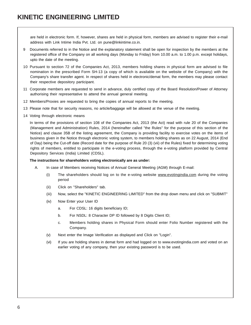are held in electronic form. If, however, shares are held in physical form, members are advised to register their e-mail address with Link Intime India Pvt. Ltd. on pune@linkintime.co.in.

- 9 Documents referred to in the Notice and the explanatory statement shall be open for inspection by the members at the registered office of the Company on all working days (Monday to Friday) from 10.00 a.m. to 1.00 p.m. except holidays, upto the date of the meeting.
- 10 Pursuant to section 72 of the Companies Act, 2013, members holding shares in physical form are advised to file nomination in the prescribed Form SH-13 (a copy of which is available on the website of the Company) with the Company's share transfer agent. In respect of shares held in electronic/demat form, the members may please contact their respective depository participant.
- 11 Corporate members are requested to send in advance, duly certified copy of the Board Resolution/Power of Attorney authorising their representative to attend the annual general meeting.
- 12 Members/Proxies are requested to bring the copies of annual reports to the meeting.
- 13 Please note that for security reasons, no article/baggage will be allowed at the venue of the meeting.
- 14 Voting through electronic means

In terms of the provisions of section 108 of the Companies Act, 2013 (the Act) read with rule 20 of the Companies (Management and Administration) Rules, 2014 (hereinafter called "the Rules" for the purpose of this section of the Notice) and clause 35B of the listing agreement, the Company is providing facility to exercise votes on the items of business given in the Notice through electronic voting system, to members holding shares as on 22 August, 2014 (End of Day) being the Cut-off date (Record date for the purpose of Rule 20 (3) (vii) of the Rules) fixed for determining voting rights of members, entitled to participate in the e-voting process, through the e-voting platform provided by Central Depository Services (India) Limited (CDSL).

#### **The instructions for shareholders voting electronically are as under:**

- A. In case of Members receiving Notices of Annual General Meeting (AGM) through E-mail:
	- (i) The shareholders should log on to the e-voting website www.evotingindia.com during the voting period
	- (ii) Click on "Shareholders" tab.
	- (iii) Now, select the "KINETIC ENGINEERING LIMITED" from the drop down menu and click on "SUBMIT"
	- (iv) Now Enter your User ID
		- a. For CDSL: 16 digits beneficiary ID;
		- b. For NSDL: 8 Character DP ID followed by 8 Digits Client ID;
		- c. Members holding shares in Physical Form should enter Folio Number registered with the Company.
	- (v) Next enter the Image Verification as displayed and Click on "Login".
	- (vi) If you are holding shares in demat form and had logged on to www.evotingindia.com and voted on an earlier voting of any company, then your existing password is to be used.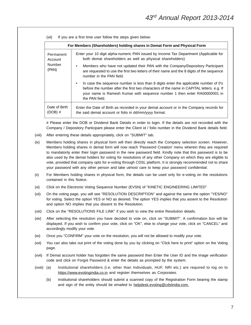| If you are a first time user follow the steps given below:<br>(vii) |                                                                                                                                                                                                                                                                                      |  |  |  |
|---------------------------------------------------------------------|--------------------------------------------------------------------------------------------------------------------------------------------------------------------------------------------------------------------------------------------------------------------------------------|--|--|--|
|                                                                     | For Members (Shareholders) holding shares in Demat Form and Physical Form                                                                                                                                                                                                            |  |  |  |
| Permanent<br>Account                                                | Enter your 10 digit alpha-numeric PAN issued by Income Tax Department (Applicable for<br>both demat shareholders as well as physical shareholders)                                                                                                                                   |  |  |  |
| Number<br>(PAN)                                                     | Members who have not updated their PAN with the Company/Depository Participant<br>٠<br>are requested to use the first two letters of their name and the 8 digits of the sequence<br>number in the PAN field.                                                                         |  |  |  |
|                                                                     | In case the sequence number is less than 8 digits enter the applicable number of 0's<br>٠<br>before the number after the first two characters of the name in CAPITAL letters. e.g. If<br>your name is Ramesh Kumar with sequence number 1 then enter RA00000001 in<br>the PAN field. |  |  |  |
| Date of Birth<br>(DOB) #                                            | Enter the Date of Birth as recorded in your demat account or in the Company records for<br>the said demat account or folio in dd/mm/yyyy format.                                                                                                                                     |  |  |  |

# Please enter the DOB or Dividend Bank Details in order to login. If the details are not recorded with the Company / Depository Participant please enter the Client id / folio number in the Dividend Bank details field.

- (viii) After entering these details appropriately, click on "SUBMIT" tab.
- (ix) Members holding shares in physical form will then directly reach the Company selection screen. However, Members holding shares in demat form will now reach 'Password Creation' menu wherein they are required to mandatorily enter their login password in the new password field. Kindly note that this password is to be also used by the demat holders for voting for resolutions of any other Company on which they are eligible to vote, provided that company opts for e-voting through CDSL platform. It is strongly recommended not to share your password with any other person and take utmost care to keep your password confidential.
- (x) For Members holding shares in physical form, the details can be used only for e-voting on the resolutions contained in this Notice.
- (xi) Click on the Electronic Voting Sequence Number (EVSN) of "KINETIC ENGINEERING LIMITED"
- (xii) On the voting page, you will see "RESOLUTION DESCRIPTION" and against the same the option "YES/NO" for voting. Select the option YES or NO as desired. The option YES implies that you assent to the Resolution and option NO implies that you dissent to the Resolution.
- (xiii) Click on the "RESOLUTIONS FILE LINK" if you wish to view the entire Resolution details.
- (xiv) After selecting the resolution you have decided to vote on, click on "SUBMIT". A confirmation box will be displayed. If you wish to confirm your vote, click on "OK", else to change your vote, click on "CANCEL" and accordingly modify your vote.
- (xv) Once you "CONFIRM" your vote on the resolution, you will not be allowed to modify your vote.
- (xvi) You can also take out print of the voting done by you by clicking on "Click here to print" option on the Voting page.
- (xvii) If Demat account holder has forgotten the same password then Enter the User ID and the image verification code and click on Forgot Password & enter the details as prompted by the system.
- (xviii) (a) Institutional shareholders (i.e. other than Individuals, HUF, NRI etc.) are required to log on to https://www.evotingindia.co.in and register themselves as Corporates.
	- (b) Institutional shareholders should submit a scanned copy of the Registration Form bearing the stamp and sign of the entity should be emailed to helpdesk.evoting@cdslindia.com.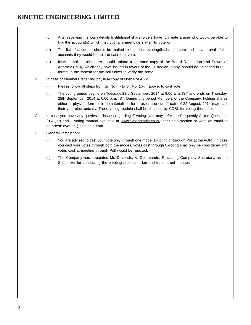- (c) After receiving the login details Institutional shareholders have to create a user who would be able to link the account(s) which institutional shareholders wish to vote on.
- (d) The list of accounts should be mailed to helpdesk.evoting@cdslindia.com and on approval of the accounts they would be able to cast their vote.
- (e) Institutional shareholders should upload a scanned copy of the Board Resolution and Power of Attorney (POA) which they have issued in favour of the Custodian, if any, should be uploaded in PDF format in the system for the scrutinizer to verify the same.
- B. In case of Members receiving physical copy of Notice of AGM:
	- (i) Please follow all steps from Sr. No. (i) to Sr. No. (xviii) above, to cast vote.
	- (ii) The voting period begins on Tuesday, 23rd September, 2014 at 9.00 a.m. IST and ends on Thursday, 25th September, 2014 at 6.00 p.m. IST. During this period Members of the Company, holding shares either in physical form or in dematerialized form, as on the cut-off date of 22 August, 2014 may cast their vote electronically. The e-voting module shall be disabled by CDSL for voting thereafter.
- C. In case you have any queries or issues regarding E-voting, you may refer the Frequently Asked Questions ("FAQs") and E-voting manual available at www.evotingindia.co.in under help section or write an email to helpdesk.evoting@cdslindia.com.
- D. General Instruction:
	- (i) You are advised to cast your vote only through one mode (E-voting or through Poll at the AGM). In case you cast your votes through both the modes, votes cast through E-voting shall only be considered and votes cast at meeting through Poll would be rejected.
	- (ii) The Company has appointed Mr. Devendra V. Deshpande, Practicing Company Secretary, as the Scrutinizer for conducting the e-voting process in fair and transparent manner.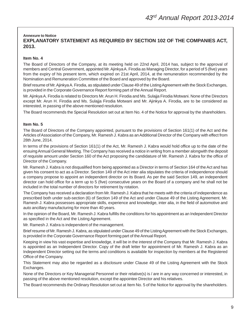#### **Annexure to Notice EXPLANATORY STATEMENT AS REQUIRED BY SECTION 102 OF THE COMPANIES ACT, 2013.**

#### **Item No. 4**

The Board of Directors of the Company, at its meeting held on 22nd April, 2014 has, subject to the approval of members and Central Government, appointed Mr. Ajinkya A. Firodia as Managing Director, for a period of 5 (five) years from the expiry of his present term, which expired on 21st April, 2014, at the remuneration recommended by the Nomination and Remuneration Committee of the Board and approved by the Board.

Brief resume of Mr. Ajinkya A. Firodia, as stipulated under Clause 49 of the Listing Agreement with the Stock Exchanges, is provided in the Corporate Governance Report forming part of the Annual Report.

Mr. Ajinkya A. Firodia is related to Directors Mr. Arun H. Firodia and Ms. Sulajja Firodia Motwani. None of the Directors except Mr. Arun H. Firodia and Ms. Sulajja Firodia Motwani and Mr. Ajinkya A. Firodia, are to be considered as interested, in passing of the above mentioned resolution.

The Board recommends the Special Resolution set out at Item No. 4 of the Notice for approval by the shareholders.

#### **Item No. 5**

The Board of Directors of the Company appointed, pursuant to the provisions of Section 161(1) of the Act and the Articles of Association of the Company, Mr. Ramesh J. Kabra as an Additional Director of the Company with effect from 28th June, 2014.

In terms of the provisions of Section 161(1) of the Act, Mr. Ramesh J. Kabra would hold office up to the date of the ensuing Annual General Meeting. The Company has received a notice in writing from a member alongwith the deposit of requisite amount under Section 160 of the Act proposing the candidature of Mr. Ramesh J. Kabra for the office of Director of the Company.

Mr. Ramesh J. Kabra is not disqualified from being appointed as a Director in terms of Section 164 of the Act and has given his consent to act as a Director. Section 149 of the Act inter alia stipulates the criteria of independence should a company propose to appoint an independent director on its Board. As per the said Section 149, an independent director can hold office for a term up to 5 (five) consecutive years on the Board of a company and he shall not be included in the total number of directors for retirement by rotation.

The Company has received a declaration from Mr. Ramesh J. Kabra that he meets with the criteria of independence as prescribed both under sub-section (6) of Section 149 of the Act and under Clause 49 of the Listing Agreement. Mr. Ramesh J. Kabra possesses appropriate skills, experience and knowledge, inter alia, in the field of automotive and auto ancillary manufacturing for more than 40 years.

In the opinion of the Board, Mr. Ramesh J. Kabra fulfills the conditions for his appointment as an Independent Director as specified in the Act and the Listing Agreement.

Mr. Ramesh J. Kabra is independent of the management.

Brief resume of Mr. Ramesh J. Kabra, as stipulated under Clause 49 of the Listing Agreement with the Stock Exchanges, is provided in the Corporate Governance Report forming part of the Annual Report.

Keeping in view his vast expertise and knowledge, it will be in the interest of the Company that Mr. Ramesh J. Kabra is appointed as an Independent Director. Copy of the draft letter for appointment of Mr. Ramesh J. Kabra as an Independent Director setting out the terms and conditions is available for inspection by members at the Registered Office of the Company.

This Statement may also be regarded as a disclosure under Clause 49 of the Listing Agreement with the Stock Exchanges.

None of the Directors or Key Managerial Personnel or their relative(s) is / are in any way concerned or interested, in passing of the above mentioned resolution, except the appointee Director and his relatives.

The Board recommends the Ordinary Resolution set out at Item No. 5 of the Notice for approval by the shareholders.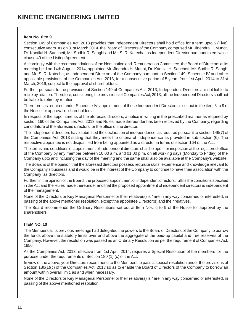#### **Item No. 6 to 9**

Section 149 of Companies Act, 2013 provides that Independent Directors shall hold office for a term upto 5 (Five) consecutive years. As on 31st March 2014, the Board of Directors of the Company comprised Mr. Jinendra H. Munot, Dr. Kantilal H. Sancheti, Mr. Sudhir R. Sanghi and Mr. S. R. Kotecha, as Independent Director pursuant to erstwhile clause 49 of the Listing Agreement.

Accordingly, with the recommendations of the Nomination and Remuneration Committee, the Board of Directors at its meeting held on 14th August, 2014, appointed Mr. Jinendra H. Munot, Dr. Kantilal H. Sancheti, Mr. Sudhir R. Sanghi and Mr. S. R. Kotecha, as Independent Directors of the Company pursuant to Section 149, Schedule IV and other applicable provisions, of the Companies Act, 2013, for a consecutive period of 5 years from 1st April, 2014 to 31st March, 2019, subject to the approval of shareholders.

Further, pursuant to the provisions of Section 149 of Companies Act, 2013, Independent Directors are not liable to retire by rotation. Therefore, considering the provisions of Companies Act, 2013, all the Independent Directors shall not be liable to retire by rotation.

Therefore, as required under Schedule IV, appointment of these Independent Directors is set out in the item 6 to 9 of the Notice for approval of shareholders.

In respect of the appointments of the aforesaid directors, a notice in writing in the prescribed manner as required by section 160 of the Companies Act, 2013 and Rules made thereunder has been received by the Company, regarding candidature of the aforesaid directors for the office of the director.

The independent directors have submitted the declaration of independence, as required pursuant to section 149(7) of the Companies Act, 2013 stating that they meet the criteria of independence as provided in sub-section (6). The respective appointee is not disqualified from being appointed as a director in terms of section 164 of the Act.

The terms and conditions of appointment of independent directors shall be open for inspection at the registered office of the Company by any member between 10.00 a.m. and 01.00 p.m. on all working days (Monday to Friday) of the Company upto and including the day of the meeting and the same shall also be available at the Company's website.

The Board is of the opinion that the aforesaid directors possess requisite skills, experience and knowledge relevant to the Company's business and it would be in the interest of the Company to continue to have their association with the Company as directors.

Further, in the opinion of the Board, the proposed appointment of independent directors, fulfills the conditions specified in the Act and the Rules made thereunder and that the proposed appointment of independent directors is independent of the management.

None of the Directors or Key Managerial Personnel or their relative(s) is / are in any way concerned or interested, in passing of the above mentioned resolution, except the appointee Director(s) and their relatives.

The Board recommends the Ordinary Resolutions set out at Item Nos. 6 to 9 of the Notice for approval by the shareholders.

#### **ITEM NO. 10**

The Members at its previous meetings had delegated the powers to the Board of Directors of the Company to borrow the funds above the statutory limits over and above the aggregate of the paid-up capital and free reserves of the Company. However, the resolution was passed as an Ordinary Resolution as per the requirement of Companies Act, 1956.

As the Companies Act, 2013, effective from 1st April, 2014, requires a Special Resolution of the members for the purpose under the requirements of Section 180 (1) (c) of the Act.

In view of the above, your Directors recommend to the Members to pass a special resolution under the provisions of Section 180(1)(c) of the Companies Act, 2013 so as to enable the Board of Directors of the Company to borrow an amount within overall limit, as and when necessary.

None of the Directors or Key Managerial Personnel or their relative(s) is / are in any way concerned or interested, in passing of the above mentioned resolution.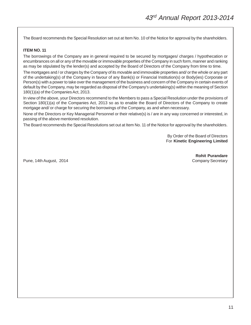The Board recommends the Special Resolution set out at Item No. 10 of the Notice for approval by the shareholders.

#### **ITEM NO. 11**

The borrowings of the Company are in general required to be secured by mortgages/ charges / hypothecation or encumbrances on all or any of the movable or immovable properties of the Company in such form, manner and ranking as may be stipulated by the lender(s) and accepted by the Board of Directors of the Company from time to time.

The mortgages and / or charges by the Company of its movable and immovable properties and/ or the whole or any part of the undertaking(s) of the Company in favour of any Bank(s) or Financial Institution(s) or Body(ies) Corporate or Person(s) with a power to take over the management of the business and concern of the Company in certain events of default by the Company, may be regarded as disposal of the Company's undertaking(s) within the meaning of Section 180(1)(a) of the Companies Act, 2013.

In view of the above, your Directors recommend to the Members to pass a Special Resolution under the provisions of Section 180(1)(a) of the Companies Act, 2013 so as to enable the Board of Directors of the Company to create mortgage and/ or charge for securing the borrowings of the Company, as and when necessary.

None of the Directors or Key Managerial Personnel or their relative(s) is / are in any way concerned or interested, in passing of the above mentioned resolution.

The Board recommends the Special Resolutions set out at Item No. 11 of the Notice for approval by the shareholders.

By Order of the Board of Directors For **Kinetic Engineering Limited**

Pune, 14th August, 2014 **Company Secretary** Company Secretary

**Rohit Purandare**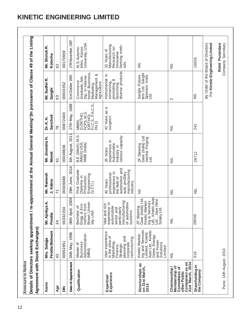# **KINETIC ENGINEERING LIMITED**

| Details of Directors seeking appointment /<br>Agreement with Stock Exchanges)                          |                                                                                                                                    |                                                                                                                                |                                                                                                                             | re-appointment at the Annual General Meeting"(In pursuance of Clause 49 of the Listing |                                                                                       |                                                                                                                   |                                                                                    |
|--------------------------------------------------------------------------------------------------------|------------------------------------------------------------------------------------------------------------------------------------|--------------------------------------------------------------------------------------------------------------------------------|-----------------------------------------------------------------------------------------------------------------------------|----------------------------------------------------------------------------------------|---------------------------------------------------------------------------------------|-------------------------------------------------------------------------------------------------------------------|------------------------------------------------------------------------------------|
| Name                                                                                                   | Firodia Motwani<br>Mrs. Sulajja                                                                                                    | kya A.<br>Mr. Ajinl<br>Firodia                                                                                                 | Mr. Ramesh<br>J. Kabra                                                                                                      | Mr. Jinendra H<br>Munot                                                                | Sancheti<br>Dr. K. H.                                                                 | Mr. Sudhir R.<br>Sanghi                                                                                           | Mr. Shirish R.<br>Kotecha                                                          |
| Age                                                                                                    | 43                                                                                                                                 | 34                                                                                                                             | $\overline{7}$                                                                                                              | 61                                                                                     | 78                                                                                    | 63                                                                                                                | 82                                                                                 |
| $\leq$                                                                                                 | 00052851                                                                                                                           | 00332204                                                                                                                       | 00306688                                                                                                                    | 00049838                                                                               | 00872400                                                                              | 00033352                                                                                                          | 00170659                                                                           |
| Date of Appointment                                                                                    | 1996<br>04th May,                                                                                                                  | 06th April, 2009                                                                                                               | 2014<br>28th June,                                                                                                          | 2011<br>6th August,                                                                    | 1989<br>27th May,                                                                     | 31st October, 1995                                                                                                | 27th November, 1987                                                                |
| Qualification                                                                                          | Administration<br>Business<br>Master of<br>(MBA)                                                                                   | Brown Univer-<br>Eco-<br>from<br>Bachelor of<br>sity, USA<br>Engg. &<br>nomics                                                 | Post Graduate<br>Engineering<br>(V.J.T.I.)<br>Diploma in<br>Production                                                      | B.E. (Mech), M.S.<br>(Mech) USA,<br>AMIE (India)                                       | FI.C.S., F <sup>'A.C.S.</sup> ,<br>PH.D<br>MBBS,<br>D.ORTHO,<br>FCPS, M.S.<br>(ORTHO) | tional Business,<br>య<br>Dip. In Interna-<br>Commerce<br>Graduate, Adv.<br>Management<br>Agriculture<br>Marketing | University, USA<br>M.S. Automo-<br>biles, Kanas                                    |
| Expertise/<br>Experience                                                                               | Vast experience<br>planning and<br>in the area of<br>restructuring.<br>Marketing,<br>corporate<br>Strategic<br>Finance             | manufacturing<br>experience in<br>of automotive<br>Vast and rich<br>automobile<br>particularly<br>sector and<br>systems        | automotive and<br>manufacturing<br>experience in<br>the field of<br>auto ancillary<br>professional<br>40 Years<br>industry. | Industry in<br>various capacity<br>≘<br>Automobile<br>experience<br>35 Years           | a<br>42 Years as<br>surgeon                                                           | diverse products<br>Instrumental in<br>promoting <sup>2</sup><br>conceiving,<br>aunching                          | Manufacturing<br>farming meth-<br>Recearch on<br>32 Years of<br>innovative<br>ods. |
| Directorships as<br>on 31st March,<br>2014                                                             | ing and Services<br>Limited, Kinetic<br>Auto Ltd., Kinetic<br>Kinetic Market-<br>Green Energy<br>and Power<br>Solutions<br>Limited | ZF Steering<br>Gear (India) Ltd.,<br>Kinetic Market-<br>ing & Services<br>Ltd., Kinetic Auto<br>Ltd., Jaya Hind<br>Sciaky Ltd. | $\bar{\bar{z}}$                                                                                                             | ZF Steering<br>Gear (India) Ltd.<br>Varshà Forging<br>Ltd.                             | $\equiv$                                                                              | Sanghi Polyes-<br>ters Ltd. Sanghi<br>Spinners India<br>Ltd.                                                      | $\equiv$                                                                           |
| Companies as on<br>31st March, 2014<br>Membership of<br>Chairmanship/<br>Committees of<br>other Public | $\equiv$                                                                                                                           | $\equiv$                                                                                                                       | $\equiv$                                                                                                                    | $\equiv$                                                                               | $\equiv$                                                                              | S                                                                                                                 | $\equiv$                                                                           |
| Shareholding in<br>the Company                                                                         | 616                                                                                                                                | 28049                                                                                                                          | $\equiv$                                                                                                                    | 28712                                                                                  | 241                                                                                   | $\equiv$                                                                                                          | 16655                                                                              |
|                                                                                                        |                                                                                                                                    |                                                                                                                                |                                                                                                                             |                                                                                        |                                                                                       | By Order of the Board of Directors                                                                                | For Kinetic Engineering Limited                                                    |
| Pune, 14th August, 2014                                                                                |                                                                                                                                    |                                                                                                                                |                                                                                                                             |                                                                                        |                                                                                       |                                                                                                                   | Rohit Purandare<br>Company Secretary                                               |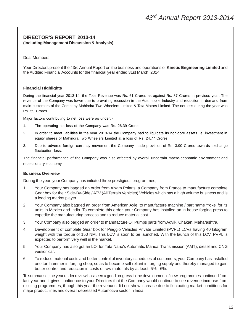#### **DIRECTOR'S REPORT 2013-14 (including Management Discussion & Analysis)**

Dear Members,

Your Directors present the 43rd Annual Report on the business and operations of **Kinetic Engineering Limited** and the Audited Financial Accounts for the financial year ended 31st March, 2014.

#### **Financial Highlights**

During the financial year 2013-14, the Total Revenue was Rs. 61 Crores as against Rs. 87 Crores in previous year. The revenue of the Company was lower due to prevailing recession in the Automobile Industry and reduction in demand from main customers of the Company Mahindra Two Wheelers Limited & Tata Motors Limited. The net loss during the year was Rs. 59 Crores.

Major factors contributing to net loss were as under: -

- 1. The operating net loss of the Company was Rs. 26.39 Crores.
- 2. In order to meet liabilities in the year 2013-14 the Company had to liquidate its non-core assets i.e. investment in equity shares of Mahindra Two Wheelers Limited at a loss of Rs. 24.77 Crores.
- 3. Due to adverse foreign currency movement the Company made provision of Rs. 3.90 Crores towards exchange fluctuation loss.

The financial performance of the Company was also affected by overall uncertain macro-economic environment and recessionary economy.

#### **Business Overview**

During the year, your Company has initiated three prestigious programmes;

- 1. Your Company has bagged an order from Aixam Polaris, a Company from France to manufacture complete Gear box for their Side-By-Side / ATV (All Terrain Vehicles) Vehicles which has a high volume business and is a leading market player.
- 2. Your Company also bagged an order from American Axle, to manufacture machine / part name 'Yoke' for its units in Mexico and India. To complete this order, your Company has installed an in house forging press to expedite the manufacturing process and to reduce material cost.
- 3. Your Company also bagged an order to manufacture Oil Pumps parts from Advik, Chakan, Maharashtra.
- 4. Development of complete Gear box for Piaggio Vehicles Private Limited (PVPL) LCVs having 40 kilogram weight with the torque of 150 NM. This LCV is soon to be launched. With the launch of this LCV, PVPL is expected to perform very well in the market.
- 5. Your Company has also got an LOI for Tata Nano's Automatic Manual Transmission (AMT), diesel and CNG version car.
- 6. To reduce material costs and better control of inventory schedules of customers, your Company has installed one ton hammer in forging shop, so as to become self reliant in forging supply and thereby managed to gain better control and reduction in costs of raw materials by at least 5% - 6%.

To summarise, the year under review has seen a good progress in the development of new programmes continued from last year and it gives confidence to your Directors that the Company would continue to see revenue increase from existing programmes, though this year the revenues did not show increase due to fluctuating market conditions for major product lines and overall depressed Automotive sector in India.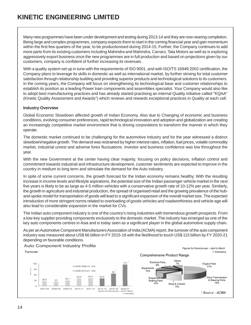Many new programmes have been under development and testing during 2013-14 and they are now nearing completion. Being large and complex programmes, company expects them to start in the coming financial year and gain momentum within the first few quarters of the year, to be productionised during 2014-15, Further, the Company continues to add more parts from its existing customers including Mahindra and Mahindra, Carraro, Tata Motors as well as is exploring aggressively export business once the new programmes are in full production and based on projections given by our customers, company is confident of further increasing its revenues .

With a quality system set up in tune with the requirements of ISO 9001, and with ISO/TS 16949:2002 certification, the Company plans to leverage its skills in domestic as well as international market, by further striving for total customer satisfaction through relationship building and providing superior products and technological solutions to its customers. In the coming years, the Company will focus on strengthening its technological base and customer relationships to establish its position as a leading Power train components and assemblies specialist. Your Company would also like to adopt best manufacturing practices and has already started practising an internal Quality initiative called "KQAA" (Kinetic Quality Assessment and Awards") which reviews and rewards exceptional practices in Quality at each cell.

#### **Industry Overview**

Global Economic Slowdown affected growth of Indian Economy. Also due to Changing of economic and business conditions, evolving consumer preferences, rapid technological innovation and adoption and globalization are creating an increasingly competitive market environment that is driving corporations to transform the manner in which they operate.

The domestic market continued to be challenging for the automotive industry and for the year witnessed a distinct slowdown/negative growth. The demand was restrained by higher interest rates, inflation, fuel prices, volatile commodity market, industrial unrest and adverse forex fluctuations. Investor and business confidence was low throughout the year.

With the new Government at the center having clear majority, focusing on policy decisions, inflation control and commitment towards industrial and infrastructure development, customer sentiments are expected to improve in the country in medium to long term and stimulate the demand for the Auto industry.

In spite of some current concerns, the growth forecast for the Indian economy remains healthy. With the resulting increase in income levels and lifestyle aspirations, the potential size of the Indian passenger vehicle market in the next five years is likely to be as large as 4-5 million vehicles with a conservative growth rate of 10-12% per year. Similarly, the growth in agriculture and industrial production, the spread of organised retail and the growing prevalence of the huband-spoke model for transportation of goods will lead to a significant expansion of the overall market size. The expected introduction of more stringent norms related to overloading of goods vehicles and roadworthiness and vehicle age will also lead to considerable expansion in the market for CVs.

The Indian auto component industry is one of the country's rising industries with tremendous growth prospects. From a low-key supplier providing components exclusively to the domestic market. The industry has emerged as one of the key auto components centres in Asia and is today seen as a significant player in the global automotive supply chain.

As per an Automotive Component Manufacturers Association of India (ACMA) report, the turnover of the auto component industry was measured about US\$ 66 billion in FY 2015-16 with the likelihood to touch US\$ 115 billion by FY 2020-21 depending on favorable conditions.

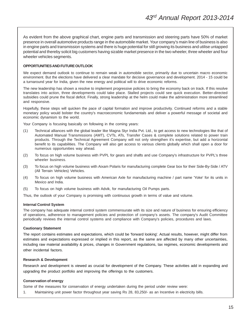As evident from the above graphical chart, engine parts and transmission and steering parts have 50% of market presence in overall automotive products range in the automobile market. Your company's main line of business is also in engine parts and transmission systems and there is huge potential for still growing its business and utilise untapped potential and thereby solicit big customers having sizable market presence in the two wheeler, three wheeler and four wheeler vehicles segments.

#### **OPPORTUNITIES AND FUTURE OUTLOOK**

We expect demand outlook to continue to remain weak in automobile sector, primarily due to uncertain macro economic environment. But the elections have delivered a clear mandate for decisive governance and development. 2014 - 15 could be a turnaround year for India, given the new energy and political will to drive economic reforms.

The new leadership has shown a resolve to implement progressive policies to bring the economy back on track. If this resolve translates into action, three developments could take place. Stalled projects could see quick execution. Better-directed subsidies could prune the fiscal deficit. Finally, strong leadership at the helm could make the administration more streamlined and responsive.

Hopefully, these steps will quicken the pace of capital formation and improve productivity. Continued reforms and a stable monetary policy would bolster the country's macroeconomic fundamentals and deliver a powerful message of societal and economic dynamism to the world.

Your Company is focusing basically on following in the coming years:

- (1) Technical alliances with the global leader like Magna Styr India Pvt. Ltd., to get access to new technologies like that of Automated Manual Transmissions (AMT), CVTs, ATs, Transfer Cases & complete solutions related to power train products. Through the Technical Agreement Company will not only strengthen it's expertise, but add a horizontal benefit to its capabilities. The Company will also get access to various clients globally which shall open a door for numerous opportunities way ahead.
- (2) To focus on high volume business with PVPL for gears and shafts and use Company's infrastructure for PVPL's three wheeler business.
- (3) To focus on high volume business with Aixam Polaris for manufacturing complete Gear box for their Side-By-Side / ATV (All Terrain Vehicles) Vehicles.
- (4) To focus on high volume business with American Axle for manufacturing machine / part name 'Yoke' for its units in Mexico and India.
- (5) To focus on high volume business with Advik, for manufacturing Oil Pumps parts.

Thus, the outlook of your Company is promising with continuous growth in terms of value and volume.

#### **Internal Control System**

The company has adequate internal control system commensurate with its size and nature of business for ensuring efficiency of operations, adherence to management policies and protection of company's assets. The company's Audit Committee periodically reviews the internal control systems and compliance with Company's policies, procedures and laws.

#### **Cautionary Statement**

The report contains estimates and expectations, which could be 'forward looking'. Actual results, however, might differ from estimates and expectations expressed or implied in this report, as the same are affected by many other uncertainties, including raw material availability & prices, changes in Government regulations, tax regimes, economic developments and other incidental factors.

#### **Research & Development**

Research and development is viewed as crucial for development of the Company. These activities add in expanding and upgrading the product portfolio and improving the offerings to the customers.

#### **Conservation of energy**

Some of the measures for conservation of energy undertaken during the period under review were:

1. Maintaining unit power factor throughout year saving Rs 28, 83,250/- as an Incentive in electricity bills.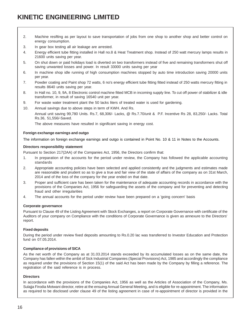- 2. Machine resifting as per layout to save transportation of jobs from one shop to another shop and better control on energy consumption.
- 3. In gear box testing all air leakage are arrested.
- 4. Energy efficient tube fitting installed in Hall no.8 & Heat Treatment shop. Instead of 250 watt mercury lamps results in 21600 units saving per year.
- 5. On shut down or paid holidays load is diverted on two transformers instead of five and remaining transformers shut off saving unwanted losses and power. In result 33000 units saving per year
- 6. In machine shop idle running of high consumption machines stopped by auto time introduction saving 20000 units per year.
- 7. Powder coating and Paint shop 72 watts, 6 no's energy efficient tube fitting fitted instead of 250 watts mercury fitting in results 8640 units saving per year.
- 8. In Hall no. 10, 9, 9A, 8 Electronic control machine fitted MCB in incoming supply line. To cut off power of stabilizer & idle transformer, in result of saving 16540 unit per year.
- 9. For waste water treatment plant the 50 lacks liters of treated water is used for gardening.
- 10. Annual savings due to above steps in term of KWH. And Rs.

Annual unit saving 99,780 Units. Rs.7, 68,306/- Lacks, @ Rs.7.70/unit & P.F. Incentive Rs 28, 83,250/- Lacks. Total Rs.36, 51,556/-Saved.

The above measures have resulted in significant saving in energy cost.

#### **Foreign exchange earnings and outgo**

The information on foreign exchange earnings and outgo is contained in Point No. 10 & 11 in Notes to the Accounts.

#### **Directors responsibility statement**

Pursuant to Section 217(2AA) of the Companies Act, 1956, the Directors confirm that:

- 1. In preparation of the accounts for the period under review, the Company has followed the applicable accounting standards
- 2. Appropriate accounting policies have been selected and applied consistently and the judgments and estimates made are reasonable and prudent so as to give a true and fair view of the state of affairs of the company as on 31st March, 2014 and of the loss of the company for the year ended on that date.
- 3. Proper and sufficient care has been taken for the maintenance of adequate accounting records in accordance with the provisions of the Companies Act, 1956 for safeguarding the assets of the company and for preventing and detecting fraud and other irregularities
- 4. The annual accounts for the period under review have been prepared on a 'going concern' basis

#### **Corporate governance**

Pursuant to Clause 49 of the Listing Agreement with Stock Exchanges, a report on Corporate Governance with certificate of the Auditors of your company on Compliance with the conditions of Corporate Governance is given as annexure to the Directors' report.

#### **Fixed deposits**

During the period under review fixed deposits amounting to Rs.0.20 lac was transferred to Investor Education and Protection fund on 07.05.2014.

#### **Compliance of provisions of SICA**

As the net worth of the Company as at 31.03.2014 stands exceeded by its accumulated losses as on the same date, the Company has fallen within the ambit of Sick Industrial Companies (Special Provisions) Act, 1985 and accordingly the compliance as required under the provisions of Section 15(1) of the said Act has been made by the Company by filling a reference. The registration of the said reference is in process.

#### **Directors**

In accordance with the provisions of the Companies Act, 1956 as well as the Articles of Association of the Company, Ms. Sulajja Firodia Motwani director, retire at the ensuing Annual General Meeting, and is eligible for re-appointment. The information as required to be disclosed under clause 49 of the listing agreement in case of re-appointment of director is provided in the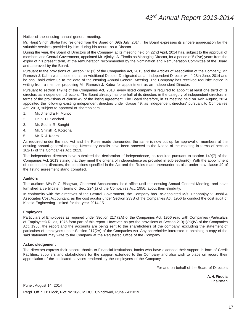Notice of the ensuing annual general meeting.

Mr. Harjit Singh Bhatia had resigned from the Board on 09th July, 2014. The Board expresses its sincere appreciation for the valuable services provided by him during his tenure as a Director.

During the year, the Board of Directors of the Company, at its meeting held on 22nd April, 2014 has, subject to the approval of members and Central Government, appointed Mr. Ajinkya A. Firodia as Managing Director, for a period of 5 (five) years from the expiry of his present term, at the remuneration recommended by the Nomination and Remuneration Committee of the Board and approved by the Board.

Pursuant to the provisions of Section 161(1) of the Companies Act, 2013 and the Articles of Association of the Company, Mr. Ramesh J. Kabra was appointed as an Additional Director Designated as an Independent Director w.e.f. 28th June, 2014 and he shall hold office up to the date of the ensuing Annual General Meeting. The Company has received requisite notice in writing from a member proposing Mr. Ramesh J. Kabra for appointment as an Independent Director.

Pursuant to section 149(4) of the Companies Act, 2013, every listed company is required to appoint at least one third of its directors as independent directors. The Board already has one half of its directors in the category of independent directors in terms of the provisions of clause 49 of the listing agreement. The Board therefore, in its meeting held on 14th August, 2014 appointed the following existing independent directors under clause 49, as 'independent directors' pursuant to Companies Act, 2013, subject to approval of shareholders:

- 1. Mr. Jinendra H. Munot
- 2. Dr. K. H. Sancheti
- 3. Mr. Sudhir R. Sanghi
- 4. Mr. Shirish R. Kotecha
- 5. Mr. R. J. Kabra

As required under the said Act and the Rules made thereunder, the same is now put up for approval of members at the ensuing annual general meeting. Necessary details have been annexed to the Notice of the meeting in terms of section 102(1) of the Companies Act, 2013.

The independent directors have submitted the declaration of independence, as required pursuant to section 149(7) of the Companies Act, 2013 stating that they meet the criteria of independence as provided in sub-section(6). With the appointment of independent directors, the conditions specified in the Act and the Rules made thereunder as also under new clause 49 of the listing agreement stand complied.

#### **Auditors**

The auditors M/s P. G. Bhagwat, Chartered Accountants, hold office until the ensuing Annual General Meeting, and have furnished a certificate in terms of Sec. 224(1) of the Companies Act, 1956, about their eligibility.

In conformity with the directives of the Central Government, the Company has Re-appointed M/s. Dhananjay V. Joshi & Associates Cost Accountant, as the cost auditor under Section 233B of the Companies Act, 1956 to conduct the cost audit of Kinetic Engineering Limited for the year 2014-15.

#### **Employees**

Particulars of Employees as required under Section 217 (2A) of the Companies Act, 1956 read with Companies (Particulars of Employees) Rules, 1975 form part of this report. However, as per the provisions of Section 219(1)(b)(IV) of the Companies Act, 1956, the report and the accounts are being sent to the shareholders of the company, excluding the statement of particulars of employees under Section 217(2A) of the Companies Act. Any shareholder interested in obtaining a copy of the said statement may write to the Company at the Registered Office of the Company.

#### **Acknowledgement**

The directors express their sincere thanks to Financial Institutions, banks who have extended their support in form of Credit Facilities, suppliers and stakeholders for the support extended to the Company and also wish to place on record their appreciation of the dedicated services rendered by the employees of the Company.

For and on behalf of the Board of Directors

**A. H. Firodia** Chairman

Pune : August 14, 2014

Regd. Off. : D1Block, Plot No.18/2, MIDC, Chinchwad, Pune - 411019.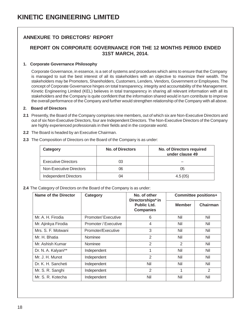#### **ANNEXURE TO DIRECTORS' REPORT**

#### **REPORT ON CORPORATE GOVERNANCE FOR THE 12 MONTHS PERIOD ENDED 31ST MARCH, 2014.**

#### **1. Corporate Governance Philosophy**

Corporate Governance, in essence, is a set of systems and procedures which aims to ensure that the Company is managed to suit the best interest of all its stakeholders with an objective to maximize their wealth. The stakeholders may be Promoters, Shareholders, Customers, Lenders, Vendors, Government or Employees. The concept of Corporate Governance hinges on total transparency, integrity and accountability of the Management. Kinetic Engineering Limited (KEL) believes in total transparency in sharing all relevant information with all its stakeholders and the Company is quite confident that the information shared would in turn contribute to improve the overall performance of the Company and further would strengthen relationship of the Company with all above.

#### **2. Board of Directors**

- **2.1** Presently, the Board of the Company comprises nine members, out of which six are Non-Executive Directors and out of six Non-Executive Directors, four are Independent Directors. The Non-Executive Directors of the Company are highly experienced professionals in their fields and in the corporate world.
- **2.2** The Board is headed by an Executive Chairman.

| 2.3 The Composition of Directors on the Board of the Company is as under: |  |
|---------------------------------------------------------------------------|--|
|                                                                           |  |

| Category                     | <b>No. of Directors</b> | <b>No. of Directors required</b><br>under clause 49 |
|------------------------------|-------------------------|-----------------------------------------------------|
| <b>Executive Directors</b>   | 03                      | --                                                  |
| Non-Executive Directors      | 06                      | 05                                                  |
| <b>Independent Directors</b> | 04                      | 4.5(05)                                             |

**2.4** The Category of Directors on the Board of the Company is as under:

| <b>Name of the Director</b> | Category             | No. of other<br>Directorships* in | <b>Committee positions+</b> |          |
|-----------------------------|----------------------|-----------------------------------|-----------------------------|----------|
|                             |                      |                                   | <b>Member</b>               | Chairman |
| Mr. A. H. Firodia           | Promoter/Executive   | 6                                 | Nil                         | Nil      |
| Mr. Ajinkya Firodia         | Promoter / Executive | 4                                 | Nil                         | Nil      |
| Mrs. S. F. Motwani          | Promoter/Executive   | 3                                 | Nil                         | Nil      |
| Mr. H. Bhatia               | <b>Nominee</b>       | 2                                 | Nil                         | Nil      |
| Mr. Ashish Kumar            | Nominee              | $\overline{2}$                    | $\overline{2}$              | Nil      |
| Dr. N. A. Kalyani**         | Independent          | 1                                 | Nil                         | Nil      |
| Mr. J. H. Munot             | Independent          | $\overline{2}$                    | Nil                         | Nil      |
| Dr. K. H. Sancheti          | Independent          | Nil                               | Nil                         | Nil      |
| Mr. S. R. Sanghi            | Independent          | 2                                 |                             | 2        |
| Mr. S. R. Kotecha           | Independent          | Nil                               | Nil                         | Nil      |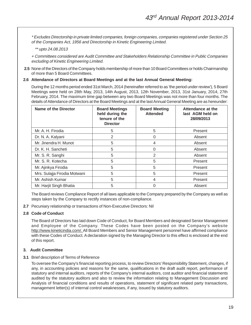\* Excludes Directorship in private limited companies, foreign companies, companies registered under Section 25 of the Companies Act, 1956 and Directorship in Kinetic Engineering Limited.

\*\* upto 24.08.2013

+ Committees considered are Audit Committee and Stakeholders Relationship Committee in Public Companies excluding of Kinetic Engineering Limited.

- **2.5** None of the Directors of the Company holds membership of more than 10 Board Committees or holds Chairmanship of more than 5 Board Committees.
- **2.6 Attendance of Directors at Board Meetings and at the last Annual General Meeting:**

During the 12 months period ended 31st March, 2014 (hereinafter referred to as 'the period under review'), 5 Board Meetings were held on 28th May, 2013, 14th August, 2013, 12th November, 2013, 31st January, 2014, 27th February, 2014. The maximum time gap between any two Board Meetings was not more than four months. The details of Attendance of Directors at the Board Meetings and at the last Annual General Meeting are as hereunder:

| Name of the Director         | <b>Board Meetings</b><br>held during the<br>tenure of the<br><b>Director</b> | <b>Board Meeting</b><br><b>Attended</b> | Attendance at the<br>last AGM held on<br>28/09/2013 |
|------------------------------|------------------------------------------------------------------------------|-----------------------------------------|-----------------------------------------------------|
| Mr. A. H. Firodia            | 5                                                                            | 5                                       | Present                                             |
| Dr. N. A. Kalyani            | 2                                                                            | 0                                       | Absent                                              |
| Mr. Jinendra H. Munot        | 5                                                                            | 4                                       | Absent                                              |
| Dr. K. H. Sancheti           | 5                                                                            | 0                                       | Absent                                              |
| Mr. S. R. Sanghi             | 5                                                                            | 2                                       | Absent                                              |
| Mr. S. R. Kotecha            | 5                                                                            | 5                                       | Present                                             |
| Mr. Ajinkya Firodia          | 5                                                                            | 5                                       | Present                                             |
| Mrs. Sulajja Firodia Motwani | 5                                                                            | 5                                       | Present                                             |
| Mr. Ashish Kumar             | 5                                                                            | 4                                       | Present                                             |
| Mr. Harjit Singh Bhatia      | 5                                                                            | 0                                       | Absent                                              |

The Board reviews Compliance Report of all laws applicable to the Company prepared by the Company as well as steps taken by the Company to rectify instances of non-compliance.

**2.7** Pecuniary relationship or transactions of Non-Executive Directors: Nil

#### **2.8 Code of Conduct**

The Board of Directors has laid down Code of Conduct, for Board Members and designated Senior Management and Employee of the Company. These Codes have been posted on the Company's website http://www.kineticindia.com/. All Board Members and Senior Management personnel have affirmed compliance with these Codes of Conduct. A declaration signed by the Managing Director to this effect is enclosed at the end of this report.

#### **3. Audit Committee**

#### **3.1** Brief description of Terms of Reference

To oversee the Company's financial reporting process, to review Directors' Responsibility Statement, changes, if any, in accounting policies and reasons for the same, qualifications in the draft audit report, performance of statutory and internal auditors, reports of the Company's internal auditors, cost auditor and financial statements audited by the statutory auditors and also to review the information relating to Management Discussion and Analysis of financial conditions and results of operations, statement of significant related party transactions, management letter(s) of internal control weaknesses, if any, issued by statutory auditors.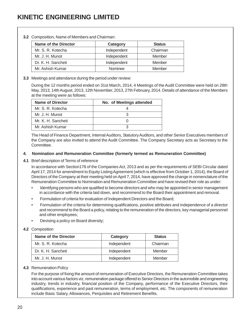| <b>Name of the Director</b> | Category       | <b>Status</b> |
|-----------------------------|----------------|---------------|
| Mr. S. R. Kotecha           | Independent    | Chairman      |
| Mr. J. H. Munot             | Independent    | Member        |
| Dr. K. H. Sancheti          | Independent    | Member        |
| Mr. Ashish Kumar            | <b>Nominee</b> | Member        |

#### **3.2** Composition, Name of Members and Chairman:

#### **3.3** Meetings and attendance during the period under review:

During the 12 months period ended on 31st March, 2014, 4 Meetings of the Audit Committee were held on 28th May, 2013, 14th August, 2013, 12th November, 2013, 27th February, 2014. Details of attendance of the Members at the meeting were as follows:

| Name of Director   | No. of Meetings attended |
|--------------------|--------------------------|
| Mr. S. R. Kotecha  |                          |
| Mr. J. H. Munot    |                          |
| Mr. K. H. Sancheti |                          |
| Mr. Ashish Kumar   |                          |

The Head of Finance Department, Internal Auditors, Statutory Auditors, and other Senior Executives members of the Company are also invited to attend the Audit Committee. The Company Secretary acts as Secretary to the Committee.

#### **4. Nomination and Remuneration Committee (formerly termed as Remuneration Committee)**

#### **4.1** Brief description of Terms of reference

In accordance with Section178 of the Companies Act, 2013 and as per the requirements of SEBI Circular dated April 17, 2014 for amendment to Equity Listing Agreement (which is effective from October 1, 2014), the Board of Directors of the Company at their meeting held on April 7, 2014, have approved the change in nomenclature of the Remuneration Committee to Nomination and Remuneration Committee and have revised their role as under:

- Identifying persons who are qualified to become directors and who may be appointed in senior management in accordance with the criteria laid down, and recommend to the Board their appointment and removal.
- Formulation of criteria for evaluation of Independent Directors and the Board;
- Formulation of the criteria for determining qualifications, positive attributes and independence of a director and recommend to the Board a policy, relating to the remuneration of the directors, key managerial personnel and other employees;
- Devising a policy on Board diversity;

#### **4.2** Composition

| Name of the Director | Category    | <b>Status</b> |
|----------------------|-------------|---------------|
| Mr. S. R. Kotecha    | Independent | Chairman      |
| Dr. K. H. Sancheti   | Independent | Member        |
| Mr. J. H. Munot      | Independent | Member        |

#### **4.3** Remuneration Policy

For the purpose of fixing the amount of remuneration of Executive Directors, the Remuneration Committee takes into account various factors viz. remuneration package offered to Senior Directors in the automobile and engineering industry, trends in industry, financial position of the Company, performance of the Executive Directors, their qualifications, experience and past remuneration, terms of employment, etc. The components of remuneration include Basic Salary, Allowances, Perquisites and Retirement Benefits.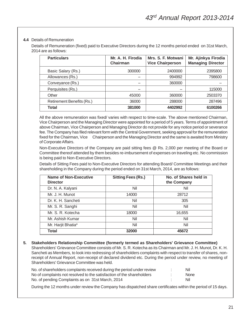#### **4.4** Details of Remuneration

Details of Remuneration (fixed) paid to Executive Directors during the 12 months period ended on 31st March, 2014 are as follows:

| <b>Particulars</b>        | Mr. A. H. Firodia<br>Chairman | Mrs. S. F. Motwani<br><b>Vice Chairperson</b> | Mr. Ajinkya Firodia<br><b>Managing Director</b> |
|---------------------------|-------------------------------|-----------------------------------------------|-------------------------------------------------|
| Basic Salary (Rs.)        | 300000                        | 2400000                                       | 2395800                                         |
| Allowances (Rs.)          |                               | 994992                                        | 798600                                          |
| Conveyance (Rs.)          | --                            | 360000                                        |                                                 |
| Perquisites (Rs.)         | --                            | --                                            | 115000                                          |
| Other                     | 45000                         | 360000                                        | 2503370                                         |
| Retirement Benefits (Rs.) | 36000                         | 288000                                        | 287496                                          |
| <b>Total</b>              | 381000                        | 4402992                                       | 6100266                                         |

All the above remuneration was fixed/ varies with respect to time-scale. The above mentioned Chairman, Vice Chairperson and the Managing Director were appointed for a period of 5 years. Terms of appointment of above Chairman, Vice Chairperson and Managing Director do not provide for any notice period or severance fee. The Company has filed relevant form with the Central Government, seeking approval for the remuneration fixed for the Chairman, Vice Chairperson and the Managing Director and the same is awaited from Ministry of Corporate Affairs.

Non-Executive Directors of the Company are paid sitting fees @ Rs. 2,000 per meeting of the Board or Committee thereof attended by them besides re-imbursement of expenses on traveling etc. No commission is being paid to Non-Executive Directors.

Details of Sitting Fees paid to Non-Executive Directors for attending Board/ Committee Meetings and their shareholding in the Company during the period ended on 31st March, 2014, are as follows:

| <b>Name of Non-Executive</b><br><b>Director</b> | <b>Sitting Fees (Rs.)</b> | No. of Shares held in<br>the Company |
|-------------------------------------------------|---------------------------|--------------------------------------|
| Dr. N. A. Kalyani                               | Nil                       | Nil                                  |
| Mr. J. H. Munot                                 | 14000                     | 28712                                |
| Dr. K. H. Sancheti                              | Nil                       | 305                                  |
| Mr. S. R. Sanghi                                | Nil                       | Nil                                  |
| Mr. S. R. Kotecha                               | 18000                     | 16,655                               |
| Mr. Ashish Kumar                                | Nil                       | Nil                                  |
| Mr. Harjit Bhatia*                              | Nil                       | Nil                                  |
| Total                                           | 32000                     | 45672                                |

**5. Stakeholders Relationship Committee (formerly termed as Shareholders' Grievance Committee)** Shareholders' Grievance Committee consists of Mr. S. R. Kotecha as its Chairman and Mr. J. H. Munot, Dr. K. H. Sancheti as Members, to look into redressing of shareholders complaints with respect to transfer of shares, nonreceipt of Annual Report, non-receipt of declared dividend etc. During the period under review, no meeting of Shareholders' Grievance Committee was held.

| No. of shareholders complaints received during the period under review | Nil         |
|------------------------------------------------------------------------|-------------|
| No of complaints not resolved to the satisfaction of the shareholders  | <b>None</b> |
| No. of pending Complaints as on 31st March, 2014                       | Nil         |

During the 12 months under review the Company has dispatched share certificates within the period of 15 days.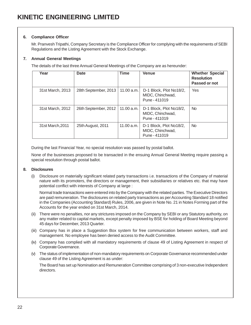#### **6. Compliance Officer**

Mr. Pranvesh Tripathi, Company Secretary is the Compliance Officer for complying with the requirements of SEBI Regulations and the Listing Agreement with the Stock Exchange.

#### **7. Annual General Meetings**

The details of the last three Annual General Meetings of the Company are as hereunder:

| Year             | Date                 | <b>Time</b> | <b>Venue</b>                                                 | <b>Whether Special</b><br><b>Resolution</b><br>Passed or not |
|------------------|----------------------|-------------|--------------------------------------------------------------|--------------------------------------------------------------|
| 31st March, 2013 | 28th September, 2013 | 11.00 a.m.  | D-1 Block, Plot No18/2,<br>MIDC, Chinchwad,<br>Pune - 411019 | Yes                                                          |
| 31st March, 2012 | 26th September, 2012 | 11.00 a.m.  | D-1 Block, Plot No18/2,<br>MIDC, Chinchwad,<br>Pune - 411019 | N <sub>o</sub>                                               |
| 31st March, 2011 | 25th August, 2011    | 11.00 a.m.  | D-1 Block, Plot No18/2,<br>MIDC, Chinchwad,<br>Pune - 411019 | N <sub>o</sub>                                               |

During the last Financial Year, no special resolution was passed by postal ballot.

None of the businesses proposed to be transacted in the ensuing Annual General Meeting require passing a special resolution through postal ballot.

#### **8. Disclosures**

(i) Disclosure on materially significant related party transactions i.e. transactions of the Company of material nature with its promoters, the directors or management, their subsidiaries or relatives etc. that may have potential conflict with interests of Company at large :

Normal trade transactions were entered into by the Company with the related parties. The Executive Directors are paid remuneration. The disclosures on related party transactions as per Accounting Standard 18 notified in the Companies (Accounting Standard) Rules, 2006, are given in Note No. 21 in Notes Forming part of the Accounts for the year ended on 31st March, 2014.

- (ii) There were no penalties, nor any strictures imposed on the Company by SEBI or any Statutory authority, on any matter related to capital markets, except penalty imposed by BSE for holding of Board Meeting beyond 45 days for December, 2013 Quarter.
- (iii) Company has in place a Suggestion Box system for free communication between workers, staff and management. No employee has been denied access to the Audit Committee.
- (iv) Company has complied with all mandatory requirements of clause 49 of Listing Agreement in respect of Corporate Governance.
- (v) The status of implementation of non-mandatory requirements on Corporate Governance recommended under clause 49 of the Listing Agreement is as under:

The Board has set up Nomination and Remuneration Committee comprising of 3 non-executive Independent directors.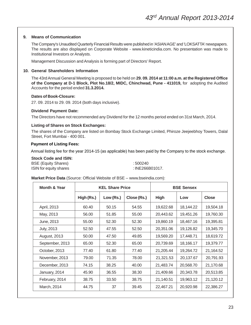#### **9. Means of Communication**

The Company's Unaudited Quarterly Financial Results were published in 'ASIAN AGE' and 'LOKSATTA' newspapers. The results are also displayed on Corporate Website - www.kineticindia.com. No presentation was made to Institutional Investors or Analysts.

Management Discussion and Analysis is forming part of Directors' Report.

#### **10. General Shareholders Information**

The 43rd Annual General Meeting is proposed to be held on **29. 09. 2014 at 11:00 a.m. at the Registered Office of the Company at D-1 Block, Plot No.18/2, MIDC, Chinchwad, Pune - 411019,** for adopting the Audited Accounts for the period ended **31.3.2014.**

#### **Dates of Book-Closure:**

27. 09. 2014 to 29. 09. 2014 (both days inclusive).

#### **Dividend Payment Date:**

The Directors have not recommended any Dividend for the 12 months period ended on 31st March, 2014.

#### **Listing of Shares on Stock Exchanges:**

The shares of the Company are listed on Bombay Stock Exchange Limited, Phiroze Jeejeebhoy Towers, Dalal Street, Fort Mumbai - 400 001.

#### **Payment of Listing Fees:**

Annual listing fee for the year 2014-15 (as applicable) has been paid by the Company to the stock exchange.

#### **Stock Code and ISIN:**

| <b>BSE (Equity Shares)</b> | : 500240        |
|----------------------------|-----------------|
| ISIN for equity shares     | : INE266B01017. |

#### **Market Price Data** (Source: Official Website of BSE – www.bseindia.com):

| Month & Year      |            | <b>KEL Share Price</b> |             | <b>BSE Sensex</b> |           |              |
|-------------------|------------|------------------------|-------------|-------------------|-----------|--------------|
|                   | High (Rs.) | Low (Rs.)              | Close (Rs.) | <b>High</b>       | Low       | <b>Close</b> |
| April, 2013       | 60.40      | 50.15                  | 54.55       | 19,622.68         | 18,144.22 | 19,504.18    |
| May, 2013         | 56.00      | 51.85                  | 55.00       | 20,443.62         | 19,451.26 | 19,760.30    |
| June, 2013        | 55.00      | 52.30                  | 52.30       | 19,860.19         | 18,467.16 | 19,395.81    |
| <b>July, 2013</b> | 52.50      | 47.55                  | 52.50       | 20,351.06         | 19,126.82 | 19,345.70    |
| August, 2013      | 50.00      | 47.50                  | 49.85       | 19,569.20         | 17,448.71 | 18,619.72    |
| September, 2013   | 65.00      | 52.30                  | 65.00       | 20,739.69         | 18,166.17 | 19,379.77    |
| October, 2013     | 77.40      | 61.80                  | 77.40       | 21,205.44         | 19,264.72 | 21,164.52    |
| November, 2013    | 79.00      | 71.35                  | 78.00       | 21,321.53         | 20,137.67 | 20,791.93    |
| December, 2013    | 74.15      | 38.25                  | 40.00       | 21,483.74         | 20,568.70 | 21,170.68    |
| January, 2014     | 45.90      | 36.55                  | 38.30       | 21,409.66         | 20,343.78 | 20,513.85    |
| February, 2014    | 38.75      | 33.50                  | 38.75       | 21,140.51         | 19,963.12 | 21,120.12    |
| March, 2014       | 44.75      | 37                     | 39.45       | 22,467.21         | 20,920.98 | 22,386.27    |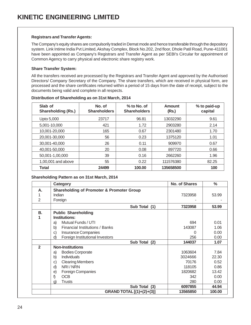#### **Registrars and Transfer Agents:**

The Company's equity shares are compulsorily traded in Demat mode and hence transferable through the depository system. Link Intime India Pvt Limited, Akshay Complex, Block No.202, 2nd floor, Dhole Patil Road, Pune-411001 have been appointed as Company's Registrars and Transfer Agent as per SEBI's Circular for appointment of Common Agency to carry physical and electronic share registry work.

#### **Share Transfer System:**

All the transfers received are processed by the Registrars and Transfer Agent and approved by the Authorised Directors/ Company Secretary of the Company. The share transfers, which are received in physical form, are processed and the share certificates returned within a period of 15 days from the date of receipt, subject to the documents being valid and complete in all respects.

| Slab of<br><b>Shareholding (Rs.)</b> | No. of<br><b>Shareholders</b> | $%$ to No. of<br><b>Shareholders</b> | Amount<br>(Rs.) | % to paid-up<br>capital |
|--------------------------------------|-------------------------------|--------------------------------------|-----------------|-------------------------|
| Upto 5,000                           | 23717                         | 96.81                                | 13032290        | 9.61                    |
| 5,001-10,000                         | 421                           | 1.72                                 | 2903280         | 2.14                    |
| 10,001-20,000                        | 165                           | 0.67                                 | 2301480         | 1.70                    |
| 20.001-30.000                        | 56                            | 0.23                                 | 1375120         | 1.01                    |
| 30.001-40.000                        | 26                            | 0.11                                 | 909970          | 0.67                    |
| 40,001-50,000                        | 20                            | 0.08                                 | 897720          | 0.66                    |
| 50,001-1,00,000                      | 39                            | 0.16                                 | 2662260         | 1.96                    |
| 1,00,001 and above                   | 55                            | 0.22                                 | 111576380       | 82.25                   |
| <b>Total</b>                         | 24499                         | 100.00                               | 135658500       | 100                     |

#### **Distribution of Shareholding as on 31st March, 2014**

#### **Shareholding Pattern as on 31st March, 2014**

|                | Category                                             | <b>No. of Shares</b> | $\%$   |
|----------------|------------------------------------------------------|----------------------|--------|
| А.             | <b>Shareholding of Promoter &amp; Promoter Group</b> |                      |        |
|                | Indian                                               | 7323958              | 53.99  |
| 2              | Foreign                                              |                      |        |
|                | Sub Total (1)                                        | 7323958              | 53.99  |
| В.             | <b>Public Shareholding</b>                           |                      |        |
|                | <b>Institutions:</b>                                 |                      |        |
|                | Mutual Funds / UTI<br>a)                             | 694                  | 0.01   |
|                | b)<br>Financial Institutions / Banks                 | 143087               | 1.06   |
|                | c)<br>Insurance Companies                            | Ω                    | 0.00   |
|                | Foreign Institutional Investors<br>d)                | 256                  | 0.00   |
|                | Sub Total (2)                                        | 144037               | 1.07   |
| $\overline{2}$ | <b>Non-Institutions</b>                              |                      |        |
|                | <b>Bodies Corporate</b><br>a)                        | 1063604              | 7.84   |
|                | b)<br><b>Individuals</b>                             | 3024666              | 22.30  |
|                | <b>Clearing Members</b><br>c)                        | 70176                | 0.52   |
|                | NRI/NRN<br>d)                                        | 118105               | 0.86   |
|                | <b>Foreign Companies</b><br>e)                       | 1820682              | 13.42  |
|                | <b>OCB</b><br>f)                                     | 342                  | 0.00   |
|                | <b>Trusts</b><br>g)                                  | 280                  | 0.00   |
|                | Sub Total (3)                                        | 6097855              | 44.94  |
|                | GRAND TOTAL [(1)+(2)+(3)]                            | 13565850             | 100.00 |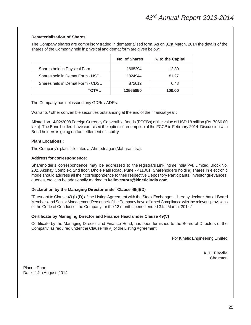#### **Dematerialisation of Shares**

The Company shares are compulsory traded in dematerialised form. As on 31st March, 2014 the details of the shares of the Company held in physical and demat form are given below:

|                                  | No. of Shares | % to the Capital |
|----------------------------------|---------------|------------------|
| Shares held in Physical Form     | 1668294       | 12.30            |
| Shares held in Demat Form - NSDL | 11024944      | 81.27            |
| Shares held in Demat Form - CDSL | 872612        | 6.43             |
| <b>TOTAL</b>                     | 13565850      | 100.00           |

The Company has not issued any GDRs / ADRs.

Warrants / other convertible securities outstanding at the end of the financial year :

Allotted on 14/02/2008 Foreign Currency Convertible Bonds (FCCBs) of the value of USD 18 million (Rs. 7066.80 lakh). The Bond holders have exercised the option of redemption of the FCCB in February 2014. Discussion with Bond holders is going on for settlement of liability.

#### **Plant Locations :**

The Company's plant is located at Ahmednagar (Maharashtra).

#### **Address for correspondence:**

Shareholder's correspondence may be addressed to the registrars Link Intime India Pvt. Limited, Block No. 202, Akshay Complex, 2nd floor, Dhole Patil Road, Pune - 411001. Shareholders holding shares in electronic mode should address all their correspondence to their respective Depository Participants. Investor grievances, queries, etc. can be additionally marked to **kelinvestors@kineticindia.com**

#### **Declaration by the Managing Director under Clause 49(I)(D)**

"Pursuant to Clause 49 (I) (D) of the Listing Agreement with the Stock Exchanges, I hereby declare that all Board Members and Senior Management Personnel of the Company have affirmed Compliance with the relevant provisions of the Code of Conduct of the Company for the 12 months period ended 31st March, 2014."

#### **Certificate by Managing Director and Finance Head under Clause 49(V)**

Certificate by the Managing Director and Finance Head, has been furnished to the Board of Directors of the Company, as required under the Clause 49(V) of the Listing Agreement.

For Kinetic Engineering Limited

**A. H. Firodia** Chairman

Place : Pune Date : 14th August, 2014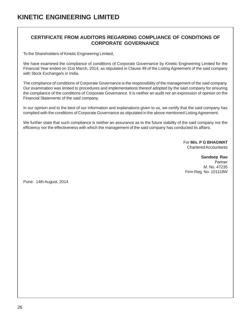#### **CERTIFICATE FROM AUDITORS REGARDING COMPLIANCE OF CONDITIONS OF CORPORATE GOVERNANCE**

To the Shareholders of Kinetic Engineering Limited,

We have examined the compliance of conditions of Corporate Governance by Kinetic Engineering Limited for the Financial Year ended on 31st March, 2014, as stipulated in Clause 49 of the Listing Agreement of the said company with Stock Exchange/s in India.

The compliance of conditions of Corporate Governance is the responsibility of the management of the said company. Our examination was limited to procedures and implementations thereof adopted by the said company for ensuring the compliance of the conditions of Corporate Governance. It is neither an audit nor an expression of opinion on the Financial Statements of the said company.

In our opinion and to the best of our information and explanations given to us, we certify that the said company has complied with the conditions of Corporate Governance as stipulated in the above mentioned Listing Agreement.

We further state that such compliance is neither an assurance as to the future viability of the said company nor the efficiency nor the effectiveness with which the management of the said company has conducted its affairs.

> For **M/s. P G BHAGWAT** Chartered Accountants

**Sandeep Rao** Partner M. No. 47235 Firm Reg. No. 101118W

Pune: 14th August, 2014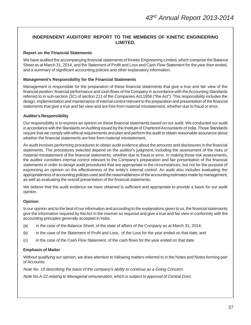#### **INDEPENDENT AUDITORS' REPORT TO THE MEMBERS OF KINETIC ENGINEERING LIMITED.**

#### **Report on the Financial Statements**

We have audited the accompanying financial statements of Kinetic Engineering Limited, which comprise the Balance Sheet as at March 31, 2014, and the Statement of Profit and Loss and Cash Flow Statement for the year then ended, and a summary of significant accounting policies and other explanatory information.

#### **Management's Responsibility for the Financial Statements**

Management is responsible for the preparation of these financial statements that give a true and fair view of the financial position, financial performance and cash flows of the Company in accordance with the Accounting Standards referred to in sub-section (3C) of section 211 of the Companies Act,1956 ("the Act"). This responsibility includes the design, implementation and maintenance of internal control relevant to the preparation and presentation of the financial statements that give a true and fair view and are free from material misstatement, whether due to fraud or error.

#### **Auditor's Responsibility**

Our responsibility is to express an opinion on these financial statements based on our audit. We conducted our audit in accordance with the Standards on Auditing issued by the Institute of Chartered Accountants of India. Those Standards require that we comply with ethical requirements and plan and perform the audit to obtain reasonable assurance about whether the financial statements are free from material misstatement.

An audit involves performing procedures to obtain audit evidence about the amounts and disclosures in the financial statements. The procedures selected depend on the auditor's judgment, including the assessment of the risks of material misstatement of the financial statements, whether due to fraud or error. In making those risk assessments, the auditor considers internal control relevant to the Company's preparation and fair presentation of the financial statements in order to design audit procedures that are appropriate in the circumstances, but not for the purpose of expressing an opinion on the effectiveness of the entity's internal control. An audit also includes evaluating the appropriateness of accounting policies used and the reasonableness of the accounting estimates made by management, as well as evaluating the overall presentation of the financial statements.

We believe that the audit evidence we have obtained is sufficient and appropriate to provide a basis for our audit opinion.

#### **Opinion**

In our opinion and to the best of our information and according to the explanations given to us, the financial statements give the information required by the Act in the manner so required and give a true and fair view in conformity with the accounting principles generally accepted in India:

- (a) in the case of the Balance Sheet, of the state of affairs of the Company as at March 31, 2014;
- (b) in the case of the Statement of Profit and Loss, of the Loss for the year ended on that date; and
- (c) in the case of the Cash Flow Statement, of the cash flows for the year ended on that date.

#### **Emphasis of Matter**

Without qualifying our opinion, we draw attention to following matters referred to in the Notes and Notes forming part of Accounts:

Note No. 19 describing the basis of the company's ability to continue as a Going Concern.

Note No.A-22 relating to Managerial remuneration, which is subject to approval of Central Govt.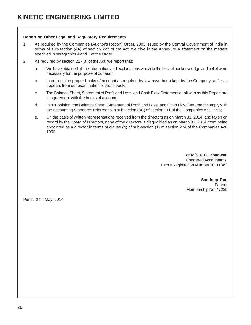#### **Report on Other Legal and Regulatory Requirements**

- 1. As required by the Companies (Auditor's Report) Order, 2003 issued by the Central Government of India in terms of sub-section (4A) of section 227 of the Act, we give in the Annexure a statement on the matters specified in paragraphs 4 and 5 of the Order.
- 2. As required by section 227(3) of the Act, we report that:
	- a. We have obtained all the information and explanations which to the best of our knowledge and belief were necessary for the purpose of our audit;
	- b. In our opinion proper books of account as required by law have been kept by the Company so far as appears from our examination of those books;
	- c. The Balance Sheet, Statement of Profit and Loss, and Cash Flow Statement dealt with by this Report are in agreement with the books of account;
	- d. In our opinion, the Balance Sheet, Statement of Profit and Loss, and Cash Flow Statement comply with the Accounting Standards referred to in subsection (3C) of section 211 of the Companies Act, 1956;
	- e. On the basis of written representations received from the directors as on March 31, 2014, and taken on record by the Board of Directors, none of the directors is disqualified as on March 31, 2014, from being appointed as a director in terms of clause (g) of sub-section (1) of section 274 of the Companies Act, 1956.

For **M/S P. G. Bhagwat,** Chartered Accountants, Firm's Registration Number 101118W.

> **Sandeep Rao Partner** Membership No. 47235

Pune: 24th May, 2014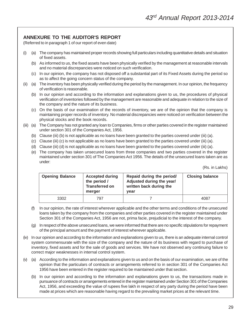#### **ANNEXURE TO THE AUDITOR'S REPORT**

(Referred to in paragraph 1 of our report of even date)

- (i) (a) The company has maintained proper records showing full particulars including quantitative details and situation of fixed assets.
	- (b) As informed to us, the fixed assets have been physically verified by the management at reasonable intervals and no material discrepancies were noticed on such verification.
	- (c) In our opinion, the company has not disposed off a substantial part of its Fixed Assets during the period so as to affect the going concern status of the company.
- (ii) (a) The inventory has been physically verified during the period by the management. In our opinion, the frequency of verification is reasonable.
	- (b) In our opinion and according to the information and explanations given to us, the procedures of physical verification of inventories followed by the management are reasonable and adequate in relation to the size of the company and the nature of its business.
	- (c) On the basis of our examination of the records of inventory, we are of the opinion that the company is maintaining proper records of inventory. No material discrepancies were noticed on verification between the physical stocks and the book records.
- (iii) (a) The Company has not granted any loan to Companies, firms or other parties covered in the register maintained under section 301 of the Companies Act, 1956.
	- (b) Clause (iii) (b) is not applicable as no loans have been granted to the parties covered under (iii) (a).
	- (c) Clause (iii) (c) is not applicable as no loans have been granted to the parties covered under (iii) (a).
	- (d) Clause (iii) (d) is not applicable as no loans have been granted to the parties covered under (iii) (a).
	- (e) The company has taken unsecured loans from three companies and two parties covered in the register maintained under section 301 of The Companies Act 1956. The details of the unsecured loans taken are as under:

(Rs. in Lakhs)

| <b>Opening Balance</b> | <b>Accepted during</b><br>the period /<br><b>Transferred on</b><br>merger | Repaid during the period/<br>Adjusted during the year/<br>written back during the<br>vear | <b>Closing balance</b> |
|------------------------|---------------------------------------------------------------------------|-------------------------------------------------------------------------------------------|------------------------|
| 3302                   | 797                                                                       |                                                                                           | 4087                   |

- (f) In our opinion, the rate of interest wherever applicable and the other terms and conditions of the unsecured loans taken by the company from the companies and other parties covered in the register maintained under Section 301 of the Companies Act, 1956 are not, prima facie, prejudicial to the interest of the company.
- (g) In respect of the above unsecured loans, we were informed that there are no specific stipulations for repayment of the principal amount and the payment of interest wherever applicable.
- (iv) In our opinion and according to the information and explanations given to us, there is an adequate internal control system commensurate with the size of the company and the nature of its business with regard to purchase of inventory, fixed assets and for the sale of goods and services. We have not observed any continuing failure to correct major weaknesses in internal control system.
- (v) (a) According to the information and explanations given to us and on the basis of our examination, we are of the opinion that the particulars of contracts or arrangements referred to in section 301 of the Companies Act 1956 have been entered in the register required to be maintained under that section.
	- (b) In our opinion and according to the information and explanations given to us, the transactions made in pursuance of contracts or arrangements entered in the register maintained under Section 301 of the Companies Act, 1956, and exceeding the value of rupees five lakh in respect of any party during the period have been made at prices which are reasonable having regard to the prevailing market prices at the relevant time.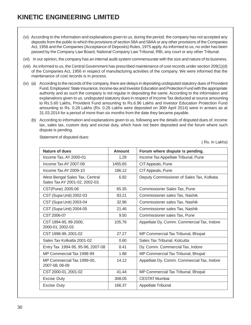- (vi) According to the information and explanations given to us, during the period, the company has not accepted any deposits from the public to which the provisions of section 58A and 58AA or any other provisions of the Companies Act, 1956 and the Companies (Acceptance of Deposits) Rules, 1975 apply. As informed to us, no order has been passed by the Company Law Board, National Company Law Tribunal, RBI, any court or any other Tribunal.
- (vii) In our opinion, the company has an internal audit system commensurate with the size and nature of its business.
- (viii) As informed to us, the Central Government has prescribed maintenance of cost records under section 209(1)(d) of the Companies Act, 1956 in respect of manufacturing activities of the company. We were informed that the maintenance of cost records is in process.
- (ix) (a) According to the records of the company, there are delays in depositing undisputed statutory dues of Provident Fund, Employees' State Insurance, Income-tax and Investor Education and Protection Fund with the appropriate authority and as such the company is not regular in depositing the same. According to the information and explanations given to us, undisputed statutory dues in respect of Income Tax deducted at source amounting to Rs.5.60 Lakhs, Provident Fund amounting to Rs.6.96 Lakhs and Investor Education Protection Fund amounting to Rs. 0.28 Lakhs (Rs. 0.28 Lakhs were deposited on 30th April 2014) were in arrears as at 31.03.2014 for a period of more than six months from the date they became payable.
	- (b) According to information and explanations given to us, following are the details of disputed dues of, income tax, sales tax, custom duty and excise duty, which have not been deposited and the forum where such dispute is pending.

Statement of disputed dues:

( Rs. in Lakhs)

| Nature of dues                                                   | Amount  | Forum where dispute is pending.            |
|------------------------------------------------------------------|---------|--------------------------------------------|
| Income Tax, AY 2000-01                                           | 1.29    | Income Tax Appellate Tribunal, Pune        |
| Income Tax AY 2007-08                                            | 1455.65 | CIT Appeals, Pune                          |
| Income Tax AY 2009-10                                            | 186.12  | CIT Appeals, Pune                          |
| West Bengal Sales Tax, Central<br>Sales Tax AY 2001-02, 2002-03. | 6.92    | Deputy Commissioner of Sales Tax, Kolkata. |
| CST(Pune) 2005-06                                                | 65.35   | <b>Commissioner Sales Tax, Pune</b>        |
| CST (Supa Unit) 2002-03                                          | 83.21   | Commissioner sales Tax, Nashik             |
| CST (Supa Unit) 2003-04                                          | 32.96   | Commissioner sales Tax, Nashik             |
| CST (Supa Unit) 2004-05                                          | 21.46   | Commissioner sales Tax, Nashik             |
| CST 2006-07                                                      | 9.50    | Commissioner sales Tax, Pune               |
| CST 1994-95, 99-2000,<br>2000-01, 2002-03                        | 105.76  | Appellate Dy. Comm. Commercial Tax, Indore |
| CST 1998-99, 2001-02                                             | 27.27   | MP Commercial Tax Tribunal, Bhopal         |
| Sales Tax Kolkatta 2001-02                                       | 0.60    | Sales Tax Tribunal, Kolcutta               |
| Entry Tax 1994-95, 95-96, 2007-08                                | 8.41    | Dy. Comm. Commercial Tax, Indore           |
| MP Commercial Tax 1998-99                                        | 1.88    | MP Commercial Tax Tribunal, Bhopal         |
| MP Commercial Tax 1999-00,<br>2007-08, 08-09                     | 14.12   | Appellate Dy. Comm. Commercial Tax, Indore |
| CST 2000-01, 2001-02                                             | 41.44   | MP Commercial Tax Tribunal, Bhopal         |
| Excise Duty                                                      | 308.05  | <b>CESTAT Mumbai</b>                       |
| <b>Excise Duty</b>                                               | 166.37  | Appellate Tribunal                         |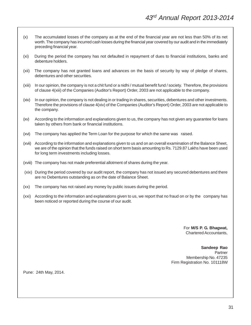- (x) The accumulated losses of the company as at the end of the financial year are not less than 50% of its net worth. The company has incurred cash losses during the financial year covered by our audit and in the immediately preceding financial year.
- (xi) During the period the company has not defaulted in repayment of dues to financial institutions, banks and debenture holders.
- (xii) The company has not granted loans and advances on the basis of security by way of pledge of shares, debentures and other securities.
- (xiii) In our opinion, the company is not a chit fund or a nidhi / mutual benefit fund / society. Therefore, the provisions of clause 4(xiii) of the Companies (Auditor's Report) Order, 2003 are not applicable to the company.
- (xiv) In our opinion, the company is not dealing in or trading in shares, securities, debentures and other investments. Therefore the provisions of clause 4(xiv) of the Companies (Auditor's Report) Order, 2003 are not applicable to the company.
- (xv) According to the information and explanations given to us, the company has not given any guarantee for loans taken by others from bank or financial institutions.
- (xvi) The company has applied the Term Loan for the purpose for which the same was raised.
- (xvii) According to the information and explanations given to us and on an overall examination of the Balance Sheet, we are of the opinion that the funds raised on short term basis amounting to Rs. 7129.87 Lakhs have been used for long term investments including losses.
- (xviii) The company has not made preferential allotment of shares during the year.
- (xix) During the period covered by our audit report, the company has not issued any secured debentures and there are no Debentures outstanding as on the date of Balance Sheet.
- (xx) The company has not raised any money by public issues during the period.
- (xxi) According to the information and explanations given to us, we report that no fraud on or by the company has been noticed or reported during the course of our audit.

For **M/S P. G. Bhagwat,** Chartered Accountants,

#### **Sandeep Rao** Partner Membership No. 47235 Firm Registration No. 101118W

Pune: 24th May, 2014.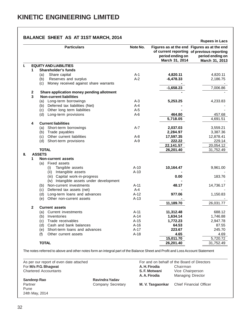#### **BALANCE SHEET AS AT 31ST MARCH, 2014**

|     |                |                                              |          |                                    | <b>Rupees in Lacs</b>                                                                                                           |
|-----|----------------|----------------------------------------------|----------|------------------------------------|---------------------------------------------------------------------------------------------------------------------------------|
|     |                | <b>Particulars</b>                           | Note No. | period ending on<br>March 31, 2014 | Figures as at the end Figures as at the end<br>of current reporting of previous reporting<br>period ending on<br>March 31, 2013 |
| L   |                | <b>EQUITY AND LIABILITIES</b>                |          |                                    |                                                                                                                                 |
|     | 1              | Shareholder's funds                          |          |                                    |                                                                                                                                 |
|     |                | Share capital<br>(a)                         | $A-1$    | 4,820.11                           | 4,820.11                                                                                                                        |
|     |                | Reserves and surplus<br>(b)                  | $A-2$    | $-6,478.33$                        | 2,186.75                                                                                                                        |
|     |                | Money received against share warrants<br>(c) |          |                                    |                                                                                                                                 |
|     |                |                                              |          | $-1,658.23$                        | 7,006.86                                                                                                                        |
|     | $\overline{2}$ | Share application money pending allotment    |          |                                    |                                                                                                                                 |
|     | 3              | <b>Non-current liabilities</b>               |          |                                    |                                                                                                                                 |
|     |                | (a) Long-term borrowings                     | $A-3$    | 5,253.25                           | 4,233.83                                                                                                                        |
|     |                | (b) Deferred tax liabilities (Net)           | $A - 4$  |                                    |                                                                                                                                 |
|     |                | (c) Other long term liabilities              | $A-5$    |                                    |                                                                                                                                 |
|     |                | (d) Long-term provisions                     | $A-6$    | 464.80                             | 457.68                                                                                                                          |
|     |                |                                              |          | 5,718.05                           | 4,691.51                                                                                                                        |
|     | 4              | <b>Current liabilities</b>                   |          |                                    |                                                                                                                                 |
|     |                | (a) Short-term borrowings                    | $A-7$    | 2,037.03                           | 3,559.21                                                                                                                        |
|     |                | (b) Trade payables                           |          | 2,284.97                           | 3,387.36                                                                                                                        |
|     |                | (c) Other current liabilities                | $A-8$    | 17,597.35                          | 12,878.41                                                                                                                       |
|     |                | (d) Short-term provisions                    | $A-9$    | 222.22                             | 229.14                                                                                                                          |
|     |                |                                              |          | 22,141.57                          | 20,054.12                                                                                                                       |
|     |                | <b>TOTAL</b>                                 |          | 26,201.40                          | 31,752.49                                                                                                                       |
| II. |                | <b>ASSETS</b>                                |          |                                    |                                                                                                                                 |
|     | 1              | <b>Non-current assets</b>                    |          |                                    |                                                                                                                                 |
|     |                | Fixed assets<br>(a)                          |          |                                    |                                                                                                                                 |
|     |                | Tangible assets<br>(i)                       | $A-10$   | 10,164.47                          | 9,961.00                                                                                                                        |
|     |                | (ii) Intangible assets                       | $A-10$   |                                    |                                                                                                                                 |
|     |                | (iii) Capital work-in-progress               |          | 0.00                               | 183.76                                                                                                                          |
|     |                | (iv) Intangible assets under development     |          |                                    |                                                                                                                                 |
|     |                | (b) Non-current investments                  | $A-11$   | 48.17                              | 14,736.17                                                                                                                       |
|     |                | Deferred tax assets (net)<br>(c)             | $A-4$    |                                    |                                                                                                                                 |
|     |                | (d) Long-term loans and advances             | $A-12$   | 977.06                             | 1,150.83                                                                                                                        |
|     |                | Other non-current assets<br>(e)              | $A-13$   |                                    |                                                                                                                                 |
|     |                |                                              |          | 11,189.70                          | 26,031.77                                                                                                                       |
|     | $\mathbf{2}$   | <b>Current assets</b>                        |          |                                    |                                                                                                                                 |
|     |                | (a) Current investments                      | A-11     | 11,312.48                          | 688.12                                                                                                                          |
|     |                | (b) Inventories                              | $A-14$   | 1,634.14                           | 1,746.88                                                                                                                        |
|     |                | (c) Trade receivables                        | A-15     | 1,772.23                           | 2,947.78                                                                                                                        |
|     |                | (d) Cash and bank balances                   | $A-16$   | 64.53                              | 87.55                                                                                                                           |
|     |                | (e) Short-term loans and advances            | $A-17$   | 223.67                             | 245.70                                                                                                                          |
|     |                | Other current assets<br>(f)                  | $A-18$   | 4.65                               | 4.69                                                                                                                            |
|     |                |                                              |          | 15,011.70                          | 5,720.72                                                                                                                        |
|     |                | <b>TOTAL</b>                                 |          | 26,201.40                          | 31,752.49                                                                                                                       |
|     |                |                                              |          |                                    |                                                                                                                                 |

The notes referred to above and other notes form an integral part of the Balance Sheet and Profit and Loss Account Statement

| As per our report of even date attached |                   |                  | For and on behalf of the Board of Directors |
|-----------------------------------------|-------------------|------------------|---------------------------------------------|
| For M/s P.G. Bhagwat                    |                   | A. H. Firodia    | Chairman                                    |
| <b>Chartered Accountants</b>            |                   | S. F. Motwani    | Vice Chairperson                            |
|                                         |                   | A. A. Firodia    | <b>Managing Director</b>                    |
| Sandeep Rao                             | Ravindra Yadav    |                  |                                             |
| Partner                                 | Company Secretary | M. V. Tasgaonkar | <b>Chief Financial Officer</b>              |
| Pune                                    |                   |                  |                                             |
| 24th May, 2014                          |                   |                  |                                             |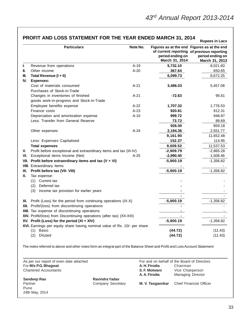|      | <b>Particulars</b>                                                                                                           | Note No. | Figures as at the end Figures as at the end<br>period ending on<br>March 31, 2014 | of current reporting of previous reporting<br>period ending on<br>March 31, 2013 |
|------|------------------------------------------------------------------------------------------------------------------------------|----------|-----------------------------------------------------------------------------------|----------------------------------------------------------------------------------|
| L.   | Revenue from operations                                                                                                      | $A-19$   | 5,732.10                                                                          | 8,021.60                                                                         |
| П.   | Other income                                                                                                                 | $A-20$   | 367.64                                                                            | 650.65                                                                           |
| III. | Total Revenue (I + II)                                                                                                       |          | 6,099.73                                                                          | 8,672.25                                                                         |
| IV.  | <b>Expenses:</b>                                                                                                             |          |                                                                                   |                                                                                  |
|      | Cost of materials consumed                                                                                                   | $A-21$   | 3,486.03                                                                          | 5,457.08                                                                         |
|      | Purchases of Stock-in-Trade                                                                                                  |          |                                                                                   |                                                                                  |
|      | Changes in inventories of finished                                                                                           | $A-21$   | $-72.63$                                                                          | 95.61                                                                            |
|      | goods work-in-progress and Stock-in-Trade                                                                                    |          |                                                                                   |                                                                                  |
|      | Employee benefits expense                                                                                                    | $A-22$   | 1,707.32                                                                          | 1,776.53                                                                         |
|      | Finance costs                                                                                                                | $A-23$   | 920.81                                                                            | 912.31                                                                           |
|      | Depreciation and amortization expense                                                                                        | $A-10$   | 999.72                                                                            | 948.87                                                                           |
|      | Less: Transfer from General Reserve                                                                                          |          | 73.72                                                                             | 89.69                                                                            |
|      |                                                                                                                              |          | 926.00                                                                            | 859.18                                                                           |
|      | Other expenses                                                                                                               | $A-24$   | 2,194.36                                                                          | 2,551.77                                                                         |
|      |                                                                                                                              |          | 9,161.90                                                                          | 11,652.48                                                                        |
|      | Less: Expenses Capitalised                                                                                                   |          | 152.37                                                                            | 114.95                                                                           |
|      | <b>Total expenses</b>                                                                                                        |          | 9,009.52                                                                          | 11,537.53                                                                        |
| V.   | Profit before exceptional and extraordinary items and tax (III-IV)                                                           |          | $-2,909.79$                                                                       | $-2,865.28$                                                                      |
| VI.  | Exceptional items Income (Net)                                                                                               | $A-25$   | $-2,990.40$                                                                       | 1,508.46                                                                         |
| VII. | Profit before extraordinary items and tax $(V + VI)$                                                                         |          | $-5,900.19$                                                                       | $-1,356.82$                                                                      |
|      | <b>VIII.</b> Extraordinary Items                                                                                             |          |                                                                                   |                                                                                  |
| IX.  | Profit before tax (VII- VIII)                                                                                                |          | $-5,900.19$                                                                       | $-1,356.82$                                                                      |
| Х.   | Tax expense:                                                                                                                 |          |                                                                                   |                                                                                  |
|      | (1) Current tax                                                                                                              |          |                                                                                   |                                                                                  |
|      | Deferred tax<br>(2)                                                                                                          |          |                                                                                   |                                                                                  |
|      | (3)<br>Income tax provision for earlier years                                                                                |          |                                                                                   |                                                                                  |
|      |                                                                                                                              |          |                                                                                   |                                                                                  |
|      | XI. Profit (Loss) for the period from continuing operations (IX-X)                                                           |          | $-5,900.19$                                                                       | $-1,356.82$                                                                      |
|      | XII. Profit/(loss) from discontinuing operations                                                                             |          |                                                                                   |                                                                                  |
|      | XIII. Tax expense of discontinuing operations                                                                                |          |                                                                                   |                                                                                  |
|      | XIV. Profit/(loss) from Discontinuing operations (after tax) (XII-XIII)                                                      |          |                                                                                   |                                                                                  |
|      | XV. Profit (Loss) for the period (XI + XIV)                                                                                  |          | $-5,900.19$                                                                       | $-1,356.82$                                                                      |
|      | XVI. Earnings per equity share having nominal value of Rs. 10/- per share                                                    |          |                                                                                   |                                                                                  |
|      | Basic<br>(1)                                                                                                                 |          | (44.72)                                                                           | (11.43)                                                                          |
|      | Diluted<br>(2)                                                                                                               |          | (44.72)                                                                           | (11.43)                                                                          |
|      | The notes referred to above and other notes form an integral part of the Balance Sheet and Profit and Loss Account Statement |          |                                                                                   |                                                                                  |

## **PROFIT AND LOSS STATEMENT FOR THE YEAR ENDED MARCH 31, 2014 Rupees in Lacs**

As per our report of even date attached For and on behalf of the Board of Directors For **M/s P.G. Bhagwat A. H. Firodia** Chairman **Chairman** Chairman **Chairman** Chairman **Chairman** Chairman **Chairman** Chairman **Chairman** Chairman **Chairman** Chairman **Chairman** Chairman **Chairman** Chairman **Chairman** Cha **Chartered Accountants A. A. Firodia** Managing Director **Sandeep Rao Ravindra Yadav**<br> **Partner** Company Secretary **M. V. Tasgaonkar** Chief Financial Officer Pune

24th May, 2014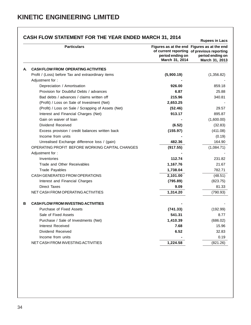|    | CASH FLOW STATEMENT FOR THE YEAR ENDED MARCH 31, 2014 |                                    | <b>Rupees in Lacs</b>                                                                                                           |
|----|-------------------------------------------------------|------------------------------------|---------------------------------------------------------------------------------------------------------------------------------|
|    | <b>Particulars</b>                                    | period ending on<br>March 31, 2014 | Figures as at the end Figures as at the end<br>of current reporting of previous reporting<br>period ending on<br>March 31, 2013 |
| А. | <b>CASH FLOW FROM OPERATING ACTIVITIES</b>            |                                    |                                                                                                                                 |
|    | Profit / (Loss) before Tax and extraordinary items    | (5,900.19)                         | (1,356.82)                                                                                                                      |
|    | Adjustment for:                                       |                                    |                                                                                                                                 |
|    | Depreciation / Amortisation                           | 926.00                             | 859.18                                                                                                                          |
|    | Provision for Doubtful Debts / advances               | 6.87                               | 25.88                                                                                                                           |
|    | Bad debts / advances / claims written off             | 215.96                             | 340.81                                                                                                                          |
|    | (Profit) / Loss on Sale of Investment (Net)           | 2,653.25                           |                                                                                                                                 |
|    | (Profit) / Loss on Sale / Scrapping of Assets (Net)   | (52.46)                            | 29.57                                                                                                                           |
|    | Interest and Financial Charges (Net)                  | 913.17                             | 895.87                                                                                                                          |
|    | Gain on waiver of loan                                |                                    | (1,600.00)                                                                                                                      |
|    | Dividend Received                                     | (6.52)                             | (32.83)                                                                                                                         |
|    | Excess provision / credit balances written back       | (155.97)                           | (411.08)                                                                                                                        |
|    | Income from units                                     |                                    | (0.19)                                                                                                                          |
|    | Unrealised Exchange difference loss / (gain)          | 482.36                             | 164.90                                                                                                                          |
|    | OPERATING PROFIT BEFORE WORKING CAPITAL CHANGES       | (917.55)                           | (1,084.71)                                                                                                                      |
|    | Adjustment for:                                       |                                    |                                                                                                                                 |
|    | Inventories                                           | 112.74                             | 231.82                                                                                                                          |
|    | Trade and Other Receivables                           | 1,167.76                           | 21.67                                                                                                                           |
|    | <b>Trade Payables</b>                                 | 1,738.04                           | 782.71                                                                                                                          |
|    | CASH GENERATED FROM OPERATIONS                        | 2,101.00                           | (48.51)                                                                                                                         |
|    | Interest and Financial Charges                        | (795.89)                           | (823.75)                                                                                                                        |
|    | <b>Direct Taxes</b>                                   | 9.09                               | 81.33                                                                                                                           |
|    | NET CASH FROM OPERATING ACTIVITIES                    | 1,314.20                           | (790.93)                                                                                                                        |
| В  | <b>CASH FLOW FROM INVESTING ACTIVITIES</b>            |                                    |                                                                                                                                 |
|    | Purchase of Fixed Assets                              | (741.33)                           | (192.99)                                                                                                                        |
|    | Sale of Fixed Assets                                  | 541.31                             | 8.77                                                                                                                            |
|    | Purchase / Sale of Investments (Net)                  | 1,410.39                           | (686.02)                                                                                                                        |
|    | Interest Received                                     | 7.68                               | 15.96                                                                                                                           |
|    | Dividend Received                                     | 6.52                               | 32.83                                                                                                                           |
|    | Income from units                                     |                                    | 0.19                                                                                                                            |
|    | NET CASH FROM INVESTING ACTIVITIES                    | 1,224.58                           | (821.26)                                                                                                                        |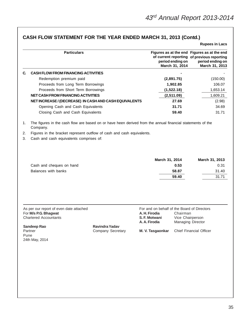## **CASH FLOW STATEMENT FOR THE YEAR ENDED MARCH 31, 2013 (Contd.)**

|      | <b>Particulars</b>                                                                                                     |                   |                                                                                                |                                    | Figures as at the end Figures as at the end<br>of current reporting of previous reporting |
|------|------------------------------------------------------------------------------------------------------------------------|-------------------|------------------------------------------------------------------------------------------------|------------------------------------|-------------------------------------------------------------------------------------------|
|      |                                                                                                                        |                   |                                                                                                | period ending on<br>March 31, 2014 | period ending on<br>March 31, 2013                                                        |
| C.   | <b>CASH FLOW FROM FINANCING ACTIVITIES</b>                                                                             |                   |                                                                                                |                                    |                                                                                           |
|      | Redemption premium paid                                                                                                |                   |                                                                                                | (2,891.75)                         | (150.00)                                                                                  |
|      | Proceeds from Long Term Borrowings                                                                                     |                   |                                                                                                | 1,902.85                           | 106.07                                                                                    |
|      | Proceeds from Short Term Borrowings                                                                                    |                   |                                                                                                | (1,522.18)                         | 1,653.14                                                                                  |
|      | <b>NET CASH FROM FINANCING ACTIVITIES</b>                                                                              |                   |                                                                                                | (2,511.09)                         | 1,609.21                                                                                  |
|      | NET INCREASE / (DECREASE) IN CASH AND CASH EQUIVALENTS                                                                 |                   |                                                                                                | 27.69                              | (2.98)                                                                                    |
|      | Opening Cash and Cash Equivalents                                                                                      |                   |                                                                                                | 31.71                              | 34.69                                                                                     |
|      | Closing Cash and Cash Equivalents                                                                                      |                   |                                                                                                | 59.40                              | 31.71                                                                                     |
| 1.   | The figures in the cash flow are based on or have heen derived from the annual financial statements of the<br>Company. |                   |                                                                                                |                                    |                                                                                           |
| 2.   | Figures in the bracket represent outflow of cash and cash equivalents.                                                 |                   |                                                                                                |                                    |                                                                                           |
|      | Cash and cash equivalents comprises of:                                                                                |                   |                                                                                                |                                    |                                                                                           |
| 3.   |                                                                                                                        |                   |                                                                                                |                                    |                                                                                           |
|      | Cash and cheques on hand                                                                                               |                   | March 31, 2014                                                                                 | 0.53                               | March 31, 2013<br>0.31                                                                    |
|      | Balances with banks                                                                                                    |                   |                                                                                                | 58.87                              | 31.40                                                                                     |
|      |                                                                                                                        |                   |                                                                                                | 59.40                              | 31.71                                                                                     |
|      |                                                                                                                        |                   |                                                                                                |                                    |                                                                                           |
|      | As per our report of even date attached<br>For M/s P.G. Bhagwat<br><b>Chartered Accountants</b>                        |                   | For and on behalf of the Board of Directors<br>A. H. Firodia<br>S. F. Motwani<br>A. A. Firodia | Chairman                           | Vice Chairperson<br>Managing Director                                                     |
|      | Sandeep Rao                                                                                                            | Ravindra Yadav    |                                                                                                |                                    |                                                                                           |
| Pune | Partner<br>24th May, 2014                                                                                              | Company Secretary | M. V. Tasgaonkar                                                                               |                                    | Chief Financial Officer                                                                   |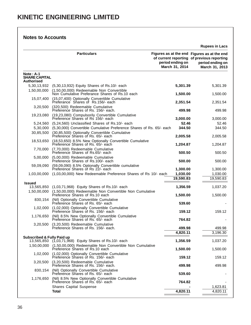|                                                          |                                                                                                        |                                    | <b>Rupees in Lacs</b>                                                                                                           |
|----------------------------------------------------------|--------------------------------------------------------------------------------------------------------|------------------------------------|---------------------------------------------------------------------------------------------------------------------------------|
|                                                          | <b>Particulars</b>                                                                                     | period ending on<br>March 31, 2014 | Figures as at the end Figures as at the end<br>of current reporting of previous reporting<br>period ending on<br>March 31, 2013 |
| $Note: A-1$<br><b>SHARE CAPITAL</b><br><b>Authorised</b> |                                                                                                        |                                    |                                                                                                                                 |
| 5,30,13,932                                              | (5,30,13,932) Equity Shares of Rs.10/- each                                                            | 5,301.39                           | 5,301.39                                                                                                                        |
| 1,50,00,000                                              | (1,50,00,000) Redeemable Non Convertible<br>Non Cumulative Preferance Shares of Rs.10 each             | 1,500.00                           | 1,500.00                                                                                                                        |
| 15,07,400                                                | (15,07,400) Optionally Convertible Cumulative<br>Preferance Shares of Rs.156/- each                    | 2,351.54                           | 2,351.54                                                                                                                        |
| 3,20,500                                                 | (320,500) Redeemable Cumulative<br>Preference Shares of Rs. 156/- each.                                | 499.98                             | 499.98                                                                                                                          |
| 19,23,080                                                | (19,23,080) Compulsorily Convertible Cumulative<br>Preference Shares of Rs 156/- each                  | 3,000.00                           | 3,000.00                                                                                                                        |
| 5,24,560                                                 | (5,24,560) Unclassified Shares of Rs.10/- each                                                         | 52.46                              | 52.46                                                                                                                           |
| 5,30,000                                                 | (5,30,000) Convertible Cumulative Preference Shares of Rs. 65/- each                                   | 344.50                             | 344.50                                                                                                                          |
| 30,85,500                                                | (30,85,500) Optionally Convertible Cumulative<br>Preference Shares of Rs. 65/- each                    | 2,005.58                           | 2,005.58                                                                                                                        |
| 18,53,650                                                | (18,53,650) 8.5% New Optionally Convertible Cumulative<br>Preference Shares of Rs. 65/- each           | 1,204.87                           | 1,204.87                                                                                                                        |
| 7,70,000                                                 | (7,70,000) Redeemable Cumulative<br>Preference Shares of Rs.65/- each                                  | 500.50                             | 500.50                                                                                                                          |
| 5,00,000                                                 | (5,00,000) Redeemable Cumulative<br>Preference Shares of Rs.100/- each                                 | 500.00                             | 500.00                                                                                                                          |
| 59,09,090                                                | (59,09,090) 8.5% Optionally Convertible cumulative<br>Preference Shares of Rs 22/- each                | 1,300.00                           | 1,300.00                                                                                                                        |
| 1,03,00,000                                              | (1,03,00,000) New Redeemable Preference Shares of Rs 10/- each                                         | 1,030.00                           | 1,030.00                                                                                                                        |
|                                                          |                                                                                                        | 19,590.83                          | 19,590.83                                                                                                                       |
| <b>Issued</b><br>13,565,850                              | (1,03,71,968) Equity Shares of Rs.10/- each                                                            | 1,356.59                           | 1,037.20                                                                                                                        |
| 1,50,00,000                                              | (1,50,00,000) Redeemable Non Convertible Non Cumulative<br>Preference Shares of Rs.10 each             | 1,500.00                           | 1,500.00                                                                                                                        |
| 830,154                                                  | (Nil) Optionally Convertible Cumulative<br>Preference Shares of Rs. 65/- each                          | 539.60                             |                                                                                                                                 |
| 1,02,000                                                 | (1,02,000) Optionally Convertible Cumulative<br>Preference Shares of Rs. 156/- each                    | 159.12                             | 159.12                                                                                                                          |
| 1,176,650                                                | (Nil) 8.5% New Optionally Convertible Cumulative<br>Preference Shares of Rs. 65/- each                 | 764.82                             |                                                                                                                                 |
| 3,20,500                                                 | (3,20,500) Redeemable Cumulative<br>Preference Shares of Rs. 156/- each.                               | 499.98                             | 499.98                                                                                                                          |
|                                                          |                                                                                                        | 4,820.11                           | 3,196.30                                                                                                                        |
| <b>Subscribed &amp; Fully Paid up</b>                    | 13,565,850 (1,03,71,968) Equity Shares of Rs.10/- each                                                 | 1,356.59                           | 1,037.20                                                                                                                        |
|                                                          | 1,50,00,000 (1,50,00,000) Redeemable Non Convertible Non Cumulative<br>Preference Shares of Rs.10 each | 1,500.00                           | 1,500.00                                                                                                                        |
| 1,02,000                                                 | (1,02,000) Optionally Convertible Cumulative<br>Preference Shares of Rs. 156/- each                    | 159.12                             | 159.12                                                                                                                          |
| 3,20,500                                                 | (3,20,500) Redeemable Cumulative<br>Preference Shares of Rs. 156/- each.                               | 499.98                             | 499.98                                                                                                                          |
| 830,154                                                  | (Nil) Optionally Convertible Cumulative<br>Preference Shares of Rs. 65/- each                          | 539.60                             |                                                                                                                                 |
| 1,176,650                                                | (Nil) 8.5% New Optionally Convertible Cumulative<br>Preference Shares of Rs. 65/- each                 | 764.82                             |                                                                                                                                 |
|                                                          | <b>Shares Capital Suspense</b>                                                                         |                                    | 1,623.81                                                                                                                        |

**Total 4,820.11** 4,820.11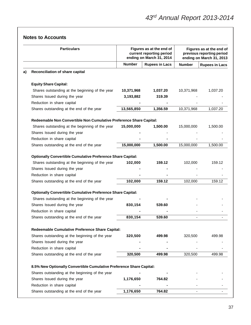|    | <b>Particulars</b>                                                   |               | Figures as at the end of<br>current reporting period<br>ending on March 31, 2014 |               | Figures as at the end of<br>previous reporting period<br>ending on March 31, 2013 |
|----|----------------------------------------------------------------------|---------------|----------------------------------------------------------------------------------|---------------|-----------------------------------------------------------------------------------|
|    |                                                                      | <b>Number</b> | <b>Rupees in Lacs</b>                                                            | <b>Number</b> | <b>Rupees in Lacs</b>                                                             |
| a) | <b>Reconciliation of share capital</b>                               |               |                                                                                  |               |                                                                                   |
|    | <b>Equity Share Capital:</b>                                         |               |                                                                                  |               |                                                                                   |
|    | Shares outstanding at the beginning of the year                      | 10,371,968    | 1,037.20                                                                         | 10,371,968    | 1,037.20                                                                          |
|    | Shares Issued during the year                                        | 3,193,882     | 319.39                                                                           |               |                                                                                   |
|    | Reduction in share capital                                           |               |                                                                                  |               |                                                                                   |
|    | Shares outstanding at the end of the year                            | 13,565,850    | 1,356.59                                                                         | 10,371,968    | 1,037.20                                                                          |
|    | Redeemable Non Convertible Non Cumulative Preference Share Capital:  |               |                                                                                  |               |                                                                                   |
|    | Shares outstanding at the beginning of the year                      | 15,000,000    | 1,500.00                                                                         | 15,000,000    | 1,500.00                                                                          |
|    | Shares Issued during the year                                        |               |                                                                                  |               |                                                                                   |
|    | Reduction in share capital                                           |               |                                                                                  |               |                                                                                   |
|    | Shares outstanding at the end of the year                            | 15,000,000    | 1,500.00                                                                         | 15,000,000    | 1,500.00                                                                          |
|    | <b>Optionally Convertible Cumulative Preference Share Capital:</b>   |               |                                                                                  |               |                                                                                   |
|    | Shares outstanding at the beginning of the year                      | 102,000       | 159.12                                                                           | 102,000       | 159.12                                                                            |
|    | Shares Issued during the year                                        |               |                                                                                  |               |                                                                                   |
|    | Reduction in share capital                                           |               |                                                                                  |               |                                                                                   |
|    | Shares outstanding at the end of the year                            | 102,000       | 159.12                                                                           | 102,000       | 159.12                                                                            |
|    | <b>Optionally Convertible Cumulative Preference Share Capital:</b>   |               |                                                                                  |               |                                                                                   |
|    | Shares outstanding at the beginning of the year                      |               |                                                                                  |               |                                                                                   |
|    | Shares Issued during the year                                        | 830,154       | 539.60                                                                           |               |                                                                                   |
|    | Reduction in share capital                                           |               |                                                                                  |               |                                                                                   |
|    | Shares outstanding at the end of the year                            | 830,154       | 539.60                                                                           |               |                                                                                   |
|    | Redeemable Cumulative Preference Share Capital:                      |               |                                                                                  |               |                                                                                   |
|    | Shares outstanding at the beginning of the year                      | 320,500       | 499.98                                                                           | 320,500       | 499.98                                                                            |
|    | Shares Issued during the year                                        |               |                                                                                  |               |                                                                                   |
|    | Reduction in share capital                                           |               |                                                                                  |               |                                                                                   |
|    | Shares outstanding at the end of the year                            | 320,500       | 499.98                                                                           | 320,500       | 499.98                                                                            |
|    | 8.5% New Optionally Convertible Cumulative Preference Share Capital: |               |                                                                                  |               |                                                                                   |
|    | Shares outstanding at the beginning of the year                      |               |                                                                                  |               |                                                                                   |
|    | Shares Issued during the year                                        | 1,176,650     | 764.82                                                                           |               |                                                                                   |
|    | Reduction in share capital                                           |               |                                                                                  |               |                                                                                   |
|    | Shares outstanding at the end of the year                            | 1,176,650     | 764.82                                                                           |               |                                                                                   |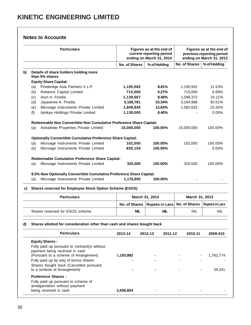|    | <b>Particulars</b>                                                       |                      | Figures as at the end of<br>current reporting period<br>ending on March 31, 2014 |                      | Figures as at the end of<br>previous reporting period<br>ending on March 31, 2013 |
|----|--------------------------------------------------------------------------|----------------------|----------------------------------------------------------------------------------|----------------------|-----------------------------------------------------------------------------------|
|    |                                                                          | <b>No. of Shares</b> | % of Holding                                                                     | <b>No. of Shares</b> | % of Holding                                                                      |
| b) | Details of share holders holding more<br>than 5% shares                  |                      |                                                                                  |                      |                                                                                   |
|    | <b>Equity Share Capital:</b>                                             |                      |                                                                                  |                      |                                                                                   |
|    | Pinebridge Asia Partners II L.P.<br>(a)                                  | 1,195,562            | 8.81%                                                                            | 1,195,562            | 11.53%                                                                            |
|    | Reliance Capital Limited<br>(b)                                          | 715,000              | 5.27%                                                                            | 715,000              | 6.89%                                                                             |
|    | Arun H. Firodia<br>(c)                                                   | 1,139,667            | 8.40%                                                                            | 1,048,372            | 10.11%                                                                            |
|    | Jayashree A. Firodia<br>(d)                                              | 3,166,781            | 23.34%                                                                           | 3,164,988            | 30.51%                                                                            |
|    | Microage Instruments Private Limited<br>(e)                              | 1,849,845            | 13.64%                                                                           | 1,582,633            | 15.26%                                                                            |
|    | Ajinkya Holdings Private Limited<br>(f)                                  | 1,139,000            | 8.40%                                                                            |                      | 0.00%                                                                             |
|    | Redeemable Non Convertible Non Cumulative Preference Share Capital:      |                      |                                                                                  |                      |                                                                                   |
|    | Ashadeep Properties Private Limited<br>(a)                               | 15,000,000           | 100.00%                                                                          | 15,000,000           | 100.00%                                                                           |
|    | <b>Optionally Convertible Cumulative Preference Share Capital:</b>       |                      |                                                                                  |                      |                                                                                   |
|    | Microage Instruments Private Limited<br>(a)                              | 102,000              | 100.00%                                                                          | 102,000              | 100.00%                                                                           |
|    | Microage Instruments Private Limited<br>(b)                              | 830,154              | 100.00%                                                                          |                      | 0.00%                                                                             |
|    | Redeemable Cumulative Preference Share Capital:                          |                      |                                                                                  |                      |                                                                                   |
|    | (a)<br>Microage Instruments Private Limited                              | 320,500              | 100.00%                                                                          | 320,500              | 100.00%                                                                           |
|    | 8.5% New Optionally Convertible Cumulative Preference Share Capital:     |                      |                                                                                  |                      |                                                                                   |
|    | Microage Instruments Private Limited<br>(a)                              | 1,176,650            | 100.00%                                                                          |                      |                                                                                   |
| C) | Shares reserved for Employee Stock Option Scheme (ESOS)                  |                      |                                                                                  |                      |                                                                                   |
|    | <b>Particulars</b>                                                       |                      | March 31, 2014                                                                   | March 31, 2013       |                                                                                   |
|    |                                                                          | No. of Shares        | <b>Rupees in Lacs</b>                                                            | No. of Shares        | <b>Rupees in Lacs</b>                                                             |
|    | Shares reserved for ESOS scheme                                          | <b>NIL</b>           | <b>NIL</b>                                                                       | NIL                  | <b>NIL</b>                                                                        |
| d) | Shares allotted for consideration other than cash and shares bought back |                      |                                                                                  |                      |                                                                                   |
|    | <b>Particulars</b>                                                       | 2013-14              | 2012-13<br>2011-12                                                               | 2010-11              | 2009-010                                                                          |
|    | <b>Equity Shares:</b>                                                    |                      |                                                                                  |                      |                                                                                   |
|    | Fully paid up pursuant to contract(s) without                            |                      |                                                                                  |                      |                                                                                   |
|    | payment being received in cash                                           |                      |                                                                                  |                      |                                                                                   |
|    | (Pursuant to a scheme of Arrangement)                                    | 3,193,882            |                                                                                  |                      | 1,782,774                                                                         |
|    |                                                                          |                      |                                                                                  |                      |                                                                                   |
|    | Fully paid up by way of bonus shares                                     |                      |                                                                                  |                      |                                                                                   |
|    | Shares bought back (Cancelled pursuant<br>to a scheme of Arrangement)    |                      |                                                                                  |                      | 29,341                                                                            |
|    | <b>Preference Shares:</b>                                                |                      |                                                                                  |                      |                                                                                   |
|    | Fully paid up pursuant to scheme of                                      |                      |                                                                                  |                      |                                                                                   |
|    | amalgamation without payment<br>being received in cash                   | 2,006,804            |                                                                                  |                      |                                                                                   |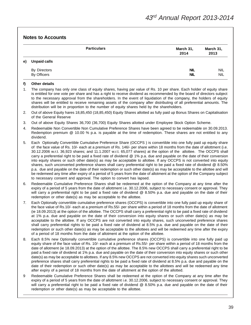|    | <b>Particulars</b>                 | March 31,<br>2014        | March 31,<br>2013        |
|----|------------------------------------|--------------------------|--------------------------|
| e) | <b>Unpaid calls</b>                |                          |                          |
|    | <b>By Directors</b><br>By Officers | <b>NIL</b><br><b>NIL</b> | <b>NIL</b><br><b>NIL</b> |

#### **f) Other details**

- 1. The company has only one class of equity shares, having par value of Rs. 10 per share. Each holder of equity share is entitled for one vote per share and has a right to receive dividend as recommended by the board of directors subject to the necessary approval from the shareholders. In the event of liquidation of the company, the holders of equity shares will be entitled to receive remaining assets of the company after distributing of all preferential amounts. The distribution will be in proportion to the number of equity shares held by the shareholders.
- 2. Out of above Equity hares 18,85,450 (18,85,450) Equity Shares allotted as fully paid up Bonus Shares on Capitalisation of the General Reserve
- 3. Out of above Equity Shares 36,700 (36,700) Equity Shares allotted under Employee Stock Option Scheme.
- 4. Redeemable Non Convertible Non Cumulative Preference Shares have been agreed to be redeemable on 30.09.2013. Redemption premium @ 10.00 % p.a. is payable at the time of redemption. These shares are not entitled to any dividend.
- 5. Each Optionally Convertible Cumulative Preference Share (OCCPS ) is convertible into one fully paid up equity share of the face value of Rs. 10/- each at a premium of Rs. 146/- per share within 18 months from the date of allottment (i.e. 30.12.2006 w.r.t. 36,923 shares; and 11.1.2007 w.r.t. 65,077 shares) at the option of the allottee. The OCCPS shall carry a preferential right to be paid a fixed rate of dividend @ 1% p.a. due and payable on the date of their conversion into equity shares or such other date(s) as may be acceptable to allottee. If any OCCPS is not converted into equity shares, such unconverted preference shares shall carry preferential right to be paid a fixed rate of dividend @ 8.50% p.a. due and payable on the date of their redemption or such other date(s) as may be acceptable to the allottee and will be redemeed any time after expiry of a period of 5 years from the date of allotment at the option of the Company subject to necessary consent and approval. The option to convert has lapsed.
- 6. Redeemable Cumulative Preference Shares shall be redeemed at the option of the Company at any time after the expiry of a period of 5 years from the date of allottment i.e. 30.12.2006, subject to necessary consent or approval. They will carry a preferential right to be paid a fixed rate of dividend @ 8.50% p.a. due and payable on the date of their redemption or other date(s) as may be acceptable to the allottee.
- 7. Each Optionally convertible cumulative preference shares (OCCPS) is convertible into one fully paid up equity share of the face value of Rs.10/- each at a premium of Rs.55/- per share within a period of 18 months from the date of allotment (ie 18.09.2013) at the option of the allottee. The OCCPS shall carry a preferential right to be paid a fixed rate of dividend at 1% p.a. due and payable on the date of their conversion into equity shares or such other date(s) as may be acceptable to the allottee. If any OCCPS are not converted into equity shares, such unconverted preference shares shall carry preferential rights to be paid a fixed rate of dividend at 8.5% p.a. due and payable on the date of their redemption or such other date(s) as may be acceptable to the allottees and will be redeemed any time after the expiry of a period of 18 months from the date of allotment at the option of the allottee.
- 8. Each 8.5% new Optionally convertible cumulative preference shares (OCCPS) is convertible into one fully paid up equity share of the face value of Rs. 10/- each at a premium of Rs.55/- per share within a period of 18 months from the date of allotment (ie 18.09.2013) at the option of the allottee. The 8.5% new OCCPS shall carry a preferential right to be paid a fixed rate of dividend at 1% p.a. due and payable on the date of their conversion into equity shares or such other date(s) as may be acceptable to allottees. If any 8.5% new OCCPS are not converted into equity shares such unconverted preference shares shall carry preferential rights to be paid a fixed rate of dividend at 8.5% p.a. due and payable on the date of their redemption or such other date(s) as may be acceptable to the allottees and will be redeemed any time after expiry of a period of 18 months from the date of allotment at the option of the allotted.
- 9 Redeemable Cumulative Preference Shares shall be redeemed at the option of the Company at any time after the expiry of a period of 5 years from the date of allottment i.e. 30.12.2006, subject to necessary consent or approval. They will carry a preferential right to be paid a fixed rate of dividend @ 8.50% p.a. due and payable on the date of their redemption or other date(s) as may be acceptable to the allottee.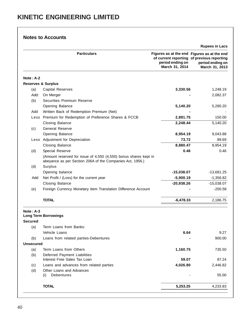|                               | <b>Particulars</b>                                                                                                            | Figures as at the end Figures as at the end<br>period ending on<br>March 31, 2014 | of current reporting of previous reporting<br>period ending on<br>March 31, 2013 |
|-------------------------------|-------------------------------------------------------------------------------------------------------------------------------|-----------------------------------------------------------------------------------|----------------------------------------------------------------------------------|
| Note: A-2                     |                                                                                                                               |                                                                                   |                                                                                  |
| <b>Reserves &amp; Surplus</b> |                                                                                                                               |                                                                                   |                                                                                  |
| (a)                           | <b>Capital Reserves</b>                                                                                                       | 3,330.56                                                                          | 1,248.19                                                                         |
| Add:                          | On Merger                                                                                                                     |                                                                                   | 2,082.37                                                                         |
| (b)                           | Securities Premium Reserve                                                                                                    |                                                                                   |                                                                                  |
|                               | Opening Balance                                                                                                               | 5,140.20                                                                          | 5,290.20                                                                         |
| Add                           | Written Back of Redemption Premium (Net)                                                                                      |                                                                                   |                                                                                  |
|                               | Less Premium for Redemption of Preference Shares & FCCB                                                                       | 2,891.75                                                                          | 150.00                                                                           |
|                               | <b>Closing Balance</b>                                                                                                        | 2,248.44                                                                          | 5,140.20                                                                         |
| (c)                           | <b>General Reserve</b>                                                                                                        |                                                                                   |                                                                                  |
|                               | Opening Balance                                                                                                               | 8,954.19                                                                          | 9,043.88                                                                         |
|                               | Less Adjustment for Depreciation                                                                                              | 73.72                                                                             | 89.69                                                                            |
|                               | <b>Closing Balance</b>                                                                                                        | 8,880.47                                                                          | 8,954.19                                                                         |
| (d)                           | Special Reserve                                                                                                               | 0.46                                                                              | 0.46                                                                             |
|                               | (Amount reserved for issue of 4,550 (4,550) bonus shares kept in<br>abeyance as per Section 206A of the Companies Act, 1956.) |                                                                                   |                                                                                  |
| (d)                           | Surplus                                                                                                                       |                                                                                   |                                                                                  |
|                               | Opening balance                                                                                                               | $-15,038.07$                                                                      | $-13,681.25$                                                                     |
| Add                           | Net Profit / (Loss) for the current year                                                                                      | $-5,900.19$                                                                       | $-1,356.82$                                                                      |
|                               | <b>Closing Balance</b>                                                                                                        | $-20,938.26$                                                                      | $-15,038.07$                                                                     |
| (e)                           | Foreign Currency Monetary Item Translation Difference Account                                                                 |                                                                                   | $-200.58$                                                                        |
|                               | <b>TOTAL</b>                                                                                                                  | $-6,478.33$                                                                       | 2,186.75                                                                         |
| $Note: A-3$<br>Secured        | <b>Long Term Borrowings</b>                                                                                                   |                                                                                   |                                                                                  |
| (a)                           | Term Loans from Banks:                                                                                                        |                                                                                   |                                                                                  |
|                               | Vehicle Loans                                                                                                                 | 6.64                                                                              | 9.27                                                                             |
| (b)                           | Loans from related parties-Debentures                                                                                         |                                                                                   | 900.00                                                                           |
| <b>Unsecured</b>              |                                                                                                                               |                                                                                   |                                                                                  |
| (a)                           | Term Loans from Others                                                                                                        | 1,160.75                                                                          | 735.50                                                                           |
| (b)                           | Deferred Payment Liabilities                                                                                                  |                                                                                   |                                                                                  |
|                               | Interest Free Sales Tax Loan                                                                                                  | 59.07                                                                             | 87.24                                                                            |
| (c)                           | Loans and advances from related parties                                                                                       | 4,026.80                                                                          | 2,446.82                                                                         |
| (d)                           | Other Loans and Advances<br>Debentures<br>(i)                                                                                 |                                                                                   | 55.00                                                                            |
|                               | <b>TOTAL</b>                                                                                                                  | 5,253.25                                                                          | 4,233.83                                                                         |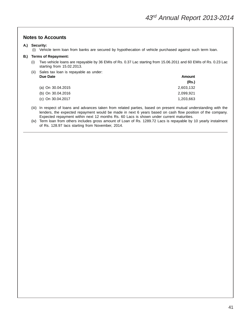#### **A.) Security:**

(i) Vehicle term loan from banks are secured by hypothecation of vehicle purchased against such term loan.

#### **B.) Terms of Repayment:**

- (i) Two vehicle loans are repayable by 36 EMIs of Rs. 0.37 Lac starting from 15.06.2011 and 60 EMIs of Rs. 0.23 Lac starting from 15.02.2013.
- (ii) Sales tax loan is repayable as under: **Due Date Amount**

|                   | (Rs.)     |
|-------------------|-----------|
| (a) On 30.04.2015 | 2,603,132 |
| (b) On 30.04.2016 | 2,099,921 |
| (c) On 30.04.2017 | 1,203,663 |

- (iii) In respect of loans and advances taken from related parties, based on present mutual understanding with the lenders, the expected repayment would be made in next 6 years based on cash flow position of the company. Expected repayment within next 12 months Rs. 60 Lacs is shown under current maturities.
- (iv) Term loan from others includes gross amount of Loan of Rs. 1289.72 Lacs is repayable by 10 yearly instalment of Rs. 128.97 lacs starting from November, 2014.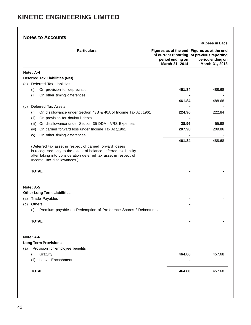|            |                                                                                                                                                                                                                                  |                                                                                   | <b>Rupees in Lacs</b>                                                            |
|------------|----------------------------------------------------------------------------------------------------------------------------------------------------------------------------------------------------------------------------------|-----------------------------------------------------------------------------------|----------------------------------------------------------------------------------|
|            | <b>Particulars</b>                                                                                                                                                                                                               | Figures as at the end Figures as at the end<br>period ending on<br>March 31, 2014 | of current reporting of previous reporting<br>period ending on<br>March 31, 2013 |
|            | Note: $A-4$                                                                                                                                                                                                                      |                                                                                   |                                                                                  |
|            | <b>Deferred Tax Liabilities (Net)</b>                                                                                                                                                                                            |                                                                                   |                                                                                  |
| (a)        | Deferred Tax Liabilities                                                                                                                                                                                                         |                                                                                   |                                                                                  |
|            | On provision for depreciation<br>(i)                                                                                                                                                                                             | 461.84                                                                            | 488.68                                                                           |
|            | On other timing differences<br>(ii)                                                                                                                                                                                              |                                                                                   |                                                                                  |
|            |                                                                                                                                                                                                                                  | 461.84                                                                            | 488.68                                                                           |
| (b)        | Deferred Tax Assets                                                                                                                                                                                                              |                                                                                   |                                                                                  |
|            | On disallowance under Section 43B & 40A of Income Tax Act, 1961<br>(i)                                                                                                                                                           | 224.90                                                                            | 222.84                                                                           |
|            | On provision for doubtful debts<br>(ii)                                                                                                                                                                                          |                                                                                   |                                                                                  |
|            | (iii) On disallowance under Section 35 DDA - VRS Expenses                                                                                                                                                                        | 28.96                                                                             | 55.98                                                                            |
|            | (iv) On carried forward loss under Income Tax Act, 1961                                                                                                                                                                          | 207.98                                                                            | 209.86                                                                           |
|            | On other timing differences<br>(v)                                                                                                                                                                                               |                                                                                   |                                                                                  |
|            | (Deferred tax asset in respect of carried forward losses<br>is recognised only to the extent of balance deferred tax liability<br>after taking into consideration deferred tax asset in respect of<br>Income Tax disallowances.) | 461.84                                                                            | 488.68                                                                           |
|            | <b>TOTAL</b>                                                                                                                                                                                                                     |                                                                                   |                                                                                  |
|            | Note: $A-5$                                                                                                                                                                                                                      |                                                                                   |                                                                                  |
|            | <b>Other Long Term Liabilities</b>                                                                                                                                                                                               |                                                                                   |                                                                                  |
|            | (a) Trade Payables                                                                                                                                                                                                               |                                                                                   |                                                                                  |
|            |                                                                                                                                                                                                                                  |                                                                                   |                                                                                  |
|            | <b>Others</b>                                                                                                                                                                                                                    |                                                                                   |                                                                                  |
|            | (i)<br>Premium payable on Redemption of Preference Shares / Debentures                                                                                                                                                           |                                                                                   |                                                                                  |
|            | <b>TOTAL</b>                                                                                                                                                                                                                     |                                                                                   |                                                                                  |
|            | Note: A-6                                                                                                                                                                                                                        |                                                                                   |                                                                                  |
|            | <b>Long Term Provisions</b>                                                                                                                                                                                                      |                                                                                   |                                                                                  |
|            | Provision for employee benefits                                                                                                                                                                                                  |                                                                                   |                                                                                  |
|            | (i)<br>Gratuity                                                                                                                                                                                                                  | 464.80                                                                            | 457.68                                                                           |
| (b)<br>(a) | Leave Encashment<br>(ii)                                                                                                                                                                                                         |                                                                                   |                                                                                  |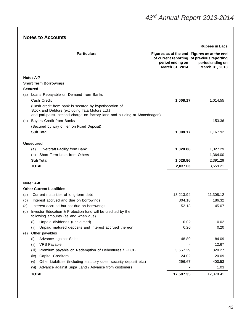|                |                                                                                                                                                                                      |                                                                                                                                 | <b>Rupees in Lacs</b>              |
|----------------|--------------------------------------------------------------------------------------------------------------------------------------------------------------------------------------|---------------------------------------------------------------------------------------------------------------------------------|------------------------------------|
|                | <b>Particulars</b>                                                                                                                                                                   | Figures as at the end Figures as at the end<br>of current reporting of previous reporting<br>period ending on<br>March 31, 2014 | period ending on<br>March 31, 2013 |
|                | $Note: A-7$                                                                                                                                                                          |                                                                                                                                 |                                    |
|                | <b>Short Term Borrowings</b>                                                                                                                                                         |                                                                                                                                 |                                    |
| <b>Secured</b> |                                                                                                                                                                                      |                                                                                                                                 |                                    |
|                | (a) Loans Repayable on Demand from Banks                                                                                                                                             |                                                                                                                                 |                                    |
|                | Cash Credit                                                                                                                                                                          | 1,008.17                                                                                                                        | 1,014.55                           |
|                | (Cash credit from bank is secured by hypothecation of<br>Stock and Debtors (excluding Tata Motors Ltd.)<br>and pari-passu second charge on factory land and building at Ahmednagar.) |                                                                                                                                 |                                    |
|                | (b) Buyers Credit from Banks                                                                                                                                                         |                                                                                                                                 | 153.36                             |
|                | (Secured by way of lien on Fixed Deposit)                                                                                                                                            |                                                                                                                                 |                                    |
|                | <b>Sub Total</b>                                                                                                                                                                     | 1,008.17                                                                                                                        | 1,167.92                           |
|                | <b>Unsecured</b>                                                                                                                                                                     |                                                                                                                                 |                                    |
|                | Overdraft Facility from Bank<br>(a)                                                                                                                                                  | 1,028.86                                                                                                                        | 1,027.29                           |
|                | Short Term Loan from Others<br>(b)                                                                                                                                                   |                                                                                                                                 | 1,364.00                           |
|                | <b>Sub Total</b>                                                                                                                                                                     | 1,028.86                                                                                                                        | 2,391.29                           |
|                | <b>TOTAL</b>                                                                                                                                                                         | 2,037.03                                                                                                                        | 3,559.21                           |
|                | Note: A-8                                                                                                                                                                            |                                                                                                                                 |                                    |
|                | <b>Other Current Liabilities</b>                                                                                                                                                     |                                                                                                                                 |                                    |
| (a)            | Current maturities of long-term debt                                                                                                                                                 | 13,213.94                                                                                                                       | 11,308.12                          |
| (b)            | Interest accrued and due on borrowings                                                                                                                                               | 304.18                                                                                                                          | 186.32                             |
| (c)            | Interest accrued but not due on borrowings                                                                                                                                           | 52.13                                                                                                                           | 45.07                              |
| (d)            | Investor Education & Protection fund will be credited by the<br>following amounts (as and when due).                                                                                 |                                                                                                                                 |                                    |
|                | Unpaid dividends (unclaimed)<br>(i)                                                                                                                                                  | 0.02                                                                                                                            | 0.02                               |
|                | (ii)<br>Unpaid matured deposits and interest accrued thereon                                                                                                                         | 0.20                                                                                                                            | 0.20                               |
| (e)            | Other payables                                                                                                                                                                       |                                                                                                                                 |                                    |
|                | Advance against Sales<br>(i)                                                                                                                                                         | 48.89                                                                                                                           | 84.09                              |
|                | (ii)<br><b>VRS Payable</b>                                                                                                                                                           |                                                                                                                                 | 12.67                              |
|                | Premium payable on Redemption of Debentures / FCCB<br>(iii)                                                                                                                          | 3,657.29                                                                                                                        | 820.27                             |
|                | <b>Capital Creditors</b><br>(iv)                                                                                                                                                     | 24.02                                                                                                                           | 20.09                              |
|                | Other Liabilities (Including statutory dues, security deposit etc.)<br>(v)                                                                                                           | 296.67                                                                                                                          | 400.53                             |
|                | Advance against Supa Land / Advance from customers<br>(vi)                                                                                                                           |                                                                                                                                 | 1.03                               |
|                | <b>TOTAL</b>                                                                                                                                                                         | 17,597.35                                                                                                                       | 12,878.41                          |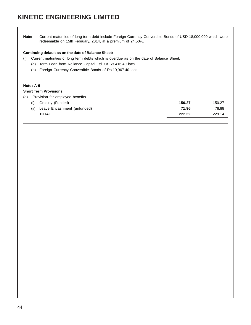# **KINETIC ENGINEERING LIMITED**

**Note:** Current maturities of long-term debt include Foreign Currency Convertible Bonds of USD 18,000,000 which were redeemable on 15th February, 2014, at a premium of 24.50%.

#### **Continuing default as on the date of Balance Sheet:**

- (i) Current maturities of long term debts which is overdue as on the date of Balance Sheet:
	- (a) Term Loan from Reliance Capital Ltd. Of Rs.416.40 lacs.
	- (b) Foreign Currency Convertible Bonds of Rs.10,967.40 lacs.

#### **Note : A-9**

#### **Short Term Provisions**

| Gratuity (Funded)<br>(i)            | 150.27 | 150.27 |
|-------------------------------------|--------|--------|
| Leave Encashment (unfunded)<br>(ii) | 71.96  | 78.88  |
| <b>TOTAL</b>                        | 222.22 | 229.14 |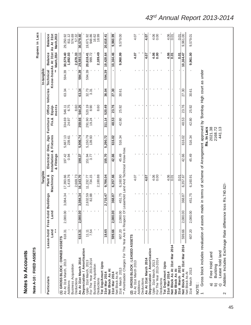| Note A-10: FIXED ASSETS                                                                                                            |                           |                                                    |                              |                       |                                                     |                     |                                    |                                  |                                   |                                      |                                      | Rupees in Lacs                              |
|------------------------------------------------------------------------------------------------------------------------------------|---------------------------|----------------------------------------------------|------------------------------|-----------------------|-----------------------------------------------------|---------------------|------------------------------------|----------------------------------|-----------------------------------|--------------------------------------|--------------------------------------|---------------------------------------------|
|                                                                                                                                    |                           |                                                    |                              | Tangible              |                                                     |                     |                                    |                                  |                                   | In-tangible                          |                                      |                                             |
| Particulars                                                                                                                        | Lease-hold<br>$*$<br>Land | Free-hold<br>Land                                  | <b>Buildings</b>             | Machinery<br>Plant &  | Installation & Fixtures<br>Electrical<br>& Fittings | Dies, Jigs          | Furniture<br>Fix.&                 | Equip-<br>ments                  | Office Vehicles                   | Know-howAs At 31st<br>Technical<br>ž | <b>March, 2014</b><br><b>Balance</b> | <b>Balance</b><br>As At 31st<br>March, 2013 |
| (1) GROSS BLOCK: OWNED ASSETS<br>As At 31st March, 2013<br>Additions                                                               | 618.31                    | 2,080.00                                           | 3,084.34                     | 1,419.76<br>17,393.66 | 197.42<br>0.94                                      | 5,667.13<br>239.61  | 334.69<br>24.97                    | 6.75<br>546.11                   | 63.34                             | 594.39                               | 30,579.40<br>1,692.03                | 29,250.92<br>811.12                         |
| <b>Business Acquisition</b><br>Deductions                                                                                          |                           |                                                    |                              | 2,669.73              |                                                     |                     |                                    | 8.60                             |                                   |                                      | 2,678.33                             | 574.69<br>57.32                             |
| As At 31st March 2014                                                                                                              | 618.31                    | 2,080.00                                           | 3,084.34                     | 16, 143.70            | 198.37                                              | 5,906.74            | 359.66                             | 544.25                           | 63.34                             | 594.39                               | 29,593.11                            | 30,579.40                                   |
| Depreciation / Amortisation<br>Upto 31st March, 2013<br>For The Year 2013-2014                                                     | 7.54<br>11.11             |                                                    | 2,632.59<br>82.88            | 734.15<br>11,232.77   | 151.94<br>3.77                                      | 5, 150.79<br>139.93 | 291.90<br>19.24                    | 8.90<br>520.19                   | 32.73<br>3.31                     | 594.39                               | 20,618.41<br>999.72                  | 19,671.92<br>948.86                         |
| <b>Business Acquisition</b><br>Deductions                                                                                          |                           |                                                    |                              | 2,180.88              |                                                     |                     |                                    | 8.60                             |                                   | $\blacksquare$                       | 2,189.49                             | 18.99<br>16.62                              |
| Tot Dep/Amort Upto<br>31st Mar 2014                                                                                                | 18.65                     |                                                    | 2,715.47                     | 9,786.04              | 155.70                                              | 5,290.72            | 311.14                             | 520.49                           | 36.04                             | 594.39                               | 19,428.64                            | 20,618.41                                   |
| Net Block As At<br>31st Mar 2014<br>Net Block As At                                                                                | 599.66                    | 2,080.00                                           | 368.87                       | 6,357.66              | 42.66                                               | 616.02              | 48.53                              | 23.76                            | 27.30                             | ٠                                    | 10,164.46                            | 9,960.99                                    |
| ** Amortisation Charges For The Year Are In Respect Of<br>31st March 2013                                                          | 607.20                    | 2,080.00                                           | 451.75                       | 6,160.90              | Leasehold Land And Technical Know-how<br>45.49      | 516.34              | 42.80                              | 25.92                            | 30.61                             | J,                                   | 9,960.99                             | 9,579.00                                    |
| GROSS BLOCK: LEASED ASSETS<br>As At 31st March 2013                                                                                |                           |                                                    | $\mathbf{I}$                 | 4.07                  |                                                     | $\mathbf{I}$        | $\mathbf{I}$                       |                                  | $\mathbf{I}$                      |                                      | 4.07                                 | 4.07                                        |
| Deductions<br>Additions                                                                                                            |                           | J,                                                 | J.                           |                       |                                                     | $\blacksquare$      | $\blacksquare$                     | ٠                                | $\blacksquare$                    |                                      |                                      |                                             |
| As At 31st March 2014                                                                                                              |                           |                                                    | ٠                            | 4.07                  | ٠                                                   | $\mathbf{I}$        | $\mathbf{I}$                       |                                  | $\mathbf{I}$                      | ٠                                    | 4.07                                 | 4.07                                        |
| Depreciation / Amortisation<br>For The Year 2013-2014<br>Upto 31st March, 2013                                                     |                           | $\blacksquare$<br>$\blacksquare$<br>$\blacksquare$ | $\mathbf{I}$<br>$\mathbf{r}$ | 0.00<br>4.06          | $\blacksquare$                                      |                     | $\mathbf{I}$<br>п.<br>$\mathbf{I}$ | $\blacksquare$<br>$\blacksquare$ | $\mathbf{I}$<br>$\mathbf{r}$<br>٠ |                                      | 4.06<br>0.00                         | 0.00<br>4.06                                |
| Deductions                                                                                                                         |                           |                                                    | $\mathbf{I}$ $\mathbf{I}$    |                       |                                                     |                     |                                    |                                  |                                   |                                      |                                      |                                             |
| Tot Dep/Amort Upto<br>31st Mar 2014                                                                                                |                           |                                                    |                              | 4.06                  |                                                     |                     |                                    |                                  |                                   |                                      | 4.06                                 | 4.06                                        |
| Net Block As At 31st Mar 2014                                                                                                      |                           |                                                    |                              | $\overline{0.01}$     |                                                     |                     |                                    |                                  |                                   |                                      | 0.07                                 | 0.01                                        |
| March 2013<br>Net Block As At                                                                                                      |                           |                                                    |                              | 0.01                  |                                                     |                     |                                    |                                  |                                   |                                      | 5.01                                 | 0.01                                        |
| Net Block As At 31st Mar 2014<br>31st March 2013<br>Net Block As At                                                                | 607.20<br>599.66          | 2,080.00<br>2,080.00                               | 451.75<br>368.87             | 6,357.67<br>6,160.91  | 42.66<br>45.49                                      | 616.02<br>516.34    | 42.80<br>48.53                     | 23.76<br>25.92                   | 27.30<br>30.61                    | $\blacksquare$<br>$\mathbf{I}$       | 9,961.00<br>10,164.47                | 9,961.00<br>9,579.01                        |
| Gross block includes revaluation of assets made in terms of scheme of Arrangement approved by 'Bombay High court as under<br>NOTE: |                           |                                                    |                              |                       |                                                     | Rs. In Lacs         |                                    |                                  |                                   |                                      |                                      |                                             |
| Lease hold land<br>Free Hold Land<br>Building<br>G<br>ଟ୍ଟ<br>ි                                                                     |                           |                                                    |                              |                       |                                                     | 2021.38<br>2168.72  | 441.13                             |                                  |                                   |                                      |                                      |                                             |

# <sup>43</sup>rd Annual Report 2013-2014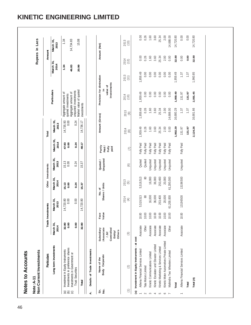|               | Particulars                                                                                 |                                                                     | Trade Inves    | tments                    | Other Investments                         |                                              |                                   | Total             |             |                                                          |              | Rupees in Lacs<br>Amount |                   |
|---------------|---------------------------------------------------------------------------------------------|---------------------------------------------------------------------|----------------|---------------------------|-------------------------------------------|----------------------------------------------|-----------------------------------|-------------------|-------------|----------------------------------------------------------|--------------|--------------------------|-------------------|
|               | Long term investments                                                                       | March 31,<br>2014                                                   |                | March 31,<br>2013         | March 31,<br>2014                         | March 31,<br>2013                            | March 31,<br>2014                 | March 31,<br>2013 |             | Particulars                                              |              | March 31,<br>2014        | March 31,<br>2013 |
|               | Investment in Equity instruments                                                            | $32.80$<br>$0.00$                                                   |                | 14,720.80<br>0.00         | $15.13$<br>0.00                           | $\begin{array}{c} 15.13 \\ 0.00 \end{array}$ | 47.93                             | 14,735.93<br>0.00 |             | Aggregate amount of<br>quoted investments                |              | 1.34                     | 1.34              |
| <b>GED</b>    | Investments in preference shares<br>Investments in Government or<br><b>Trust Securities</b> | 0.00                                                                |                | 0.00                      | 0.24                                      | 0.24                                         | 0.24                              | 0.24              |             | unquoted investments<br>Aggregate amount of              |              | 46.83                    | 14,734.83         |
|               | Total                                                                                       | 32.80                                                               |                | 14,720.80                 | 15.37                                     | 15.37                                        | 48.17                             | 14,736.17         | investments | Market value of quoted                                   |              | 20.99                    | 15.08             |
| 4             | Details of Trade Investments                                                                |                                                                     |                |                           |                                           |                                              |                                   |                   |             |                                                          |              |                          |                   |
| Sr.<br>.<br>2 | Body Corporate<br>Name of the                                                               | /Associate<br>Subsidiary<br>Controlled<br>Others<br>Entity<br>INC / | Value<br>Face  |                           | Shares / Units<br>No.of                   | Unquoted<br>Quoted /                         | Partly<br>Paid /<br>Fully<br>paid | Amount (Gross)    |             | Provision for diminution<br>Investments<br>value of<br>≘ |              | Amount (Net)             |                   |
| $\widehat{=}$ | (2)                                                                                         | $(3)$                                                               |                | 2014<br>$\left( 4\right)$ | 2013<br>$\begin{pmatrix} 5 \end{pmatrix}$ | $\odot$                                      | (7)                               | 2014<br>$\circ$   | 2013<br>(9) | 2014<br>(10)                                             | 2013<br>(11) | 2014<br>(12)             | 2013<br>(13)      |
| $\widehat{a}$ | Investment in Equity Instruments - at cost<br>Athena Financial Services Limited             |                                                                     |                |                           |                                           |                                              |                                   |                   | 1,959.49    | 1,959.49                                                 | 1,959.49     |                          |                   |
|               | Tata Motors Limited                                                                         | Associate<br>Other                                                  | 10.00<br>10.00 | 80<br>5,519,513           | 5,519,513<br>80                           | Quoted<br>Quoted                             | Fully Paid<br>Fully Paid          | 0.26<br>1,959.49  | 0.26        | 0.00                                                     | 0.00         | 0.26<br>0.00             | 0.00<br>0.26      |
|               | Kinetic Communications Limited                                                              | Associate                                                           | 10.00          | 16,000                    | 16,000                                    | Unquoted                                     | Fully Paid                        | 1.60              | 1.60        | 0.00                                                     | 0.00         | 1.60                     | 1.60              |
|               | Kinetic Escalator and Elevator Limited                                                      | Associate                                                           | 10.00          | 36,000                    | 36,000                                    | Unquoted                                     | Fully Paid                        | 3.60              | 3.60        | 0.00                                                     | 0.00         | 3.60                     | 3.60              |
|               | Kinetic Marketing & Services Limited                                                        | Associate                                                           | 10.00          | 253,400                   | 253,400                                   | <b>Jnquoted</b>                              | Fully Paid                        | 25.34             | 25.34       | 0.00                                                     | 0.00         | 25.34                    | 25.34             |
|               | Kinetic Motor Automotives Private Limited                                                   | Associate                                                           | 10.00          | 20,000                    | 20,000                                    | Unquoted                                     | Fully Paid                        | 2.00              | 2.00        | 0.00                                                     | 0.00         | 2.00                     | 2.00              |
|               | Mahindra Two Wheelers Limited                                                               | Other                                                               | 10.00          | 61,200,000                | 61,200,000                                | Unquoted                                     | Fully Paid                        | 0.00              | 14,688.00   | 0.00                                                     | 0.00         | 0.00                     | 14,688.00         |
|               | Total                                                                                       |                                                                     |                |                           |                                           |                                              |                                   | 1,992.29          | 16,680.29   | 1,959.49                                                 | 1,959.49     | 32.80                    | 14,720.80         |
|               | Athena Financial Services Limited                                                           | Associate                                                           | 10.00          | 13196500                  | 13196500                                  | Unquoted                                     | Fully Paid                        | 131.97            | 1.37        | 131.97                                                   | 1.37         | 0.00                     | 0.00              |
|               | Total                                                                                       |                                                                     |                |                           |                                           |                                              |                                   | 131.97            | 1.37        | 131.97                                                   | 1.37         | 0.00                     | 0.00              |
|               | Total (A)                                                                                   |                                                                     |                |                           |                                           |                                              |                                   | 2,124.26          | 16,681.66   | 2,091.45                                                 | 1,960.85     | 32.80                    | 14,720.80         |
|               |                                                                                             |                                                                     |                |                           |                                           |                                              |                                   |                   |             |                                                          |              |                          |                   |

## **KINETIC ENGINEERING LIMITED**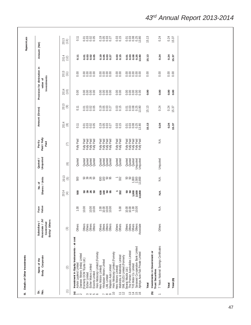| Amount (Net)                                                   | 2013<br>(13)<br>2014<br>(12)              | 0.11<br>$\overline{11}$                                             | 5335<br>0000<br>5885<br>0000                                                                                             | 0.000<br>0.000<br>0.000<br><b>2532</b><br>2500                                                                                    | $0.03$<br>$0.15$<br>$0.03$<br>$0.15$                                                  | 0.01<br>0.03<br>$0.25$<br>$13.80$<br>0.01                                                                                                                                               | 15.13<br>15.13                                            | 0.24<br>0.24                          | 0.24<br>15.37<br>0.24<br>15.37 |  |
|----------------------------------------------------------------|-------------------------------------------|---------------------------------------------------------------------|--------------------------------------------------------------------------------------------------------------------------|-----------------------------------------------------------------------------------------------------------------------------------|---------------------------------------------------------------------------------------|-----------------------------------------------------------------------------------------------------------------------------------------------------------------------------------------|-----------------------------------------------------------|---------------------------------------|--------------------------------|--|
| Provision for diminution in<br>Investments<br>value of         | 2013<br>(11)                              | 0.00                                                                | 8888                                                                                                                     | 8888                                                                                                                              |                                                                                       | $\begin{array}{c} 888888 \\ 0 \\ 0 \\ 0 \\ 0 \\ \end{array}$                                                                                                                            | 0.00                                                      | 0.00                                  | 0.00<br>0.00                   |  |
|                                                                | 2014<br>(10)                              | 0.00                                                                | 8888<br>0000                                                                                                             | 8888<br>0000                                                                                                                      | 0.00000                                                                               | 88888<br>00000                                                                                                                                                                          | 0.00                                                      | 0.00                                  | 0.00<br>0.00                   |  |
| Amount (Gross)                                                 | 2013<br>(9)                               | 0.11                                                                | 5335<br>0000                                                                                                             | 0.000<br>0.000<br>0.000                                                                                                           | $0.03$<br>$0.15$                                                                      | $0.03880$<br>$0.03880$<br>$0.0000$                                                                                                                                                      | 15.13                                                     | 0.24                                  | 0.24<br>15.37                  |  |
|                                                                | 2014<br>$\circ$                           | 0.11                                                                | 5335<br>0000                                                                                                             | 0.000<br>0.000                                                                                                                    | $0.03$<br>$0.15$                                                                      | 53888                                                                                                                                                                                   | 5.13                                                      | 0.24                                  | 0.24<br>15.37                  |  |
| Paid / Fully<br>Partly<br>Paid                                 | Ξ                                         | Fully Paid                                                          | nia<br>Paid<br>Paid<br>Paid<br>들 <u>을</u><br>블로플를                                                                        | nia<br>Paid<br>Paid<br>Paid<br><b>ENDER</b>                                                                                       | Paid<br>Paid<br>Fully<br>Fully                                                        | Paid<br>Paid<br>Paid<br>Paid<br>Paid<br>ander                                                                                                                                           |                                                           | ΝA.                                   |                                |  |
| Unquoted<br>Quoted /                                           | $\odot$                                   | Quoted                                                              | Quoted<br>Quoted<br>Quoted<br>Quoted                                                                                     | Quoted<br>Quoted<br>Quoted<br>Quoted                                                                                              | Quoted<br>Quoted                                                                      | Quoted<br>Quoted<br>Quoted<br><b>Unquoted</b><br><b>Unquoted</b>                                                                                                                        |                                                           | Unquoted                              |                                |  |
| Shares / Units<br>No. of                                       | 2013<br>$\begin{pmatrix} 5 \end{pmatrix}$ | 500                                                                 | <b>5825</b>                                                                                                              | <b>35BR</b>                                                                                                                       | 332<br>Γ                                                                              |                                                                                                                                                                                         |                                                           | ΝA.                                   |                                |  |
|                                                                | 2014<br>$\left( 4\right)$                 | 500                                                                 | នននន                                                                                                                     | និទ្ធិក្ខុ                                                                                                                        | $\overline{\phantom{0}}$<br>332                                                       | មិន ១៩ ១៩<br>ខេត្ត<br>ខេត្តខ្លួន                                                                                                                                                        |                                                           | Α.                                    |                                |  |
| Face<br>Value                                                  |                                           | S                                                                   | $\infty$<br>88<br>$\Xi$<br>50                                                                                            | 8888<br>$\sim$ $\approx$ $\approx$ $\approx$                                                                                      | S<br>ما                                                                               | 8888<br>≘<br>$\Xi$ –<br>$\approx$                                                                                                                                                       |                                                           | ΝA.                                   |                                |  |
| Associate / JV<br>Entity/ Others<br>Subsidiary /<br>Controlled | (3)                                       | Others                                                              | Others<br>Others<br>Others<br>Others                                                                                     | Others<br>Others<br>Others<br>Others                                                                                              | Others<br>Others                                                                      | Others<br>Others<br>Others<br>Others<br>Associate                                                                                                                                       |                                                           | Others                                |                                |  |
| Body Corporate<br>Name of the                                  | (2)                                       | Investment in Equity Instruments - at cost<br>Ashok Laylend Limited | Daewoo Motors (India) Limited<br>Formerly DCM Toyota Ltd.)<br>Eicher Motors Limited<br>Escorts Limited<br>Eicher Limited | Hero Motocorp Limited (Formely<br>Hindustan Motors Limited<br>Majestic Auto Limited<br><b>Hero Motors Limited)</b><br>LML Limited | Hero Motocorp Limited (Formely<br>Hero Motors Limited)<br>Mahindra & Mahindra Limited | Saraswat Co-operative Bank Limited<br>The Premier Automobiles Limited<br>TVS Motor Co. Limited<br>Ajinkya Auto Fab Private Limited<br>SML ISUZU Limited (Formerly<br>Swaraj Mazda Ltd.) | Investments in Government or<br>Trust Securities<br>Total | 7 Years National Savings Certificates | Total (B)<br>Total             |  |
| Sr.<br>$\frac{1}{2}$                                           | $\widehat{\Xi}$                           | $\widehat{\Xi}_{\leftarrow}$ $\sim$                                 | 450<br>$\sim$                                                                                                            | $\infty$                                                                                                                          | $\overline{0}$<br>Ξ                                                                   | $\frac{15}{16}$<br>$\overline{1}$<br>$\frac{3}{2}$<br>$\overline{1}$                                                                                                                    | ê                                                         |                                       |                                |  |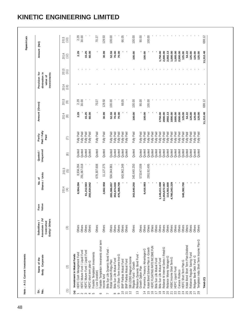|             | Body Corporate<br>Name of the                      | Associate / JV/<br>Entity/ Others<br>Subsidiary /<br>Controlled | Value<br>Face | Shares / Units<br>No.of   |                                                  | Unquoted<br>Quoted / | Paid / Fully<br>Partly<br>Paid | Amount (Gross)      |             | diminution in<br>Provision for<br>Investments<br>value of |              | Amount (Net) |              |
|-------------|----------------------------------------------------|-----------------------------------------------------------------|---------------|---------------------------|--------------------------------------------------|----------------------|--------------------------------|---------------------|-------------|-----------------------------------------------------------|--------------|--------------|--------------|
|             | (2)                                                | $\left( 3\right)$                                               |               | 2014<br>$\left( 4\right)$ | 2013<br>$\begin{array}{c} \boxed{5} \end{array}$ | $\odot$              | (7)                            | 2014<br>$\circledS$ | 2013<br>(9) | 2014<br>(10)                                              | 2013<br>(11) | 2014<br>(12) | 2013<br>(13) |
|             | Investment in Mutual Funds                         |                                                                 |               |                           |                                                  |                      |                                |                     |             |                                                           |              |              |              |
|             | HDFC Cash Management Fund                          | Others                                                          |               | 8,934.284                 | 8,934.284                                        | Quoted               | Fully Paid                     | 2.29                | 2.29        |                                                           |              | 2.29         | 2.29         |
|             | HDFC Muture Fund / Liquid Fund                     | Others                                                          |               |                           | 291,067.018                                      | Quoted               | Fully Paid                     |                     | 30.00       |                                                           |              |              | 30.00        |
|             | HDFC Muture Fund / Liquid Fund                     | Others                                                          |               | 61,212.563                |                                                  | Quoted               | Fully Paid                     | 15.25               |             |                                                           |              | 15.25        |              |
|             | HDFC short term plan-G                             | Others                                                          |               | 250,634.942               |                                                  | Quoted               | Fully Paid                     | 60.00               |             |                                                           |              | 60.00        |              |
|             | Franklin Templetion Invesments                     |                                                                 |               |                           |                                                  |                      |                                |                     |             |                                                           |              |              |              |
|             | (Low Duration)                                     | Others                                                          |               |                           | 679,307.608                                      | Quoted               | Fully Paid                     |                     | 70.27       |                                                           |              |              | 70.27        |
| income fund | Franklin Templetion Invesments short term          | Others                                                          |               | 2,662.958                 | 11, 127.275                                      | Quoted               | Fully Paid                     | 30.99               | 129.50      |                                                           |              | 30.99        | 129.50       |
|             |                                                    |                                                                 |               |                           |                                                  |                      |                                |                     |             |                                                           |              |              |              |
|             | Birla Sun Life Dynamic Bond Fund                   |                                                                 |               |                           |                                                  |                      |                                |                     |             |                                                           |              |              |              |
|             | Retail Growth-Regu.Plan                            | Others                                                          |               | 265,086.057               | 504,044.961                                      | Quoted               | Fully Paid                     | 52.59               | 100.00      |                                                           |              | 52.59        | 100.00       |
|             | Birla Sun Life Mutual Fund                         | Others                                                          |               | 353,874.930               |                                                  | Quoted               | Fully Paid                     | 70.00               |             |                                                           |              | 70.00        |              |
|             | UTI Short - Term Income Inst-G                     | Others                                                          |               | 476,368.709               |                                                  | Quoted               | Fully Paid                     | 70.00               |             |                                                           |              | 70.00        |              |
|             | BNP Paribas Mutual Fund                            | Others                                                          |               |                           | 643,942.249                                      | Quoted               | Fully Paid                     |                     | 66.05       |                                                           |              |              | 66.05        |
|             | <b>BNP Paribas Mutual Fund</b>                     | Others                                                          |               |                           |                                                  | Quoted               | Fully Paid                     |                     |             |                                                           |              |              |              |
|             | SBI LO28G Magnum Income<br>Regular Fund - Growth   |                                                                 |               |                           |                                                  |                      |                                |                     |             |                                                           |              |              |              |
|             |                                                    | Others                                                          |               | 343,640.250               | 343,640.250                                      | Quoted               | Fully Paid                     | 100.00              | 100.00      |                                                           |              | 100.00       | 100.00       |
|             | Reliance Dynamic Bond Fund -<br>Growth Option Plan | Others                                                          |               |                           | 573347.009                                       | Quoted               | Fully Paid                     |                     | 90.00       |                                                           |              |              | 90.00        |
|             |                                                    | Others                                                          |               | 8,416.883                 |                                                  |                      |                                |                     |             |                                                           |              |              |              |
|             | Pramerica Treasury Advantages-G                    |                                                                 |               |                           |                                                  | Quoted               | Fully Paid                     | 100.00              |             |                                                           |              | 100.00       |              |
|             | Kotak Bond Scheme Plan A -Growth                   | Others                                                          |               |                           | 295192.495                                       | Quoted               | Fully Paid                     |                     | 100.00      |                                                           |              |              | 100.00       |
|             | HDFC FLOATING RATE INCOME FUN                      | Others                                                          |               |                           |                                                  | Quoted               | Fully Paid                     |                     |             |                                                           |              |              |              |
|             | Birla Sun Life Mutual Fund                         | Others                                                          |               |                           |                                                  | Quoted               | Fully Paid                     |                     |             |                                                           |              |              |              |
|             | Birla Sun Life Mutual Fund                         | Others                                                          |               | 1,149,411.698             |                                                  | Quoted               | Fully Paid                     | 1750.00             |             |                                                           |              | 1,750.00     |              |
|             | Reliance M Interval Series I Retail-G              | Others                                                          |               | 11,654,672.067            |                                                  | Quoted               | Paid<br>Fully                  | 2000.00             |             |                                                           |              | 2,000.00     |              |
|             | Reliance Money Manager-G                           | Others                                                          |               | 114,561.600               |                                                  | Quoted               | Paid<br>Fully                  | 2002.13             |             |                                                           |              | 2,002.13     |              |
|             | HSBC Income Short Term-G                           | Others                                                          |               | 4,780,343.229             |                                                  | Quoted               | Paid<br>Fully                  | 1000.00             |             |                                                           |              | 1,000.00     |              |
|             | <b>HDFC Liquid Fund</b>                            | Others                                                          |               |                           |                                                  | Quoted               | Fully Paid                     | 1005.00             |             |                                                           |              | 1,005.00     |              |
|             | Canara Robeco                                      | Others                                                          |               |                           |                                                  | Quoted               | Paid<br>Fully                  | 2500.00             |             |                                                           |              | 2,500.00     |              |
|             | HDFC Short Term Plan-G                             | Others                                                          |               | 548,382.700               |                                                  | Quoted               | Paid<br>Fully                  | 125.00              |             |                                                           |              | 125.00       |              |
|             | Kotak Bond Short Term Plan-Dividend                | Others                                                          |               |                           |                                                  | Quoted               | Fully Paid                     | 54.22               |             |                                                           |              | 54.22        |              |
|             | Reliance Regular Saving Fund                       | Others                                                          |               |                           |                                                  | Quoted               | Paid<br>Fully                  | 125.00              |             |                                                           |              | 125.00       |              |
|             | Religare Bank Debt Fund -G                         | Others                                                          |               |                           |                                                  | Quoted               | Paid<br>Fully                  | 125.00              |             |                                                           |              | 125.00       |              |
|             | Templeton India Short Term Income Plan-G           | Others                                                          |               |                           |                                                  | Quoted               | Paid<br>Fully                  | 125.00              |             |                                                           |              | 125.00       |              |
|             |                                                    |                                                                 |               |                           |                                                  |                      |                                |                     |             |                                                           |              |              |              |
| Totab (C)   |                                                    |                                                                 |               |                           |                                                  |                      |                                | 11,312.48           | 688.12      |                                                           |              | 11,312.48    | 688.12       |

# **KINETIC ENGINEERING LIMITED**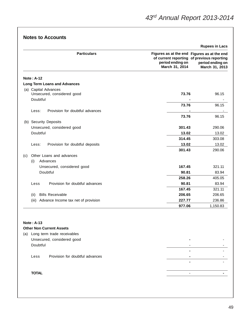| <b>Particulars</b>                                 | Figures as at the end Figures as at the end                                      |                                    |
|----------------------------------------------------|----------------------------------------------------------------------------------|------------------------------------|
|                                                    | of current reporting of previous reporting<br>period ending on<br>March 31, 2014 | period ending on<br>March 31, 2013 |
| <b>Note: A-12</b>                                  |                                                                                  |                                    |
| <b>Long Term Loans and Advances</b>                |                                                                                  |                                    |
| (a) Capital Advances                               |                                                                                  |                                    |
| Unsecured, considered good                         | 73.76                                                                            | 96.15                              |
| Doubtful                                           |                                                                                  |                                    |
|                                                    | 73.76                                                                            | 96.15                              |
| Provision for doubtful advances<br>Less:           |                                                                                  |                                    |
|                                                    | 73.76                                                                            | 96.15                              |
| (b) Security Deposits                              |                                                                                  |                                    |
| Unsecured, considered good                         | 301.43                                                                           | 290.06                             |
| Doubtful                                           | 13.02                                                                            | 13.02                              |
|                                                    | 314.45                                                                           | 303.08                             |
| Provision for doubtful deposits<br>Less:           | 13.02<br>301.43                                                                  | 13.02                              |
|                                                    |                                                                                  | 290.06                             |
| Other Loans and advances<br>(c)<br>(i)<br>Advances |                                                                                  |                                    |
| Unsecured, considered good                         | 167.45                                                                           | 321.11                             |
| Doubtful                                           | 90.81                                                                            | 83.94                              |
|                                                    | 258.26                                                                           | 405.05                             |
| Provision for doubtful advances<br>Less            | 90.81                                                                            | 83.94                              |
|                                                    | 167.45                                                                           | 321.11                             |
| <b>Bills Receivable</b><br>(ii)                    | 206.65                                                                           | 206.65                             |
| (iii)<br>Advance Income tax net of provision       | 227.77                                                                           | 236.86                             |
|                                                    | 977.06                                                                           | 1,150.83                           |
|                                                    |                                                                                  |                                    |
|                                                    |                                                                                  |                                    |
| <b>Note: A-13</b>                                  |                                                                                  |                                    |
| <b>Other Non Current Assets</b>                    |                                                                                  |                                    |
| (a) Long term trade receivables                    |                                                                                  |                                    |
| Unsecured, considered good                         |                                                                                  |                                    |

# Doubtful - -  **-** - Less Provision for doubtful advances **-** -  **-** - **TOTAL** - **-**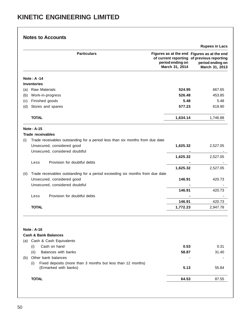|      | <b>Particulars</b>                                                            | Figures as at the end Figures as at the end<br>of current reporting of previous reporting<br>period ending on<br>March 31, 2014 | <b>Rupees in Lacs</b><br>period ending on<br>March 31, 2013 |
|------|-------------------------------------------------------------------------------|---------------------------------------------------------------------------------------------------------------------------------|-------------------------------------------------------------|
|      |                                                                               |                                                                                                                                 |                                                             |
|      | <b>Note: A-14</b>                                                             |                                                                                                                                 |                                                             |
|      | <b>Inventories</b>                                                            |                                                                                                                                 |                                                             |
| (a)  | <b>Raw Materials</b>                                                          | 524.95                                                                                                                          | 667.65                                                      |
| (b)  | Work-in-progress                                                              | 526.48                                                                                                                          | 453.85                                                      |
| (c)  | Finished goods                                                                | 5.48                                                                                                                            | 5.48                                                        |
| (d)  | Stores and spares                                                             | 577.23                                                                                                                          | 619.90                                                      |
|      | <b>TOTAL</b>                                                                  | 1,634.14                                                                                                                        | 1,746.88                                                    |
|      | <b>Note: A-15</b>                                                             |                                                                                                                                 |                                                             |
|      | <b>Trade receivables</b>                                                      |                                                                                                                                 |                                                             |
| (i)  | Trade receivables outstanding for a period less than six months from due date |                                                                                                                                 |                                                             |
|      | Unsecured, considered good                                                    | 1,625.32                                                                                                                        | 2,527.05                                                    |
|      | Unsecured, considered doubtful                                                |                                                                                                                                 |                                                             |
|      |                                                                               | 1,625.32                                                                                                                        | 2,527.05                                                    |
|      | Provision for doubtful debts<br>Less                                          |                                                                                                                                 |                                                             |
|      |                                                                               | 1,625.32                                                                                                                        | 2,527.05                                                    |
| (ii) | Trade receivables outstanding for a period exceeding six months from due date |                                                                                                                                 |                                                             |
|      | Unsecured, considered good                                                    | 146.91                                                                                                                          | 420.73                                                      |
|      | Unsecured, considered doubtful                                                |                                                                                                                                 |                                                             |
|      |                                                                               | 146.91                                                                                                                          | 420.73                                                      |
|      | Provision for doubtful debts<br>Less                                          |                                                                                                                                 |                                                             |
|      |                                                                               | 146.91                                                                                                                          | 420.73                                                      |
|      | <b>TOTAL</b>                                                                  | 1,772.23                                                                                                                        | 2,947.78                                                    |
|      | <b>Note: A-16</b><br><b>Cash &amp; Bank Balances</b>                          |                                                                                                                                 |                                                             |
|      | (a) Cash & Cash Equivalents                                                   |                                                                                                                                 |                                                             |
|      | Cash on hand<br>(i)                                                           | 0.53                                                                                                                            | 0.31                                                        |
|      | Balances with banks<br>(ii)                                                   | 58.87                                                                                                                           | 31.40                                                       |
|      | Other bank balances                                                           |                                                                                                                                 |                                                             |
| (b)  | Fixed deposits (more than 3 months but less than 12 months)<br>(i)            |                                                                                                                                 |                                                             |
|      | (Ermarked with banks)                                                         | 5.13                                                                                                                            | 55.84                                                       |
|      | <b>TOTAL</b>                                                                  | 64.53                                                                                                                           | 87.55                                                       |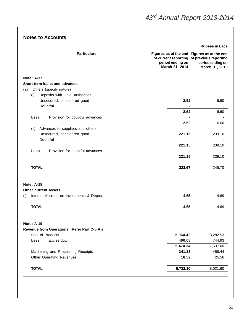| <b>Particulars</b>                                | Figures as at the end Figures as at the end<br>of current reporting of previous reporting<br>period ending on<br>March 31, 2014 | period ending on<br>March 31, 2013 |
|---------------------------------------------------|---------------------------------------------------------------------------------------------------------------------------------|------------------------------------|
| <b>Note: A-17</b>                                 |                                                                                                                                 |                                    |
| Short term loans and advances                     |                                                                                                                                 |                                    |
| Others (specify nature)<br>(a)                    |                                                                                                                                 |                                    |
| Deposits with Govt. authorities<br>(i)            |                                                                                                                                 |                                    |
| Unsecured, considered good                        | 2.52                                                                                                                            | 6.60                               |
| Doubtful                                          |                                                                                                                                 |                                    |
|                                                   | 2.52                                                                                                                            | 6.60                               |
| Provision for doubtful advances<br>Less           |                                                                                                                                 |                                    |
|                                                   | 2.52                                                                                                                            | 6.60                               |
| Advances to suppliers and others<br>(ii)          |                                                                                                                                 |                                    |
| Unsecured, considered good                        | 221.15                                                                                                                          | 239.10                             |
| Doubtful                                          |                                                                                                                                 |                                    |
|                                                   | 221.15                                                                                                                          | 239.10                             |
| Provision for doubtful advances<br>Less           |                                                                                                                                 |                                    |
|                                                   | 221.15                                                                                                                          | 239.10                             |
| <b>TOTAL</b>                                      | 223.67                                                                                                                          | 245.70                             |
| <b>Note: A-18</b>                                 |                                                                                                                                 |                                    |
| Other current assets                              |                                                                                                                                 |                                    |
| Interest Accrued on Investments & Deposits<br>(i) | 4.65                                                                                                                            | 4.69                               |
|                                                   |                                                                                                                                 |                                    |
| <b>TOTAL</b>                                      | 4.65                                                                                                                            | 4.69                               |
| <b>Note: A-19</b>                                 |                                                                                                                                 |                                    |
| Revenue from Operations (Refer Part C-5(A))       |                                                                                                                                 |                                    |
| Sale of Products                                  | 5,964.42                                                                                                                        | 8,282.53                           |
| Excise duty<br>Less                               | 490.08                                                                                                                          | 744.93                             |
|                                                   | 5,474.34                                                                                                                        | 7,537.60                           |
| Machining and Processing Receipts                 | 241.23                                                                                                                          | 458.44                             |
| <b>Other Operating Revenues</b>                   | 16.52                                                                                                                           | 25.56                              |
| <b>TOTAL</b>                                      | 5,732.10                                                                                                                        | 8,021.60                           |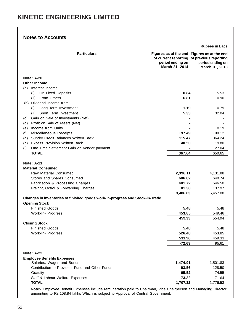|     |                                                                              |                                                                                                                                 | <b>Rupees in Lacs</b>              |
|-----|------------------------------------------------------------------------------|---------------------------------------------------------------------------------------------------------------------------------|------------------------------------|
|     | <b>Particulars</b>                                                           | Figures as at the end Figures as at the end<br>of current reporting of previous reporting<br>period ending on<br>March 31, 2014 | period ending on<br>March 31, 2013 |
|     | <b>Note: A-20</b>                                                            |                                                                                                                                 |                                    |
|     | <b>Other Income</b>                                                          |                                                                                                                                 |                                    |
| (a) | Interest Income                                                              |                                                                                                                                 |                                    |
|     | On Fixed Deposits<br>(i)                                                     | 0.84                                                                                                                            | 5.53                               |
|     | From Others<br>(ii)                                                          | 6.81                                                                                                                            | 10.90                              |
| (b) | Dividend Income from:                                                        |                                                                                                                                 |                                    |
|     | Long Term Investment<br>(i)                                                  | 1.19                                                                                                                            | 0.79                               |
|     | Short Term Investment<br>(ii)                                                | 5.33                                                                                                                            | 32.04                              |
| (C) | Gain on Sale of Investments (Net)                                            |                                                                                                                                 |                                    |
| (d) | Profit on Sale of Assets (Net)                                               |                                                                                                                                 |                                    |
| (e) | Income from Units                                                            |                                                                                                                                 | 0.19                               |
| (f) | Miscellaneous Receipts                                                       | 197.49                                                                                                                          | 190.12                             |
| (g) | Sundry Credit Balances Written Back                                          | 115.47                                                                                                                          | 364.24                             |
| (h) | <b>Excess Provision Written Back</b>                                         | 40.50                                                                                                                           | 19.80                              |
|     | One Time Settlement Gain on Vendor payment                                   |                                                                                                                                 | 27.04                              |
| (i) | <b>TOTAL</b>                                                                 | 367.64                                                                                                                          | 650.65                             |
|     |                                                                              |                                                                                                                                 |                                    |
|     | <b>Note: A-21</b>                                                            |                                                                                                                                 |                                    |
|     | <b>Material Consumed</b>                                                     |                                                                                                                                 |                                    |
|     | Raw Material Consumed                                                        | 2,396.11                                                                                                                        | 4,131.88                           |
|     | Stores and Spares Consumed                                                   | 606.82                                                                                                                          | 640.74                             |
|     | Fabrication & Processing Charges                                             | 401.72                                                                                                                          | 546.50                             |
|     | Freight, Octroi & Forwarding Charges                                         | 81.38                                                                                                                           | 137.97                             |
|     |                                                                              | 3,486.03                                                                                                                        | 5,457.08                           |
|     | Changes in inventories of finished goods work-in-progress and Stock-in-Trade |                                                                                                                                 |                                    |
|     | <b>Opening Stock</b>                                                         |                                                                                                                                 |                                    |
|     | <b>Finished Goods</b>                                                        | 5.48                                                                                                                            | 5.48                               |
|     | Work-In- Progress                                                            | 453.85<br>459.33                                                                                                                | 549.46                             |
|     |                                                                              |                                                                                                                                 | 554.94                             |
|     | <b>Closing Stock</b>                                                         |                                                                                                                                 |                                    |
|     | <b>Finished Goods</b>                                                        | 5.48                                                                                                                            | 5.48                               |
|     | Work-In- Progress                                                            | 526.48                                                                                                                          | 453.85                             |
|     |                                                                              | 531.96                                                                                                                          | 459.33                             |
|     |                                                                              | $-72.63$                                                                                                                        | 95.61                              |
|     | <b>Note: A-22</b>                                                            |                                                                                                                                 |                                    |
|     | <b>Employee Benefits Expenses</b>                                            |                                                                                                                                 |                                    |
|     | Salaries, Wages and Bonus                                                    | 1,474.91                                                                                                                        | 1,501.83                           |
|     | Contribution to Provident Fund and Other Funds                               | 93.56                                                                                                                           | 128.50                             |
|     | Gratuity                                                                     | 65.52                                                                                                                           | 74.55                              |
|     | Staff & Labour Welfare Expenses                                              | 73.32                                                                                                                           | 71.64                              |
|     | <b>TOTAL</b>                                                                 | 1,707.32                                                                                                                        | 1,776.53                           |

amounting to Rs.108.84 lakhs Which is subject to Approval of Central Government.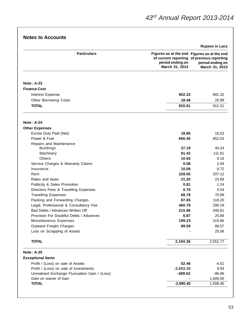| <b>Notes to Accounts</b> |  |  |  |
|--------------------------|--|--|--|
|--------------------------|--|--|--|

|                                                                           |                                                                                                                                 | <b>Rupees in Lacs</b>              |
|---------------------------------------------------------------------------|---------------------------------------------------------------------------------------------------------------------------------|------------------------------------|
| <b>Particulars</b>                                                        | Figures as at the end Figures as at the end<br>of current reporting of previous reporting<br>period ending on<br>March 31, 2014 | period ending on<br>March 31, 2013 |
|                                                                           |                                                                                                                                 |                                    |
| <b>Note: A-23</b>                                                         |                                                                                                                                 |                                    |
| <b>Finance Cost</b>                                                       |                                                                                                                                 |                                    |
| Interest Expense                                                          | 902.33                                                                                                                          | 891.32                             |
| <b>Other Borrowing Costs</b>                                              | 18.48                                                                                                                           | 20.99                              |
| <b>TOTAL</b>                                                              | 920.81                                                                                                                          | 912.31                             |
| <b>Note: A-24</b>                                                         |                                                                                                                                 |                                    |
| <b>Other Expenses</b>                                                     |                                                                                                                                 |                                    |
| Excise Duty Paid (Net)                                                    | 18.86                                                                                                                           | 18.53                              |
| Power & Fuel                                                              | 666.46                                                                                                                          | 852.03                             |
| Repairs and Maintenance:                                                  |                                                                                                                                 |                                    |
| <b>Buildings</b>                                                          | 27.19                                                                                                                           | 40.24                              |
| Machinery                                                                 | 81.42                                                                                                                           | 111.81                             |
| <b>Others</b>                                                             | 10.65                                                                                                                           | 9.16                               |
| Service Charges & Warranty Claims                                         | 0.08                                                                                                                            | 2.94                               |
| Insurance                                                                 | 10.09                                                                                                                           | 8.72                               |
| Rent                                                                      | 228.05                                                                                                                          | 207.12                             |
| Rates and taxes                                                           | 21.20                                                                                                                           | 23.89                              |
| Publicity & Sales Promotion                                               | 0.81                                                                                                                            | 1.24                               |
| Directors Fees & Travelling Expenses                                      | 0.70                                                                                                                            | 0.54                               |
| <b>Travelling Expenses</b>                                                | 68.78                                                                                                                           | 70.89                              |
| Packing and Forwarding Charges                                            | 87.65<br>460.78                                                                                                                 | 118.20                             |
| Legal, Professional & Consultancy Fee<br>Bad Debts / Advances Written Off | 215.96                                                                                                                          | 290.29<br>340.81                   |
| Provision For Doubtful Debts / Advances                                   | 6.87                                                                                                                            | 25.88                              |
| Miscellaneous Expenses                                                    | 199.23                                                                                                                          | 315.86                             |
| Outward Freight Charges                                                   | 89.59                                                                                                                           | 88.57                              |
| Loss on Scrapping of Assets                                               |                                                                                                                                 | 25.06                              |
| <b>TOTAL</b>                                                              | 2,194.36                                                                                                                        | 2,551.77                           |
| <b>Note: A-25</b>                                                         |                                                                                                                                 |                                    |
| <b>Exceptional Items</b>                                                  |                                                                                                                                 |                                    |
| Profit / (Loss) on sale of Assets                                         | 52.46                                                                                                                           | $-4.51$                            |
| Profit / (Loss) on sale of Investments                                    | $-2,653.25$                                                                                                                     | 9.93                               |
| Unrealised Exchange Fluctuation Gain / (Loss)                             | $-389.62$                                                                                                                       | $-96.96$                           |
| Gain on waiver of loan                                                    |                                                                                                                                 | 1,600.00                           |
| <b>TOTAL</b>                                                              | $-2,990.40$                                                                                                                     | 1,508.46                           |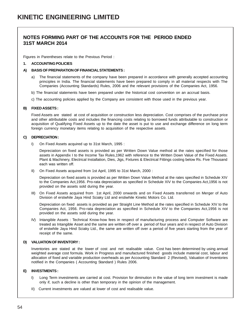#### **NOTES FORMING PART OF THE ACCOUNTS FOR THE PERIOD ENDED 31ST MARCH 2014**

Figures in Parentheses relate to the Previous Period :

#### **1. ACCOUNTING POLICIES**

#### **A) BASIS OF PREPARATION OF FINANCIAL STATEMENTS :**

- a) The financial statements of the company have been prepared in accordance with generally accepted accounting principles in India. The financial statements have been prepared to comply in all material respects with The Companies (Accounting Standards) Rules, 2006 and the relevant provisions of the Companies Act, 1956.
- b) The financial statements have been prepared under the historical cost convention on an accrual basis.
- c) The accounting policies applied by the Company are consistent with those used in the previous year.

#### **B) FIXED ASSETS :**

Fixed Assets are stated at cost of acquisition or construction less depreciation. Cost comprises of the purchase price and other attributable costs and includes the financing costs relating to borrowed funds attributable to construction or acquisition of Qualifying Fixed Assets up to the date the asset is put to use and exchange difference on long term foreign currency monetary items relating to acquisition of the respective assets.

#### **C) DEPRECIATION :**

I) On Fixed Assets acquired up to 31st March, 1995 :

Depreciation on fixed assets is provided as per Written Down Value method at the rates specified for those assets in Appendix I to the Income Tax Rules,1962 with reference to the Written Down Value of the Fixed Assets. Plant & Machinery, Electrical Installation, Dies, Jigs, Fixtures & Electrical Fittings costing below Rs. Five Thousand each was written off.

II) On Fixed Assets acquired from 1st April, 1995 to 31st March, 2000 :

Depreciation on fixed assets is provided as per Written Down Value Method at the rates specified in Schedule XIV to the Companies Act,1956. Pro-rata depreciation as specified in Schedule XIV to the Companies Act,1956 is not provided on the assets sold during the year.

III) On Fixed Assets acquired from 1st April, 2000 onwards and on Fixed Assets transferred on Merger of Auto Division of erstwhile Jaya Hind Sciaky Ltd and erstiwhile Kinetic Motors Co. Ltd.

Depreciation on fixed assets is provided as per Straight Line Method at the rates specified in Schedule XIV to the Companies Act, 1956. Pro-rata depreciation as specified in Schedule XIV to the Companies Act,1956 is not provided on the assets sold during the year.

IV) Intangible Assets : Technical Know-how fees in respect of manufacturing process and Computer Software are treated as Intangible Asset and the same are written off over a period of four years and in respect of Auto Division of erstwhile Jaya Hind Sciaky Ltd., the same are written off over a period of five years starting from the year of receipt of the same.

#### **D) VALUATION OF INVENTORY :**

Inventories are stated at the lower of cost and net realisable value. Cost has been determined by using annual weighted average cost formula. Work in Progress and manufactured finished goods include material cost, labour and allocation of fixed and variable production overheads as per Accounting Standard 2 (Revised), Valuation of Inventories notified in the Companies ( Accounting Standard ) Rules 2006.

#### **E) INVESTMENTS :**

- I) Long Term investments are carried at cost. Provision for diminution in the value of long term investment is made only if, such a decline is other than temporary in the opinion of the management.
- II) Current investments are valued at lower of cost and realisable value.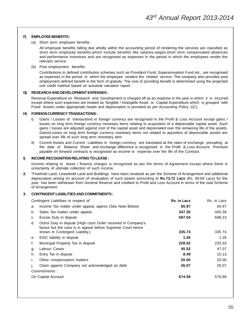#### **F) EMPLOYEE BENEFITS :**

(a) Short term employee benefits

All employee benefits falling due wholly within the accounting period of rendering the services are classified as short term employee benefits,which include benefits like salaries,wages,short term compensated absences and performance incentives and are recognised as expenses in the period in which the employees render the relevant service.

(b) Post employment benefits

Contributions to defined contribution schemes such as Provident Fund, Superannuation Fund etc., are recognised as expenses in the period in which the employee renders the related service. The company also provides post employment defined benefit in the form of gratuity. The cost of providing benefit is determined using the projected unit credit method based on actuarial valuation report.

#### **G) RESEARCH AND DEVELOPMENT EXPENSES :**

Revenue Expenditure on Research and Development is charged off as an expense in the year in which it is incurred except where such expenses are treated as Tangible / Intangible Asset or Capital Expenditure which is grouped with Fixed Assets under appropriate heads and depreciation is provided as per Accounting Policy 1(C).

#### **H) FOREIGN CURRENCY TRANSACTIONS :**

- I) Gains / Losses of transactions in foreign currency are recognised in the Profit & Loss Account except gains / losses on long term foreign currency monetary items relating to acquisition of a depreciable capital asset. Such gains / losses are adjusted against cost of the capital asset and depreciated over the remaining life of the assets. Gains/Losses on long term foreign currency monetary items not related to aquisition of depreciable assets are spread over life of such long term monetary item.
- II) Current Assets and Current Liabilities in foreign currency are translated at the rates of exchange prevailing at the date of Balance Sheet and exchange difference is recognised in the Profit & Loss Account. Premium payable on forward contracts is recognised as income or expense over the life of the Contract.

#### **I) INCOME RECOGNITION RELATING TO LEASE :**

Income relating to lease / finance charges is recognised as per the terms of Agreement except where there is uncertainty of ultimate collection of such income.

**2.** "Freehold Land, Leasehold Land and Buildings have been revalued as per the Scheme of Arrangement and additional depreciation arising on account of revaluation of such assets amounting to **Rs.73.72 Lacs** (Rs. 89.69 Lacs) for the year has been withdrawn from General Reserve and credited to Profit and Loss Account in terms of the said Scheme of Arrangement.

#### **3. CONTINGENT LIABILITIES AND COMMITMENTS :**

| Contingent Liabilities in respect of                                                                                                                                   | Rs. in Lacs | Rs. in Lacs |
|------------------------------------------------------------------------------------------------------------------------------------------------------------------------|-------------|-------------|
| Income Tax matter under appeal, approx (See Note Below)<br>a.                                                                                                          | 65.97       | 65.97       |
| Sales Tax matter under appeal<br>b.                                                                                                                                    | 347.30      | 445.39      |
| Excise Duty in dispute<br>c.                                                                                                                                           | 597.04      | 698.23      |
| Octroi Duty in dispute (High court Order received in Company's<br>d.<br>favour but the case is in appeal before Supreme Court hence<br>shown in Contingent Liability.) | 335.74      | 335.74      |
| ESIC liability in dispute                                                                                                                                              | 1.26        | 1.26        |
| е.                                                                                                                                                                     |             |             |
| f.<br>Municipal Property Tax in dispute                                                                                                                                | 228.52      | 233.33      |
| Labour Cases<br>g.                                                                                                                                                     | 45.52       | 47.07       |
| Entry Tax in dispute<br>h.                                                                                                                                             | 8.49        | 10.13       |
| Other compensation matters<br>۱.                                                                                                                                       | 20.00       | 20.00       |
| Claim against Company not acknowledged as debt.                                                                                                                        | 26.07       | 26.07       |
| Commitments:                                                                                                                                                           |             |             |
| On Capital Account                                                                                                                                                     | 674.59      | 576.99      |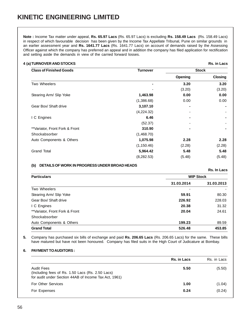**Note :** Income Tax matter under appeal, **Rs. 65.97 Lacs** (Rs. 65.97 Lacs) is excluding **Rs. 158.49 Lacs** (Rs. 158.49 Lacs) in respect of which favourable decision has been given by the Income Tax Appellate Tribunal, Pune on similar grounds in an earlier assessment year and **Rs. 1641.77 Lacs** (Rs. 1641.77 Lacs) on account of demands raised by the Assessing Officer against which the company has preferred an appeal and in addition the company has filed application for rectification and setting aside the demands in view of the carried forward losses.

#### **4 (a)TURNOVER AND STOCKS Rs. in Lacs**

| <b>Class of Finished Goods</b> | <b>Turnover</b>          | <b>Stock</b> |                |
|--------------------------------|--------------------------|--------------|----------------|
|                                |                          | Opening      | <b>Closing</b> |
| Two Wheelers                   |                          | 3.20         | 3.20           |
|                                | $\overline{\phantom{0}}$ | (3.20)       | (3.20)         |
| Stearing Arm/ Slip Yoke        | 1,463.98                 | 0.00         | 0.00           |
|                                | (1,386.68)               | 0.00         | 0.00           |
| Gear Box/ Shaft drive          | 3,107.10                 |              |                |
|                                | (4,224.32)               |              |                |
| I C Engines                    | 6.46                     | -            |                |
|                                | (52.37)                  |              |                |
| **Variator, Front Fork & Front | 310.90                   |              |                |
| Shockabsorber                  | (1,468.70)               |              |                |
| Auto Components & Others       | 1,075.98                 | 2.28         | 2.28           |
|                                | (1, 150.46)              | (2.28)       | (2.28)         |
| <b>Grand Total</b>             | 5,964.42                 | 5.48         | 5.48           |
|                                | (8, 282.53)              | (5.48)       | (5.48)         |
|                                |                          |              |                |

#### **(b) DETAILS OF WORK IN PROGRESS UNDER BROAD HEADS**

**Rs. In Lacs Particulars WIP Stock 31.03.2014 31.03.2013** Two Wheelers Stearing Arm/ Slip Yoke **59.91** 80.30 Gear Box/ Shaft drive **226.92** 228.03 I C Engines **20.38** 31.32 \*\*Variator, Front Fork & Front **20.04** 24.61 Shockabsorber Auto Components & Others **199.23** 89.59 **Grand Total 526.48 453.85**

**5.** Company has purchased six bills of exchange and paid **Rs. 206.65 Lacs** (Rs. 206.65 Lacs) for the same. These bills have matured but have not been honoured. Company has filed suits in the High Court of Judicature at Bombay.

#### **6. PAYMENT TO AUDITORS :**

|                                                                                                                         | <b>Rs. in Lacs</b> | Rs. in Lacs |
|-------------------------------------------------------------------------------------------------------------------------|--------------------|-------------|
| Audit Fees<br>(Including fees of Rs. 1.50 Lacs (Rs. 2.50 Lacs)<br>for audit under Section 44AB of Income Tax Act, 1961) | 5.50               | (5.50)      |
| For Other Services                                                                                                      | 1.00               | (1.04)      |
| For Expenses                                                                                                            | 0.24               | (0.24)      |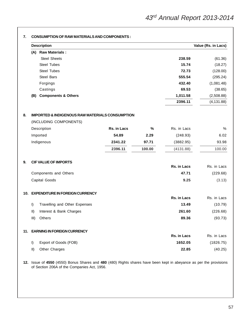|                        | <b>Description</b>                                         |             |        |                  | Value (Rs. in Lacs)  |
|------------------------|------------------------------------------------------------|-------------|--------|------------------|----------------------|
|                        | (A) Raw Materials :                                        |             |        |                  |                      |
|                        | <b>Steel Sheets</b>                                        |             |        | 238.59           | (61.36)              |
|                        | <b>Steel Tubes</b>                                         |             |        | 15.74            | (18.27)              |
|                        | <b>Steel Tubes</b>                                         |             |        | 72.73            | (128.00)             |
|                        | <b>Steel Bars</b>                                          |             |        | 555.54           | (295.24)             |
|                        | Forgings                                                   |             |        | 432.40           | (1,081.48)           |
|                        | Castings                                                   |             |        | 69.53            | (38.65)              |
|                        | <b>Components &amp; Others</b><br>(B)                      |             |        | 1,011.58         | (2,508.88)           |
|                        |                                                            |             |        | 2396.11          | (4, 131.88)          |
|                        | <b>IMPORTED &amp; INDIGENOUS RAW MATERIALS CONSUMPTION</b> |             |        |                  |                      |
|                        | (INCLUDING COMPONENTS)                                     | Rs. in Lacs | %      | Rs. in Lacs      |                      |
|                        | Description                                                |             |        |                  | %                    |
|                        | Imported                                                   | 54.89       | 2.29   | (248.93)         | 6.02                 |
| Indigenous             |                                                            | 2341.22     | 97.71  | (3882.95)        | 93.98                |
|                        |                                                            | 2396.11     | 100.00 | (4131.88)        | 100.00               |
|                        | <b>CIF VALUE OF IMPORTS</b>                                |             |        | Rs. in Lacs      | Rs. in Lacs          |
|                        | Components and Others                                      |             |        | 47.71            | (229.68)             |
|                        | Capital Goods                                              |             |        | 9.25             | (3.13)               |
| 10.                    | <b>EXPENDITURE IN FOREIGN CURRENCY</b>                     |             |        |                  |                      |
|                        |                                                            |             |        | Rs. in Lacs      | Rs. in Lacs          |
| I)                     | Travelling and Other Expenses                              |             |        | 13.49            | (10.79)              |
| $\vert$ II)            | Interest & Bank Charges                                    |             |        | 261.60           | (226.68)             |
|                        | Others<br>III)                                             |             |        | 89.36            | (93.73)              |
|                        | 11. EARNING IN FOREIGN CURRENCY                            |             |        |                  |                      |
|                        |                                                            |             |        | Rs. in Lacs      | Rs. in Lacs          |
|                        |                                                            |             |        |                  | (1826.75)<br>(40.25) |
| $\vert$<br>$\parallel$ | Export of Goods (FOB)<br>Other Charges                     |             |        | 1652.05<br>22.85 |                      |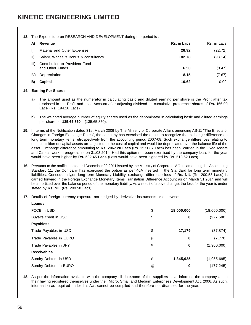#### **13.** The Expenditure on RESEARCH AND DEVELOPMENT during the period is :

| A)          | Revenue                                           | Rs. in Lacs | Rs. in Lacs |
|-------------|---------------------------------------------------|-------------|-------------|
| I)          | Material and Other Expenses                       | 28.92       | (22.72)     |
| $\parallel$ | Salary, Wages & Bonus & consultancy               | 182.78      | (98.14)     |
| III)        | Contribution to Provident Fund<br>and Other Funds | 6.50        | (3.47)      |
| IV)         | Depreciation                                      | 8.15        | (7.67)      |
| B)          | Capital                                           | 10.62       | 0.00        |

#### **14. Earning Per Share :**

- a) The amount used as the numerator in calculating basic and diluted earning per share is the Profit after tax disclosed in the Profit and Loss Account after adjusting dividend on cumulative preference shares of **Rs. 166.90 Lacs** (Rs. 194.16 Lacs)
- b) The weighted average number of equity shares used as the denominator in calculating basic and diluted earnings per share is **135,65,850** (135,65,850).
- **15.** In terms of the Notification dated 31st March 2009 by The Ministry of Corporate Affairs amending AS-11 "The Effects of Changes in Foreign Exchange Rates", the company has exercised the option to recognize the exchange difference on long term monetary items retrospectively from the accounting period 2007-08. Such exchange differences relating to the acquisition of capital assets are adjusted to the cost of capital and would be depreciated over the balance life of the asset. Exchange difference amounting to **Rs. 2067.20 Lacs** (Rs. 1571.87 Lacs) has been carried in the Fixed Assets and Capital work in progress as on 31.03.2014. Had this option not been exercised by the company Loss for the year would have been higher by **Rs. 502.45 Lacs** (Loss would have been highered by Rs. 513.62 Lacs).
- **16.** Persuant to the notification dated December 29,2011 issued by the Ministry of Corporate Affairs amending the Accounting Standard 11, the Company has exercised the option as per 46A inserted in the Standard for long term monetary liabilities. Consequently,on long term Monetary Liability, exchange difference loss of **Rs. NIL** (Rs. 200.58 Lacs) is carried forward in the Foregn Exchange Monetary Items Translation Difference Account as on March 31,2014 and will be amortized over the balance period of the monetary liability. As a result of above change, the loss for the year is under stated by **Rs. NIL** (Rs. 200.58 Lacs).
- **17.** Details of foreign currency exposure not hedged by derivative instruments or otherwise:-

| Loans:                 |    |            |              |
|------------------------|----|------------|--------------|
| FCCB in USD            | \$ | 18,000,000 | (18,000,000) |
| Buyer's credit in USD  | \$ | 0          | (277, 580)   |
| Payables:              |    |            |              |
| Trade Payables in USD  | \$ | 17,179     | (37, 874)    |
| Trade Payables in EURO | €  | 0          | (7, 770)     |
| Trade Payables in JPY  | ¥  | 0          | (1,900,000)  |
| <b>Receivables:</b>    |    |            |              |
| Sundry Debtors in USD  | \$ | 1,345,925  | (1,955,695)  |
| Sundry Debtors in EURO | €  | 0          | (177, 245)   |

**18.** As per the information available with the company till date,none of the suppliers have informed the company about their having registered themselves under the ' Micro, Small and Medium Enterprises Development Act, 2006. As such, information as required under this Act, cannot be compiled and therefore not disclosed for the year.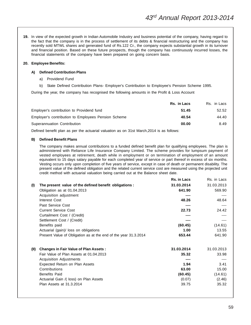**19.** In view of the expected growth in Indian Automobile Industry and business potential of the company, having regard to the fact that the company is in the process of settlement of its debts & financial restructuring and the company has recently sold MTWL shares and generated fund of Rs.122 Cr., the company expects substantial growth in its turnover and financial position. Based on these future prospects, though the company has continuously incurred losses, the financial statements of the company have been prepared on going concern basis.

#### **20. Employee Benefits:**

#### **A) Defined Contribution Plans**

- a) Providend Fund
- b) State Defined Contribution Plans- Employer's Contribution to Employee's Pension Scheme 1995.

During the year, the company has recognised the following amounts in the Profit & Loss Account

|                                                     | Rs. in Lacs | Rs. in Lacs |
|-----------------------------------------------------|-------------|-------------|
| Employer's contribution to Providend fund           | 51.45       | 52.52       |
| Employer's contribution to Employees Pension Scheme | 40.54       | 44.40       |
| Superannuation Contribution                         | 00.00       | 8.49        |

Defined benefit plan as per the actuarial valuation as on 31st March,2014 is as follows:

#### **B) Defined Benefit Plans**

The company makes annual contributions to a funded defined benefit plan for qualifying employees. The plan is administered with Reliance Life Insurance Company Limited. The scheme provides for lumpsum payment of vested employees at retirement, death while in employment or on termination of employment of an amount equivalent to 15 days salary payable for each completed year of service or part thereof in excess of six months. Vesting occurs only upon completion of five years of service, except in case of death or permanent disability. The present value of the defined obligation and the related current service cost are measured using the projected unit credit method with actuarial valuation being carried out at the Balance sheet date.

|      |                                                                 | <b>Rs. in Lacs</b> | Rs. in Lacs |
|------|-----------------------------------------------------------------|--------------------|-------------|
| (1)  | The present value of the defined benefit obligations :          | 31.03.2014         | 31.03.2013  |
|      | Obligation as at 01.04.2013                                     | 641.90             | 569.90      |
|      | Acquisition adjustment                                          | ----               |             |
|      | Interest Cost                                                   | 48.26              | 48.64       |
|      | Past Service Cost                                               | ----               |             |
|      | <b>Current Service Cost</b>                                     | 22.73              | 24.42       |
|      | Curtailment Cost / (Credit)                                     |                    |             |
|      | Settlement Cost / (Credit)                                      | -----              |             |
|      | Benefits paid                                                   | (60.45)            | (14.61)     |
|      | Actuarial (gain)/ loss on obligations                           | 1.00               | 13.55       |
|      | Present Value of Obligation as at the end of the year 31.3.2014 | 653.44             | 641.90      |
| (II) | <b>Changes in Fair Value of Plan Assets:</b>                    | 31.03.2014         | 31.03.2013  |
|      | Fair Value of Plan Assets at 01.04.2013                         | 35.32              | 33.98       |
|      | <b>Acquisition Adjustments</b>                                  | -----              | $---$       |
|      | Expected Return on Plan Assets                                  | 1.94               | 3.41        |
|      | Contributions                                                   | 63.00              | 15.00       |
|      | <b>Benefits Paid</b>                                            | (60.45)            | (14.61)     |
|      | Actuarial Gain /( loss) on Plan Assets                          | (0.07)             | (2.46)      |
|      | Plan Assets at 31.3.2014                                        | 39.75              | 35.32       |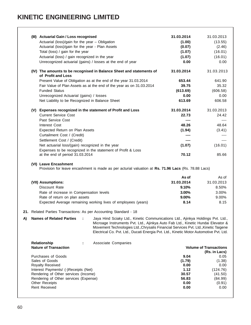# **KINETIC ENGINEERING LIMITED**

|    | (III) Actuarial Gain / Loss recognised<br>Actuarial (loss)/gain for the year - Obligation<br>Actuarial (loss)/gain for the year - Plan Assets<br>Total (loss) / gain for the year<br>Actuarial (loss) / gain recognized in the year | Unrecognized actuarial (gains) / losses at the end of year                                                                                                                                                                                                                                                                                           | 31.03.2014<br>(1.00)<br>(0.07)<br>(1.07)<br>(1.07)<br>0.00 | 31.03.2013<br>(13.55)<br>(2.46)<br>(16.01)<br>(16.01)<br>0.00 |
|----|-------------------------------------------------------------------------------------------------------------------------------------------------------------------------------------------------------------------------------------|------------------------------------------------------------------------------------------------------------------------------------------------------------------------------------------------------------------------------------------------------------------------------------------------------------------------------------------------------|------------------------------------------------------------|---------------------------------------------------------------|
|    | of Profit and Loss                                                                                                                                                                                                                  | (IV) The amounts to be recognised in Balance Sheet and statements of                                                                                                                                                                                                                                                                                 | 31.03.2014                                                 | 31.03.2013                                                    |
|    |                                                                                                                                                                                                                                     | Present Value of Obligation as at the end of the year 31.03.2014                                                                                                                                                                                                                                                                                     | 653.44                                                     | 641.90                                                        |
|    |                                                                                                                                                                                                                                     | Fair Value of Plan Assets as at the end of the year as on 31.03.2014                                                                                                                                                                                                                                                                                 | 39.75                                                      | 35.32                                                         |
|    | <b>Funded Status</b>                                                                                                                                                                                                                |                                                                                                                                                                                                                                                                                                                                                      | (613.69)                                                   | (606.58)                                                      |
|    | Unrecognized Actuarial (gains) / losses                                                                                                                                                                                             |                                                                                                                                                                                                                                                                                                                                                      | 0.00                                                       | 0.00                                                          |
|    | Net Liability to be Recognized in Balance Sheet                                                                                                                                                                                     |                                                                                                                                                                                                                                                                                                                                                      | 613.69                                                     | 606.58                                                        |
|    |                                                                                                                                                                                                                                     | (V) Expenses recognized in the statement of Profit and Loss                                                                                                                                                                                                                                                                                          | 31.03.2014                                                 | 31.03.2013                                                    |
|    | <b>Current Service Cost</b>                                                                                                                                                                                                         |                                                                                                                                                                                                                                                                                                                                                      | 22.73                                                      | 24.42                                                         |
|    | Past Service Cost                                                                                                                                                                                                                   |                                                                                                                                                                                                                                                                                                                                                      | ----                                                       | ----                                                          |
|    | Interest Cost                                                                                                                                                                                                                       |                                                                                                                                                                                                                                                                                                                                                      | 48.26                                                      | 48.64                                                         |
|    | Expected Return on Plan Assets                                                                                                                                                                                                      |                                                                                                                                                                                                                                                                                                                                                      | (1.94)                                                     | (3.41)                                                        |
|    | Curtailment Cost / (Credit)                                                                                                                                                                                                         |                                                                                                                                                                                                                                                                                                                                                      |                                                            |                                                               |
|    | Settlement Cost / (Credit)                                                                                                                                                                                                          |                                                                                                                                                                                                                                                                                                                                                      |                                                            | ----                                                          |
|    | Net actuarial loss/(gain) recognized in the year                                                                                                                                                                                    | Expenses to be recognized in the statement of Profit & Loss                                                                                                                                                                                                                                                                                          | (1.07)                                                     | (16.01)                                                       |
|    | at the end of period 31.03.2014                                                                                                                                                                                                     |                                                                                                                                                                                                                                                                                                                                                      | 70.12                                                      | 85.66                                                         |
|    | (VII) Assumptions:<br>Discount Rate<br>Rate of increase in Compensation levels                                                                                                                                                      | Provision for leave encashment is made as per acturial valuation at Rs. 71.96 Lacs (Rs. 78.88 Lacs)                                                                                                                                                                                                                                                  | As of<br>31.03.2014<br>9.10%<br>3.00%                      | As of<br>31.03.2013<br>8.50%<br>3.00%                         |
|    | Rate of return on plan assets                                                                                                                                                                                                       |                                                                                                                                                                                                                                                                                                                                                      | 9.00%                                                      | 9.00%                                                         |
|    |                                                                                                                                                                                                                                     | Expected Average remaining working lives of employees (years)                                                                                                                                                                                                                                                                                        | 8.14                                                       | 8.15                                                          |
|    | 21. Related Parties Transactions: As per Accounting Standard - 18                                                                                                                                                                   |                                                                                                                                                                                                                                                                                                                                                      |                                                            |                                                               |
| A) | <b>Names of Related Parties</b>                                                                                                                                                                                                     | Jaya Hind Sciaky Ltd., Kinetic Communications Ltd., Ajinkya Holdings Pvt. Ltd.,<br>Microage Instruments Pvt. Ltd., Ajinkya Auto Fab Ltd., Kinetic Hundai Elevator &<br>Movement Technologies Ltd., Chrysalis Financial Services Pvt. Ltd., Kinetic Taigene<br>Electrical Co. Pvt. Ltd., Ducati Energia Pvt. Ltd., Kinetic Motor Automotive Pvt. Ltd. |                                                            |                                                               |
|    | Relationship<br><b>Nature of Transaction</b>                                                                                                                                                                                        | Associate Companies                                                                                                                                                                                                                                                                                                                                  |                                                            | <b>Volume of Transactions</b><br>(Rs. in Lacs)                |
|    | <b>Purchases of Goods</b>                                                                                                                                                                                                           |                                                                                                                                                                                                                                                                                                                                                      | 9.04                                                       | 0.05                                                          |
|    | Sales of Goods                                                                                                                                                                                                                      |                                                                                                                                                                                                                                                                                                                                                      | (1.79)                                                     | (1.38)                                                        |
|    | Royalty Received<br>Interest Payments/ (-)Receipts (Net)                                                                                                                                                                            |                                                                                                                                                                                                                                                                                                                                                      | 0.00<br>1.12                                               | 0.00<br>(124.76)                                              |
|    | Rendering of Other services (Income)                                                                                                                                                                                                |                                                                                                                                                                                                                                                                                                                                                      | 30.57                                                      | (41.50)                                                       |
|    | Rendering of Other services (Expense)                                                                                                                                                                                               |                                                                                                                                                                                                                                                                                                                                                      | 56.83                                                      | (84.99)                                                       |
|    | <b>Other Receipts</b>                                                                                                                                                                                                               |                                                                                                                                                                                                                                                                                                                                                      | 0.00                                                       | (0.91)                                                        |
|    | Rent Received                                                                                                                                                                                                                       |                                                                                                                                                                                                                                                                                                                                                      | 0.00                                                       | 0.00                                                          |
|    |                                                                                                                                                                                                                                     |                                                                                                                                                                                                                                                                                                                                                      |                                                            |                                                               |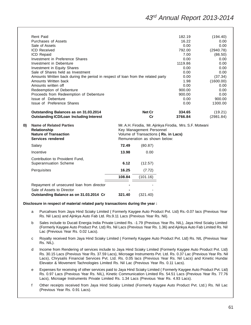## <sup>43</sup>rd Annual Report 2013-2014

|    | <b>Rent Paid</b>                                                                 |        |                                                                      | 182.19  | (194.40)  |
|----|----------------------------------------------------------------------------------|--------|----------------------------------------------------------------------|---------|-----------|
|    | <b>Purchases of Assets</b>                                                       |        |                                                                      | 16.22   | 0.00      |
|    | Sale of Assets                                                                   |        |                                                                      | 0.00    | 0.00      |
|    | <b>ICD Received</b>                                                              |        |                                                                      | 792.00  | (2940.78) |
|    | ICD Repaid                                                                       |        |                                                                      | 7.00    | (86.50)   |
|    | Investment in Preference Shares                                                  |        |                                                                      | 0.00    | 0.00      |
|    | Investment in Debenture                                                          |        |                                                                      | 1119.86 | 0.00      |
|    | Investment in Equity Shares                                                      |        |                                                                      | 0.00    | 0.00      |
|    | Sale of Shares held as Investment                                                |        |                                                                      | 0.00    | 0.00      |
|    | Amounts Written back during the period in respect of loan from the related party |        |                                                                      | 0.00    | (37.34)   |
|    | Amounts Written back                                                             |        |                                                                      | 1.98    | (1600.00) |
|    | Amounts written off                                                              |        |                                                                      | 0.00    | 0.00      |
|    | Redeemption of Debenture                                                         |        |                                                                      | 900.00  | 0.00      |
|    | Proceeds from Redeemption of Debenture                                           |        |                                                                      | 900.00  | 0.00      |
|    | Issue of Debenture                                                               |        |                                                                      | 0.00    | 900.00    |
|    | Issue of Preference Shares                                                       |        |                                                                      | 0.00    | 1300.00   |
|    | Outstanding Balances as on 31.03.2014                                            |        | Net Cr                                                               | 334.65  | (19.21)   |
|    | <b>Outstanding ICD/Loan Including Interest</b>                                   |        | Cr                                                                   | 3766.84 | (2981.84) |
| B) | <b>Name of Related Parties</b>                                                   |        | Mr. A.H. Firodia, Mr. Ajinkya Firodia, Mrs. S.F. Motwani             |         |           |
|    | Relationship<br><b>Nature of Transaction</b>                                     |        | Key Management Personnel                                             |         |           |
|    | Services rendered                                                                |        | Volume of Transactions (Rs. in Lacs)<br>Remuneration as shown below: |         |           |
|    | Salary                                                                           | 72.49  | (80.87)                                                              |         |           |
|    |                                                                                  |        |                                                                      |         |           |
|    | Incentive                                                                        | 13.98  | 0.00                                                                 |         |           |
|    | Contribution to Provident Fund,                                                  |        |                                                                      |         |           |
|    | Superannuation Scheme                                                            | 6.12   | (12.57)                                                              |         |           |
|    | Perquisites                                                                      | 16.25  | (7.72)                                                               |         |           |
|    |                                                                                  | 108.84 | (101.16)                                                             |         |           |
|    | Repayment of unsecured loan from director                                        |        |                                                                      |         |           |
|    | Sale of Assets to Director                                                       |        |                                                                      |         |           |
|    |                                                                                  | 321.40 | (321.40)                                                             |         |           |
|    | Outstanding Balance as on 31.03.2014 Cr                                          |        |                                                                      |         |           |

#### **Disclosure in respect of material related party transactions during the year :**

- a Purcahses from Jaya Hind Sciaky Limited ( Formerly Kaygee Auto Product Pvt. Ltd) Rs.-0.07 lacs (Previous Year Rs. Nil Lacs) and Ajinkya Auto Fab Ltd. Rs.9.11 Lacs (Previous Year Rs. Nil).
- b Sales include to Ducati Energia India Private Limited Rs. -1.79 (Previous Year Rs. NIL), Jaya Hind Sciaky Limited (Formerly Kaygee Auto Product Pvt. Ltd) Rs. Nil Lacs (Previous Year Rs. 1.36) and Ajinkya Auto Fab Limited Rs. Nil Lac (Previous Year Rs. 0.02 Lacs).
- c Royalty received from Jaya Hind Sciaky Limited ( Formerly Kaygee Auto Product Pvt. Ltd) Rs. NIL (Previous Year Rs. NIL).
- d Income from Rendering of services include to Jaya Hind Sciaky Limited (Formerly Kaygee Auto Product Pvt. Ltd) Rs. 30.15 Lacs (Previous Year Rs. 37.59 Lacs), Microage Instruments Pvt. Ltd. Rs. 0.37 Lac (Previous Year Rs. Nil Lacs), Chrysalis Financial Services Pvt. Ltd. Rs. 0.05 lacs (Previous Year Rs. Nil Lacs) and Kinetic Hundai Elevator & Movement Tachnologies Limited Rs. Nil Lac (Previous Year Rs. 0.11 Lacs).
- e Expenses for receiving of other services paid to Jaya Hind Sciaky Limited ( Formerly Kaygee Auto Product Pvt. Ltd) Rs. 0.97 Lacs (Previous Year Rs. NIL), Kinetic Communication Limited Rs. 54.51 Lacs (Previous Year Rs. 77.76 Lacs), Microage Instruments Private Limited Rs. 1.34 Lacs (Previous Year Rs. 4.93 Lacs).
- f Other receipts received from Jaya Hind Sciaky Limited (Formerly Kaygee Auto Product Pvt. Ltd.) Rs. Nil Lac (Previous Year Rs. 0.91 Lacs).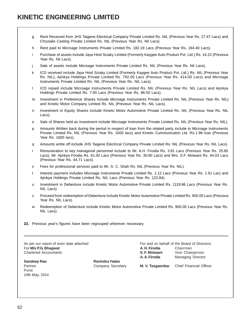## **KINETIC ENGINEERING LIMITED**

- g Rent Received from JHS Taigene Electrical Company Private Limited Rs. NIL (Previous Year Rs. 27.47 Lacs) and Chrysalis Casting Private Limited Rs. NIL (Previous Year Rs. Nil Lacs).
- h Rent paid to Microage Instruments Private Limited Rs. 182.19 Lacs (Previous Year Rs. 194.40 Lacs).
- i Purchase of assets include Jaya Hind Sciaky Limited (Formerly Kaygee Auto Product Pvt. Ltd.) Rs. 16.22 (Previous Year Rs. Nil Lacs).
- j Sale of assets include Microage Instruments Private Limited Rs. NIL (Previous Year Rs. Nil Lacs).
- k ICD received include Jaya Hind Sciaky Limited (Formerly Kaygee Auto Product Pvt. Ltd.) Rs. NIL (Previous Year Rs. NIL), Ajinkya Holdings Private Limited Rs. 792.00 Lacs (Previous Year Rs. 414.00 Lacs) and Microage Instruments Private Limited Rs. NIL (Previous Year Rs. NIL Lacs).
- l ICD repaid include Microage Instruments Private Limited Rs. NIL (Previous Year Rs. NIL Lacs) and Ajinkya Holdings Private Limited Rs. 7.00 Lacs (Previous Year Rs. 86.50 Lacs).
- m Investment in Preference Shares include Microage Instruments Private Limited Rs. NIL (Previous Year Rs. NIL) and Kinetic Motor Company Limited Rs. NIL (Previous Year Rs. NIL Lacs).
- n Investment in Equity Shares include Kinetic Motor Automotive Private Limited Rs. NIL (Previous Year Rs. NIL Lacs).
- o Sale of Shares held as Investment include Microage Instruments Private Limited Rs. NIL (Previous Year Rs. NIL).
- p Amounts Written back during the period in respect of loan from the related party include to Microage Instruments Private Limited Rs. NIL (Previous Year Rs. 1600 lacs) and Kinetic Cummunicaton Ltd. Rs.1.98 lcas (Previous Year Rs. 1600 lacs).
- q Amounts writte off include JHS Taigene Electrical Company Private Limited Rs. NIL (Previous Year Rs. NIL Lacs).
- r Remuneration to key managerial personnel include to Mr. A.H. Firodia Rs. 3.81 Lacs (Previous Year Rs. 25.85 Lacs), Mr. Ajinkya Firodia Rs. 61.00 Lacs (Previous Year Rs. 30.60 Lacs) and Mrs. S.F. Motwani Rs. 44.03 Lacs (Previous Year Rs. 44.71 Lacs).
- s Fees for professional services paid to Mr. S. C. Shah Rs. NIL (Previous Year Rs. NIL).
- t Interest payment includes Microage Instruments Private Limited Rs. 1.12 Lacs (Previous Year Rs. 1.91 Lac) and Ajinkya Holdings Private Limited Rs. NIL Lacs (Previous Year Rs. 122.84).
- u Investment in Debenture include Kinetic Motor Automotive Private Limited Rs. 1119.86 Lacs (Previous Year Rs. NIL Lacs).
- v Proceed from redeemption of Debenture include Kinetic Motor Automotive Private Limited Rs. 900.00 Lacs (Previous Year Rs. NIL Lacs).
- w Redeemption of Debenture include Kinetic Motor Automotive Private Limited Rs. 900.00 Lacs (Previous Year Rs. NIL Lacs).
- **22.** Previous year's figures have been regrouped wherever necessary.

As per our report of even date attached For and on behalf of the Board of Directors **For M/s P.G. Bhagwat A. H. Firodia** Chairman Chairman

Pune 24th May, 2014

Sandeep Rao **Ravindra Yadav** 

Chartered Accountants **S. F. Motwani** Vice Chairperson **A. A. Firodia** Managing Director Partner Company Secretary **M. V. Tasgaonkar** Chief Financial Officer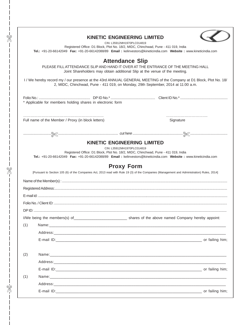|       |                                                            | <b>KINETIC ENGINEERING LIMITED</b>                                                                                                                                          |                                                                                                                                             |
|-------|------------------------------------------------------------|-----------------------------------------------------------------------------------------------------------------------------------------------------------------------------|---------------------------------------------------------------------------------------------------------------------------------------------|
|       |                                                            | CIN: L35912MH1970PLC014819<br>Registered Office: D1 Block, Plot No. 18/2, MIDC, Chinchwad, Pune - 411 019, India                                                            |                                                                                                                                             |
|       |                                                            |                                                                                                                                                                             | Tel.: +91-20-66142049 Fax: +91-20-66142088/89 Email: kelinvestors@kineticindia.com Website: www.kineticindia.com                            |
|       |                                                            | <b>Attendance Slip</b>                                                                                                                                                      |                                                                                                                                             |
|       |                                                            |                                                                                                                                                                             | PLEASE FILL ATTENDANCE SLIP AND HAND IT OVER AT THE ENTRANCE OF THE MEETING HALL                                                            |
|       |                                                            | Joint Shareholders may obtain additional Slip at the venue of the meeting.                                                                                                  |                                                                                                                                             |
|       |                                                            | 2, MIDC, Chinchwad, Pune - 411 019, on Monday, 29th September, 2014 at 11:00 a.m.                                                                                           | I / We hereby record my / our presence at the 43rd ANNUAL GENERAL MEETING of the Company at D1 Block, Plot No. 18/                          |
|       |                                                            |                                                                                                                                                                             |                                                                                                                                             |
|       | * Applicable for members holding shares in electronic form |                                                                                                                                                                             |                                                                                                                                             |
|       |                                                            |                                                                                                                                                                             |                                                                                                                                             |
|       | Full name of the Member / Proxy (in block letters)         |                                                                                                                                                                             | Signature                                                                                                                                   |
|       |                                                            |                                                                                                                                                                             |                                                                                                                                             |
|       |                                                            | <b>KINETIC ENGINEERING LIMITED</b><br>CIN: L35912MH1970PLC014819<br>Registered Office: D1 Block, Plot No. 18/2, MIDC, Chinchwad, Pune - 411 019, India<br><b>Proxy Form</b> | Tel.: +91-20-66142049 Fax: +91-20-66142088/89 Email: kelinvestors@kineticindia.com Website: www.kineticindia.com                            |
|       |                                                            |                                                                                                                                                                             | [Pursuant to Section 105 (6) of the Companies Act, 2013 read with Rule 19 (3) of the Companies (Management and Administration) Rules, 2014] |
|       |                                                            |                                                                                                                                                                             |                                                                                                                                             |
|       |                                                            |                                                                                                                                                                             |                                                                                                                                             |
|       |                                                            |                                                                                                                                                                             |                                                                                                                                             |
|       |                                                            |                                                                                                                                                                             |                                                                                                                                             |
| חו חח |                                                            |                                                                                                                                                                             |                                                                                                                                             |
|       |                                                            |                                                                                                                                                                             |                                                                                                                                             |
| (1)   |                                                            |                                                                                                                                                                             |                                                                                                                                             |
|       |                                                            |                                                                                                                                                                             |                                                                                                                                             |
|       |                                                            |                                                                                                                                                                             |                                                                                                                                             |
|       |                                                            |                                                                                                                                                                             |                                                                                                                                             |
| (2)   |                                                            |                                                                                                                                                                             |                                                                                                                                             |
|       |                                                            |                                                                                                                                                                             |                                                                                                                                             |
|       |                                                            |                                                                                                                                                                             |                                                                                                                                             |
| (1)   |                                                            |                                                                                                                                                                             |                                                                                                                                             |
|       |                                                            |                                                                                                                                                                             |                                                                                                                                             |
|       |                                                            |                                                                                                                                                                             |                                                                                                                                             |
|       |                                                            |                                                                                                                                                                             |                                                                                                                                             |

 $\frac{1}{2}$ 

 $\frac{1}{8}$ 

 $\mathbb{R}$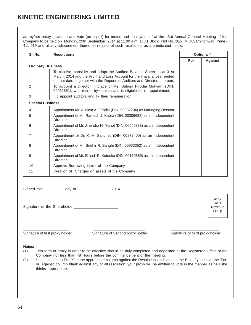## **KINETIC ENGINEERING LIMITED**

as my/our proxy to attend and vote (on a poll) for me/us and on my/behalf at the 43rd Annual General Meeting of the Company to be held on Monday, 29th September, 2014 at 11.00 a.m. at D1 Block, Plot No. 18/2, MIDC, Chinchwad, Pune - 411 019 and at any adjournment thereof in respect of such resolutions as are indicated below:

| Sr. No.                  | <b>Resolutions</b>                                                                                                                                                                                                            |            | Optional *     |
|--------------------------|-------------------------------------------------------------------------------------------------------------------------------------------------------------------------------------------------------------------------------|------------|----------------|
|                          |                                                                                                                                                                                                                               | <b>For</b> | <b>Against</b> |
| <b>Ordinary Business</b> |                                                                                                                                                                                                                               |            |                |
| 1                        | To receive, consider and adopt the Audited Balance Sheet as at 31st<br>March, 2014 and the Profit and Loss Account for the financial year ended<br>on that date, together with the Reports of Auditors and Directors thereon. |            |                |
| 2                        | To appoint a director in place of Ms. Sulajja Firodia Motwani (DIN:<br>00052851), who retires by rotation and is eligible for re-appointment.                                                                                 |            |                |
| 3                        | To appoint auditors and fix their remuneration                                                                                                                                                                                |            |                |
| <b>Special Business</b>  |                                                                                                                                                                                                                               |            |                |
| 4                        | Appointment Mr. Ajinkya A. Firodia (DIN: 00332204) as Managing Director                                                                                                                                                       |            |                |
| 5                        | Appointment of Mr. Ramesh J. Kabra (DIN: 00306688) as an Independent<br>Director                                                                                                                                              |            |                |
| 6                        | Appointment of Mr. Jinendra H. Munot (DIN: 00049838) as an Independent<br>Director                                                                                                                                            |            |                |
| 7                        | Appointment of Dr. K. H. Sancheti (DIN: 00872400) as an Independent<br>Director                                                                                                                                               |            |                |
| 8                        | Appointment of Mr. Sudhir R. Sanghi (DIN: 00033352) as an Independent<br>Director                                                                                                                                             |            |                |
| 9                        | Appointment of Mr. Shirish R. Kotecha (DIN: 00170659) as an Independent<br>Director                                                                                                                                           |            |                |
| 10                       | Approve Borrowing Limits of the Company                                                                                                                                                                                       |            |                |
| 11                       | Creation of Charges on assets of the Company                                                                                                                                                                                  |            |                |

| Signed this | day of | 2014 |
|-------------|--------|------|
|             |        |      |

Signature of the Shareholder

\_\_\_\_\_\_\_\_\_\_\_\_\_\_\_\_\_\_\_\_\_\_ \_\_\_\_\_\_\_\_\_\_\_\_\_\_\_\_\_\_\_\_\_\_\_\_\_ \_\_\_\_\_\_\_\_\_\_\_\_\_\_\_\_\_\_\_\_\_\_\_

Signature of first proxy holder Signature of Second proxy holder Signature of third proxy holder

Affix Re. 1 Revenue **Stamp** 

#### **Notes:**

- (1) This form of proxy in order to be effective should be duly completed and deposited at the Registered Office of the Company not less than 48 Hours before the commencement of the meeting.
- (2) \* It is optional to Put 'X' in the appropriate column against the Resolutions indicated in the Box. If you leave the 'For' or 'Against' column blank against any or all resolution, your proxy will be entitled to vote in the manner as he / she thinks appropriate.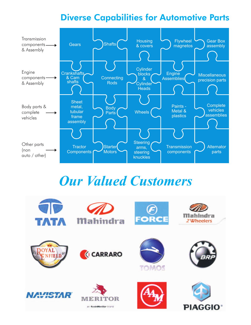# Diverse Capabilities for Automotive Parts



# *Our Valued Customers*

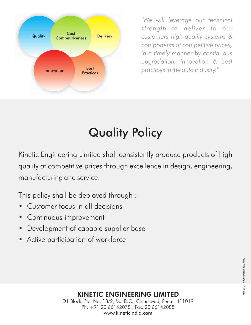

*"We will leverage our technical strength to deliver to our customers high-quality systems & components at competitive prices, in a timely manner by continuous upgradation, innovation & best practices in the auto industry."*

# Quality Policy

Kinetic Engineering Limited shall consistently produce products of high quality at competitive prices through excellence in design, engineering, manufacturing and service.

This policy shall be deployed through :-

- Customer focus in all decisions
- Continuous improvement
- Development of capable supplier base
- Active participation of workforce

# KINETIC ENGINEERING LIMITED

D1 Block, Plot No. 18/2, M.I.D.C., Chinchwad, Pune - 411019 Ph: +91 20 66142078 ; Fax: 20 66142088 www.kineticindia.com